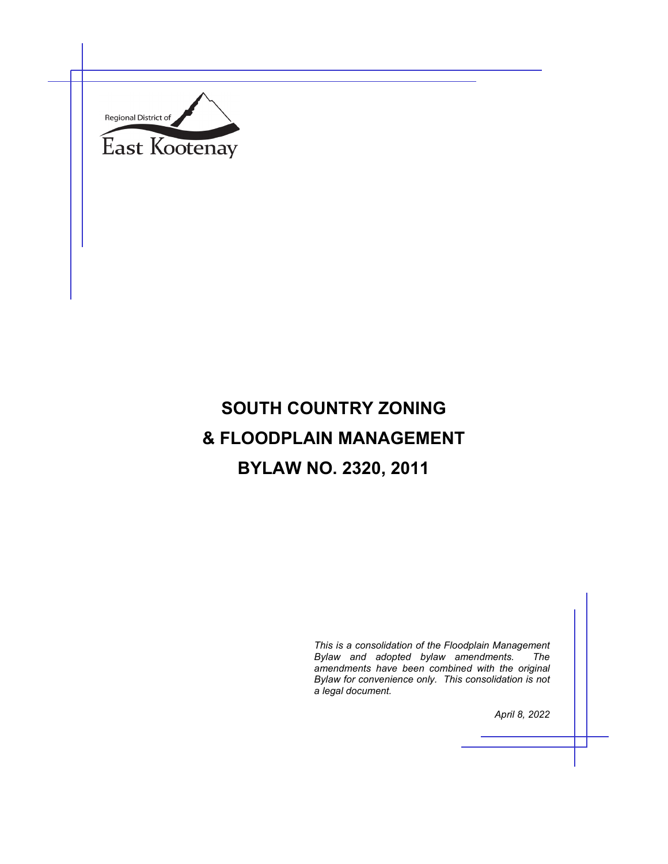

# **SOUTH COUNTRY ZONING & FLOODPLAIN MANAGEMENT BYLAW NO. 2320, 2011**

*This is a consolidation of the Floodplain Management Bylaw and adopted bylaw amendments. amendments have been combined with the original Bylaw for convenience only. This consolidation is not a legal document.*

*April 8, 2022*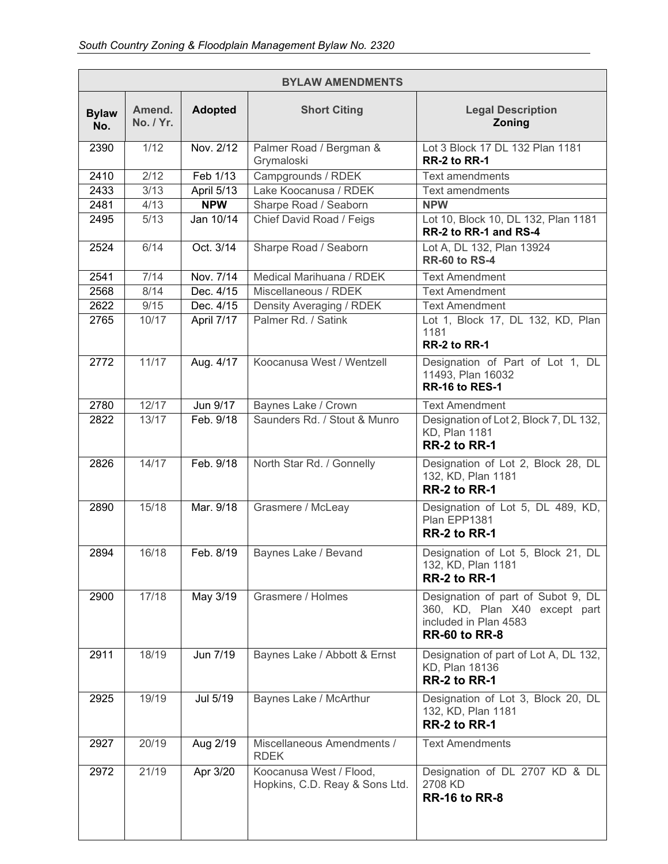| <b>BYLAW AMENDMENTS</b> |                     |                        |                                                           |                                                                                                                      |
|-------------------------|---------------------|------------------------|-----------------------------------------------------------|----------------------------------------------------------------------------------------------------------------------|
| <b>Bylaw</b><br>No.     | Amend.<br>No. / Yr. | <b>Adopted</b>         | <b>Short Citing</b>                                       | <b>Legal Description</b><br>Zoning                                                                                   |
| 2390                    | 1/12                | Nov. 2/12              | Palmer Road / Bergman &<br>Grymaloski                     | Lot 3 Block 17 DL 132 Plan 1181<br>RR-2 to RR-1                                                                      |
| 2410                    | 2/12                | Feb 1/13               | Campgrounds / RDEK                                        | <b>Text amendments</b>                                                                                               |
| 2433                    | 3/13                | April 5/13             | Lake Koocanusa / RDEK                                     | <b>Text amendments</b>                                                                                               |
| 2481                    | 4/13                | <b>NPW</b>             | Sharpe Road / Seaborn                                     | <b>NPW</b>                                                                                                           |
| 2495                    | 5/13                | Jan 10/14              | Chief David Road / Feigs                                  | Lot 10, Block 10, DL 132, Plan 1181<br>RR-2 to RR-1 and RS-4                                                         |
| 2524                    | 6/14                | Oct. 3/14              | Sharpe Road / Seaborn                                     | Lot A, DL 132, Plan 13924<br><b>RR-60 to RS-4</b>                                                                    |
| 2541                    | 7/14                | Nov. 7/14              | Medical Marihuana / RDEK                                  | <b>Text Amendment</b>                                                                                                |
| 2568                    | 8/14                | Dec. 4/15              | Miscellaneous / RDEK                                      | <b>Text Amendment</b>                                                                                                |
| 2622                    | 9/15                | Dec. 4/15              | Density Averaging / RDEK                                  | <b>Text Amendment</b>                                                                                                |
| 2765                    | 10/17               | April 7/17             | Palmer Rd. / Satink                                       | Lot 1, Block 17, DL 132, KD, Plan<br>1181<br>RR-2 to RR-1                                                            |
| 2772                    | 11/17               | Aug. 4/17              | Koocanusa West / Wentzell                                 | Designation of Part of Lot 1, DL<br>11493, Plan 16032<br>RR-16 to RES-1                                              |
| 2780                    | 12/17               | $\overline{J}$ un 9/17 | Baynes Lake / Crown                                       | <b>Text Amendment</b>                                                                                                |
| 2822                    | 13/17               | Feb. 9/18              | Saunders Rd. / Stout & Munro                              | Designation of Lot 2, Block 7, DL 132,<br><b>KD, Plan 1181</b><br>RR-2 to RR-1                                       |
| 2826                    | 14/17               | Feb. 9/18              | North Star Rd. / Gonnelly                                 | Designation of Lot 2, Block 28, DL<br>132, KD, Plan 1181<br>RR-2 to RR-1                                             |
| 2890                    | 15/18               | Mar. 9/18              | Grasmere / McLeay                                         | Designation of Lot 5, DL 489, KD,<br>Plan EPP1381<br>RR-2 to RR-1                                                    |
| 2894                    | 16/18               | Feb. 8/19              | Baynes Lake / Bevand                                      | Designation of Lot 5, Block 21, DL<br>132, KD, Plan 1181<br>RR-2 to RR-1                                             |
| 2900                    | 17/18               | May 3/19               | Grasmere / Holmes                                         | Designation of part of Subot 9, DL<br>360, KD, Plan X40 except part<br>included in Plan 4583<br><b>RR-60 to RR-8</b> |
| 2911                    | 18/19               | Jun 7/19               | Baynes Lake / Abbott & Ernst                              | Designation of part of Lot A, DL 132,<br>KD, Plan 18136<br>RR-2 to RR-1                                              |
| 2925                    | 19/19               | Jul 5/19               | Baynes Lake / McArthur                                    | Designation of Lot 3, Block 20, DL<br>132, KD, Plan 1181<br>RR-2 to RR-1                                             |
| 2927                    | 20/19               | Aug 2/19               | Miscellaneous Amendments /<br><b>RDEK</b>                 | <b>Text Amendments</b>                                                                                               |
| 2972                    | 21/19               | Apr 3/20               | Koocanusa West / Flood,<br>Hopkins, C.D. Reay & Sons Ltd. | Designation of DL 2707 KD & DL<br>2708 KD<br><b>RR-16 to RR-8</b>                                                    |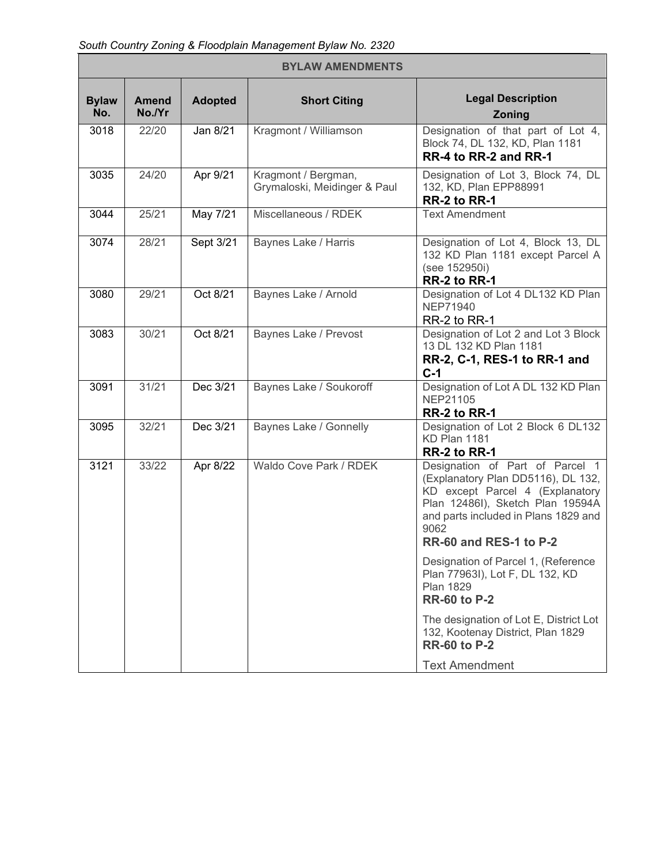*South Country Zoning & Floodplain Management Bylaw No. 2320* 

| <b>BYLAW AMENDMENTS</b> |                        |                |                                                     |                                                                                                                                                                                                                        |
|-------------------------|------------------------|----------------|-----------------------------------------------------|------------------------------------------------------------------------------------------------------------------------------------------------------------------------------------------------------------------------|
| <b>Bylaw</b><br>No.     | <b>Amend</b><br>No./Yr | <b>Adopted</b> | <b>Short Citing</b>                                 | <b>Legal Description</b><br>Zoning                                                                                                                                                                                     |
| 3018                    | 22/20                  | Jan 8/21       | Kragmont / Williamson                               | Designation of that part of Lot 4,<br>Block 74, DL 132, KD, Plan 1181<br>RR-4 to RR-2 and RR-1                                                                                                                         |
| 3035                    | 24/20                  | Apr 9/21       | Kragmont / Bergman,<br>Grymaloski, Meidinger & Paul | Designation of Lot 3, Block 74, DL<br>132, KD, Plan EPP88991<br>RR-2 to RR-1                                                                                                                                           |
| 3044                    | 25/21                  | May 7/21       | Miscellaneous / RDEK                                | <b>Text Amendment</b>                                                                                                                                                                                                  |
| 3074                    | 28/21                  | Sept 3/21      | Baynes Lake / Harris                                | Designation of Lot 4, Block 13, DL<br>132 KD Plan 1181 except Parcel A<br>(see 152950i)<br>RR-2 to RR-1                                                                                                                |
| 3080                    | 29/21                  | Oct 8/21       | Baynes Lake / Arnold                                | Designation of Lot 4 DL132 KD Plan<br><b>NEP71940</b><br>RR-2 to RR-1                                                                                                                                                  |
| 3083                    | 30/21                  | Oct 8/21       | Baynes Lake / Prevost                               | Designation of Lot 2 and Lot 3 Block<br>13 DL 132 KD Plan 1181<br>RR-2, C-1, RES-1 to RR-1 and<br>$C-1$                                                                                                                |
| 3091                    | 31/21                  | Dec 3/21       | Baynes Lake / Soukoroff                             | Designation of Lot A DL 132 KD Plan<br>NEP21105<br>RR-2 to RR-1                                                                                                                                                        |
| 3095                    | 32/21                  | Dec 3/21       | Baynes Lake / Gonnelly                              | Designation of Lot 2 Block 6 DL132<br>KD Plan 1181<br>RR-2 to RR-1                                                                                                                                                     |
| 3121                    | 33/22                  | Apr 8/22       | Waldo Cove Park / RDEK                              | Designation of Part of Parcel 1<br>(Explanatory Plan DD5116), DL 132,<br>KD except Parcel 4 (Explanatory<br>Plan 12486I), Sketch Plan 19594A<br>and parts included in Plans 1829 and<br>9062<br>RR-60 and RES-1 to P-2 |
|                         |                        |                |                                                     | Designation of Parcel 1, (Reference<br>Plan 77963I), Lot F, DL 132, KD<br><b>Plan 1829</b><br><b>RR-60 to P-2</b>                                                                                                      |
|                         |                        |                |                                                     | The designation of Lot E, District Lot<br>132, Kootenay District, Plan 1829<br><b>RR-60 to P-2</b>                                                                                                                     |
|                         |                        |                |                                                     | <b>Text Amendment</b>                                                                                                                                                                                                  |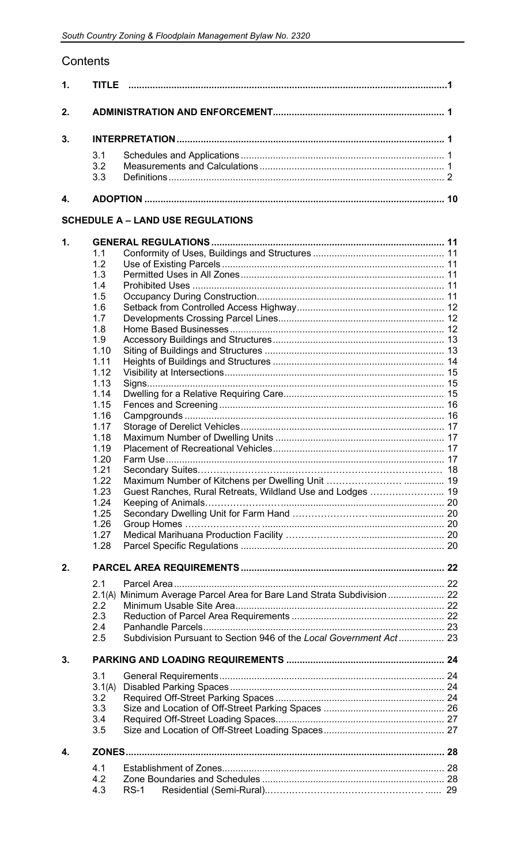# Contents

| 1. | TITI F |    |
|----|--------|----|
| 2. |        |    |
| 3. |        |    |
|    | 3.1    |    |
|    | 32     |    |
|    | 33     |    |
|    |        | 10 |

# **SCHEDULE A - LAND USE REGULATIONS**

| $\mathbf 1$ . |        |                                                                    |  |
|---------------|--------|--------------------------------------------------------------------|--|
|               | 1.1    |                                                                    |  |
|               | 1.2    |                                                                    |  |
|               | 1.3    |                                                                    |  |
|               | 1.4    |                                                                    |  |
|               | 1.5    |                                                                    |  |
|               | 1.6    |                                                                    |  |
|               | 1.7    |                                                                    |  |
|               | 1.8    |                                                                    |  |
|               | 1.9    |                                                                    |  |
|               | 1.10   |                                                                    |  |
|               | 1.11   |                                                                    |  |
|               | 1.12   |                                                                    |  |
|               | 1.13   |                                                                    |  |
|               | 1.14   |                                                                    |  |
|               | 1.15   |                                                                    |  |
|               | 1.16   |                                                                    |  |
|               | 1.17   |                                                                    |  |
|               | 1.18   |                                                                    |  |
|               | 1.19   |                                                                    |  |
|               | 1.20   |                                                                    |  |
|               | 1.21   |                                                                    |  |
|               | 1.22   |                                                                    |  |
|               | 1.23   | Guest Ranches, Rural Retreats, Wildland Use and Lodges  19         |  |
|               | 1.24   |                                                                    |  |
|               | 1.25   |                                                                    |  |
|               | 1.26   |                                                                    |  |
|               | 1.27   |                                                                    |  |
|               | 1.28   |                                                                    |  |
|               |        |                                                                    |  |
| 2.            |        |                                                                    |  |
|               | 2.1    |                                                                    |  |
|               |        |                                                                    |  |
|               | 2.2    |                                                                    |  |
|               | 2.3    |                                                                    |  |
|               | 2.4    |                                                                    |  |
|               | 2.5    | Subdivision Pursuant to Section 946 of the Local Government Act 23 |  |
|               |        |                                                                    |  |
| 3.            |        |                                                                    |  |
|               | 3.1    |                                                                    |  |
|               | 3.1(A) |                                                                    |  |
|               | 3.2    |                                                                    |  |
|               | 3.3    |                                                                    |  |
|               | 3.4    |                                                                    |  |
|               | 3.5    |                                                                    |  |
| 4.            | ZONES  |                                                                    |  |
|               | 4.1    |                                                                    |  |
|               | 4.2    |                                                                    |  |
|               | 4.3    | $RS-1$                                                             |  |
|               |        |                                                                    |  |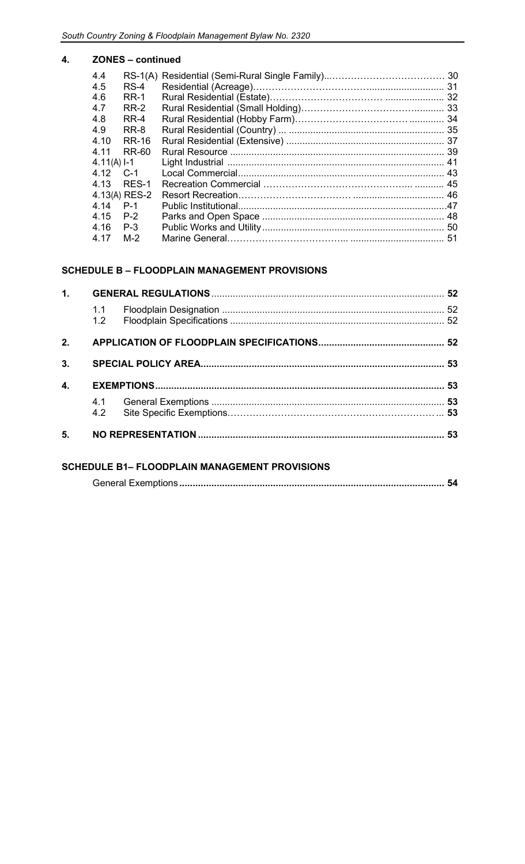#### **4. ZONES – continued**

| $RS-4$        |  |
|---------------|--|
| <b>RR-1</b>   |  |
| RR-2          |  |
| RR-4          |  |
| RR-8          |  |
| RR-16         |  |
| RR-60         |  |
| $4.11(A)$ I-1 |  |
| $C-1$         |  |
| RES-1         |  |
| 4.13(A) RES-2 |  |
| $P-1$         |  |
| $P-2$         |  |
| $P-3$         |  |
| $M-2$         |  |
|               |  |

#### **SCHEDULE B – FLOODPLAIN MANAGEMENT PROVISIONS**

| 1. |            |  |
|----|------------|--|
|    | 1.1<br>1.2 |  |
| 2. |            |  |
| 3. |            |  |
| 4. |            |  |
|    |            |  |
|    | 4.2        |  |

### **SCHEDULE B1– FLOODPLAIN MANAGEMENT PROVISIONS**

|--|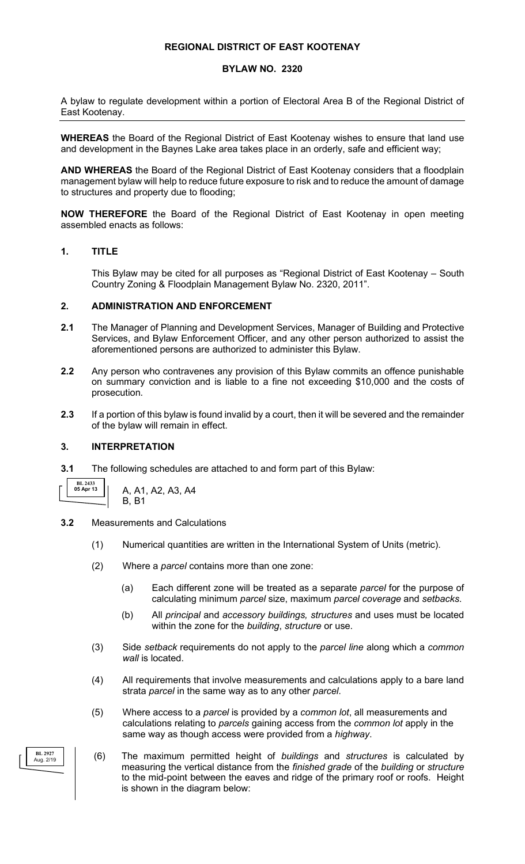#### **REGIONAL DISTRICT OF EAST KOOTENAY**

#### **BYLAW NO. 2320**

A bylaw to regulate development within a portion of Electoral Area B of the Regional District of East Kootenay.

**WHEREAS** the Board of the Regional District of East Kootenay wishes to ensure that land use and development in the Baynes Lake area takes place in an orderly, safe and efficient way;

**AND WHEREAS** the Board of the Regional District of East Kootenay considers that a floodplain management bylaw will help to reduce future exposure to risk and to reduce the amount of damage to structures and property due to flooding;

**NOW THEREFORE** the Board of the Regional District of East Kootenay in open meeting assembled enacts as follows:

#### **1. TITLE**

This Bylaw may be cited for all purposes as "Regional District of East Kootenay – South Country Zoning & Floodplain Management Bylaw No. 2320, 2011".

#### **2. ADMINISTRATION AND ENFORCEMENT**

- **2.1** The Manager of Planning and Development Services, Manager of Building and Protective Services, and Bylaw Enforcement Officer, and any other person authorized to assist the aforementioned persons are authorized to administer this Bylaw.
- **2.2** Any person who contravenes any provision of this Bylaw commits an offence punishable on summary conviction and is liable to a fine not exceeding \$10,000 and the costs of prosecution.
- **2.3** If a portion of this bylaw is found invalid by a court, then it will be severed and the remainder of the bylaw will remain in effect.

#### **3. INTERPRETATION**

**3.1** The following schedules are attached to and form part of this Bylaw:

**BL 2433 05 Apr 13**

A, A1, A2, A3, A4 B, B1

- **3.2** Measurements and Calculations
	- (1) Numerical quantities are written in the International System of Units (metric).
	- (2) Where a *parcel* contains more than one zone:
		- (a) Each different zone will be treated as a separate *parcel* for the purpose of calculating minimum *parcel* size, maximum *parcel coverage* and *setbacks*.
		- (b) All *principal* and *accessory buildings, structures* and uses must be located within the zone for the *building*, *structure* or use.
	- (3) Side *setback* requirements do not apply to the *parcel line* along which a *common wall* is located.
	- (4) All requirements that involve measurements and calculations apply to a bare land strata *parcel* in the same way as to any other *parcel*.
	- (5) Where access to a *parcel* is provided by a *common lot*, all measurements and calculations relating to *parcels* gaining access from the *common lot* apply in the same way as though access were provided from a *highway*.
	- (6) The maximum permitted height of *buildings* and *structures* is calculated by measuring the vertical distance from the *finished grade* of the *building* or *structure* to the mid-point between the eaves and ridge of the primary roof or roofs. Height is shown in the diagram below:

**BL 2927** Aug. 2/19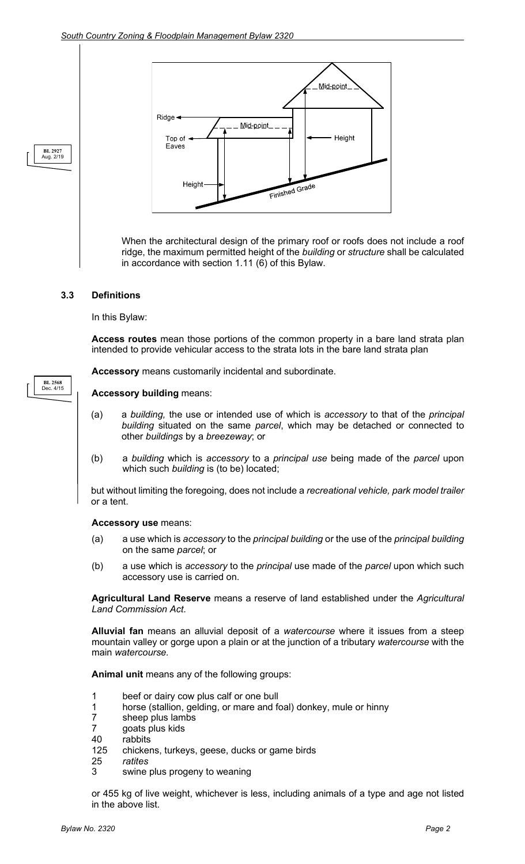

When the architectural design of the primary roof or roofs does not include a roof ridge, the maximum permitted height of the *building* or *structure* shall be calculated in accordance with section 1.11 (6) of this Bylaw.

#### **3.3 Definitions**

**BL 2568** Dec. 4/15

**BL 2927** Aug. 2/19

In this Bylaw:

**Access routes** mean those portions of the common property in a bare land strata plan intended to provide vehicular access to the strata lots in the bare land strata plan

**Accessory** means customarily incidental and subordinate.

#### **Accessory building** means:

- (a) a *building,* the use or intended use of which is *accessory* to that of the *principal building* situated on the same *parcel*, which may be detached or connected to other *buildings* by a *breezeway*; or
- (b) a *building* which is *accessory* to a *principal use* being made of the *parcel* upon which such *building* is (to be) located;

but without limiting the foregoing, does not include a *recreational vehicle, park model trailer*  or a tent.

#### **Accessory use** means:

- (a) a use which is *accessory* to the *principal building* or the use of the *principal building* on the same *parcel*; or
- (b) a use which is *accessory* to the *principal* use made of the *parcel* upon which such accessory use is carried on.

**Agricultural Land Reserve** means a reserve of land established under the *Agricultural Land Commission Act*.

**Alluvial fan** means an alluvial deposit of a *watercourse* where it issues from a steep mountain valley or gorge upon a plain or at the junction of a tributary *watercourse* with the main *watercourse.*

**Animal unit** means any of the following groups:

- 1 beef or dairy cow plus calf or one bull
- 1 horse (stallion, gelding, or mare and foal) donkey, mule or hinny<br>7 sheep plus lambs
- 7 sheep plus lambs<br>7 qoats plus kids
- goats plus kids
- 40 rabbits<br>125 chicker
- chickens, turkeys, geese, ducks or game birds
- 25 *ratites*
- swine plus progeny to weaning

or 455 kg of live weight, whichever is less, including animals of a type and age not listed in the above list.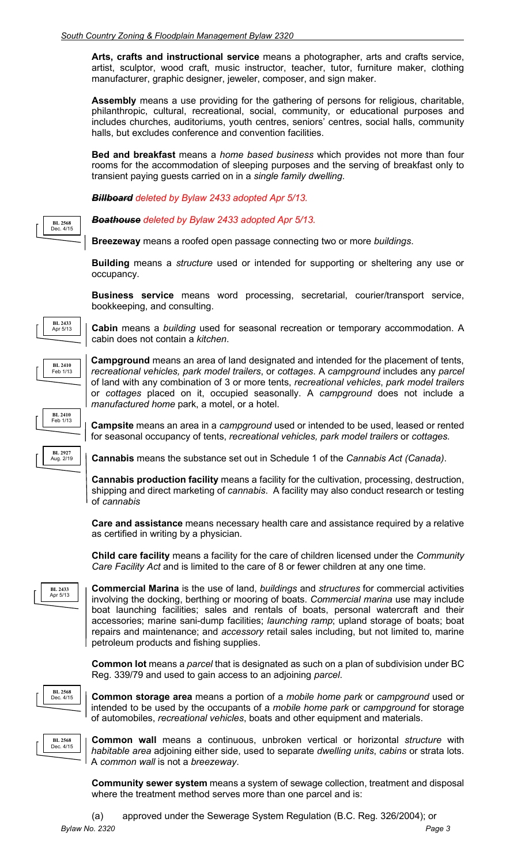**Arts, crafts and instructional service** means a photographer, arts and crafts service, artist, sculptor, wood craft, music instructor, teacher, tutor, furniture maker, clothing manufacturer, graphic designer, jeweler, composer, and sign maker.

**Assembly** means a use providing for the gathering of persons for religious, charitable, philanthropic, cultural, recreational, social, community, or educational purposes and includes churches, auditoriums, youth centres, seniors' centres, social halls, community halls, but excludes conference and convention facilities.

**Bed and breakfast** means a *home based business* which provides not more than four rooms for the accommodation of sleeping purposes and the serving of breakfast only to transient paying guests carried on in a *single family dwelling*.

*Billboard deleted by Bylaw 2433 adopted Apr 5/13.*

*Boathouse deleted by Bylaw 2433 adopted Apr 5/13.*

**Breezeway** means a roofed open passage connecting two or more *buildings*.

**Building** means a *structure* used or intended for supporting or sheltering any use or occupancy.

**Business service** means word processing, secretarial, courier/transport service, bookkeeping, and consulting.

**Cabin** means a *building* used for seasonal recreation or temporary accommodation. A cabin does not contain a *kitchen*.



**BL 2433** Apr 5/13

**BL 2568** Dec. 4/15

> **Campground** means an area of land designated and intended for the placement of tents, *recreational vehicles, park model trailers*, or *cottages*. A *campground* includes any *parcel* of land with any combination of 3 or more tents, *recreational vehicles*, *park model trailers* or *cottages* placed on it, occupied seasonally. A *campground* does not include a *manufactured home* park, a motel, or a hotel.

**Campsite** means an area in a *campground* used or intended to be used, leased or rented for seasonal occupancy of tents, *recreational vehicles, park model trailers* or *cottages.* **BL 2410** Feb 1/13

**BL 2927** Aug. 2/19

**Cannabis** means the substance set out in Schedule 1 of the *Cannabis Act (Canada)*.

**Cannabis production facility** means a facility for the cultivation, processing, destruction, shipping and direct marketing of *cannabis*. A facility may also conduct research or testing of *cannabis*

**Care and assistance** means necessary health care and assistance required by a relative as certified in writing by a physician.

**Child care facility** means a facility for the care of children licensed under the *Community Care Facility Act* and is limited to the care of 8 or fewer children at any one time.



**Commercial Marina** is the use of land, *buildings* and *structures* for commercial activities involving the docking, berthing or mooring of boats. *Commercial marina* use may include boat launching facilities; sales and rentals of boats, personal watercraft and their accessories; marine sani-dump facilities; *launching ramp*; upland storage of boats; boat repairs and maintenance; and *accessory* retail sales including, but not limited to, marine petroleum products and fishing supplies.

**Common lot** means a *parcel* that is designated as such on a plan of subdivision under BC Reg. 339/79 and used to gain access to an adjoining *parcel*.



**Common storage area** means a portion of a *mobile home park* or *campground* used or intended to be used by the occupants of a *mobile home park* or *campground* for storage of automobiles, *recreational vehicles*, boats and other equipment and materials.



**Common wall** means a continuous, unbroken vertical or horizontal *structure* with *habitable area* adjoining either side, used to separate *dwelling units*, *cabins* or strata lots. A *common wall* is not a *breezeway*.

**Community sewer system** means a system of sewage collection, treatment and disposal where the treatment method serves more than one parcel and is:

*Bylaw No. 2320 Page 3* (a) approved under the Sewerage System Regulation (B.C. Reg. 326/2004); or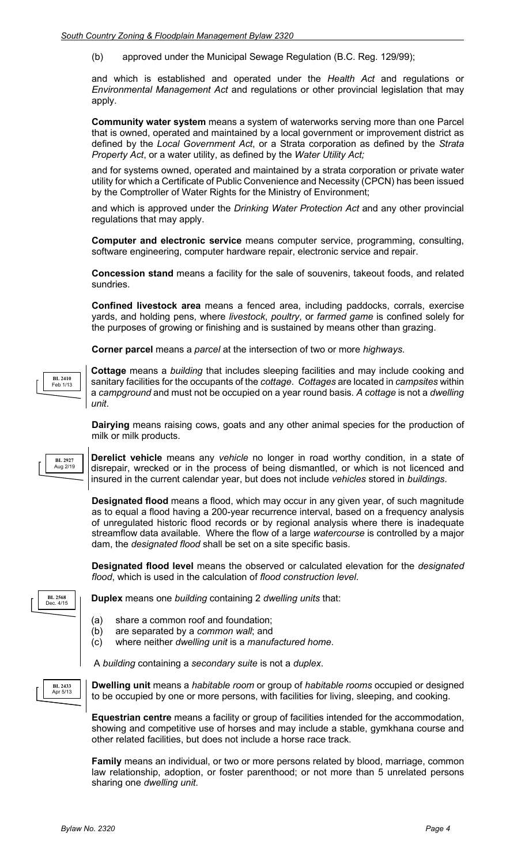(b) approved under the Municipal Sewage Regulation (B.C. Reg. 129/99);

and which is established and operated under the *Health Act* and regulations or *Environmental Management Act* and regulations or other provincial legislation that may apply.

**Community water system** means a system of waterworks serving more than one Parcel that is owned, operated and maintained by a local government or improvement district as defined by the *Local Government Act*, or a Strata corporation as defined by the *Strata Property Act*, or a water utility, as defined by the *Water Utility Act;*

and for systems owned, operated and maintained by a strata corporation or private water utility for which a Certificate of Public Convenience and Necessity (CPCN) has been issued by the Comptroller of Water Rights for the Ministry of Environment;

and which is approved under the *Drinking Water Protection Act* and any other provincial regulations that may apply.

**Computer and electronic service** means computer service, programming, consulting, software engineering, computer hardware repair, electronic service and repair.

**Concession stand** means a facility for the sale of souvenirs, takeout foods, and related sundries.

**Confined livestock area** means a fenced area, including paddocks, corrals, exercise yards, and holding pens, where *livestock*, *poultry*, or *farmed game* is confined solely for the purposes of growing or finishing and is sustained by means other than grazing.

**Corner parcel** means a *parcel* at the intersection of two or more *highways*.



**Cottage** means a *building* that includes sleeping facilities and may include cooking and sanitary facilities for the occupants of the *cottage*. *Cottages* are located in *campsites* within a *campground* and must not be occupied on a year round basis. *A cottage* is not a *dwelling unit*.

**Dairying** means raising cows, goats and any other animal species for the production of milk or milk products.

**BL 2927** Aug 2/19 **Derelict vehicle** means any *vehicle* no longer in road worthy condition, in a state of disrepair, wrecked or in the process of being dismantled, or which is not licenced and insured in the current calendar year, but does not include *vehicles* stored in *buildings*.

**Designated flood** means a flood, which may occur in any given year, of such magnitude as to equal a flood having a 200-year recurrence interval, based on a frequency analysis of unregulated historic flood records or by regional analysis where there is inadequate streamflow data available. Where the flow of a large *watercourse* is controlled by a major dam, the *designated flood* shall be set on a site specific basis.

**Designated flood level** means the observed or calculated elevation for the *designated flood*, which is used in the calculation of *flood construction level*.

**BL 2568** Dec. 4/15

**Duplex** means one *building* containing 2 *dwelling units* that:

- (a) share a common roof and foundation;
- (b) are separated by a *common wall*; and
- (c) where neither *dwelling unit* is a *manufactured home*.

A *building* containing a *secondary suite* is not a *duplex*.



**Dwelling unit** means a *habitable room* or group of *habitable rooms* occupied or designed to be occupied by one or more persons, with facilities for living, sleeping, and cooking.

**Equestrian centre** means a facility or group of facilities intended for the accommodation, showing and competitive use of horses and may include a stable, gymkhana course and other related facilities, but does not include a horse race track.

**Family** means an individual, or two or more persons related by blood, marriage, common law relationship, adoption, or foster parenthood; or not more than 5 unrelated persons sharing one *dwelling unit*.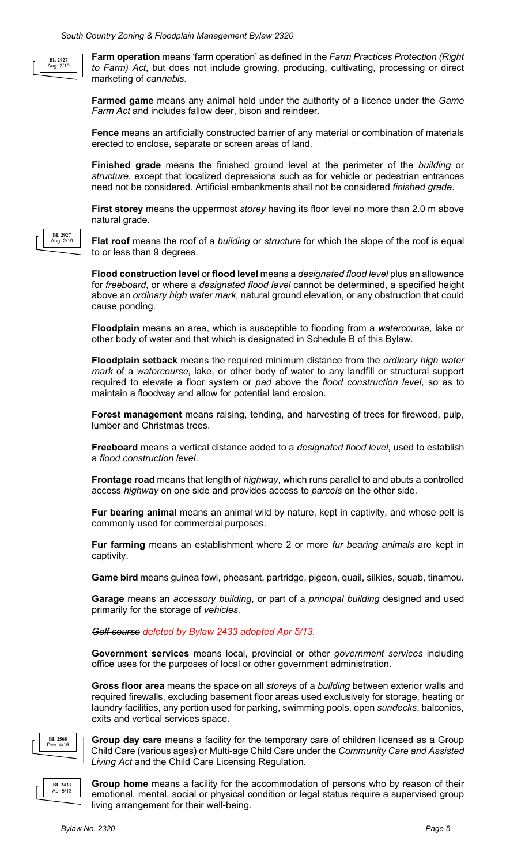**BL 2927** Aug. 2/19

**BL 2927** Aug. 2/19

**Farm operation** means 'farm operation' as defined in the *Farm Practices Protection (Right to Farm) Act*, but does not include growing, producing, cultivating, processing or direct marketing of *cannabis*.

**Farmed game** means any animal held under the authority of a licence under the *Game Farm Act* and includes fallow deer, bison and reindeer.

**Fence** means an artificially constructed barrier of any material or combination of materials erected to enclose, separate or screen areas of land.

**Finished grade** means the finished ground level at the perimeter of the *building* or *structure*, except that localized depressions such as for vehicle or pedestrian entrances need not be considered. Artificial embankments shall not be considered *finished grade*.

**First storey** means the uppermost *storey* having its floor level no more than 2.0 m above natural grade.

**Flat roof** means the roof of a *building* or *structure* for which the slope of the roof is equal to or less than 9 degrees.

**Flood construction level** or **flood level** means a *designated flood level* plus an allowance for *freeboard*, or where a *designated flood level* cannot be determined, a specified height above an *ordinary high water mark*, natural ground elevation, or any obstruction that could cause ponding.

**Floodplain** means an area, which is susceptible to flooding from a *watercourse*, lake or other body of water and that which is designated in Schedule B of this Bylaw.

**Floodplain setback** means the required minimum distance from the *ordinary high water mark* of a *watercourse*, lake, or other body of water to any landfill or structural support required to elevate a floor system or *pad* above the *flood construction level*, so as to maintain a floodway and allow for potential land erosion.

**Forest management** means raising, tending, and harvesting of trees for firewood, pulp, lumber and Christmas trees.

**Freeboard** means a vertical distance added to a *designated flood level*, used to establish a *flood construction level*.

**Frontage road** means that length of *highway*, which runs parallel to and abuts a controlled access *highway* on one side and provides access to *parcels* on the other side.

**Fur bearing animal** means an animal wild by nature, kept in captivity, and whose pelt is commonly used for commercial purposes.

**Fur farming** means an establishment where 2 or more *fur bearing animals* are kept in captivity.

**Game bird** means guinea fowl, pheasant, partridge, pigeon, quail, silkies, squab, tinamou.

**Garage** means an *accessory building*, or part of a *principal building* designed and used primarily for the storage of *vehicles.*

#### *Golf course deleted by Bylaw 2433 adopted Apr 5/13.*

**Government services** means local, provincial or other *government services* including office uses for the purposes of local or other government administration.

**Gross floor area** means the space on all *storeys* of a *building* between exterior walls and required firewalls, excluding basement floor areas used exclusively for storage, heating or laundry facilities, any portion used for parking, swimming pools, open *sundecks*, balconies, exits and vertical services space.



**Group day care** means a facility for the temporary care of children licensed as a Group Child Care (various ages) or Multi-age Child Care under the *Community Care and Assisted Living Act* and the Child Care Licensing Regulation.



**Group home** means a facility for the accommodation of persons who by reason of their emotional, mental, social or physical condition or legal status require a supervised group living arrangement for their well-being.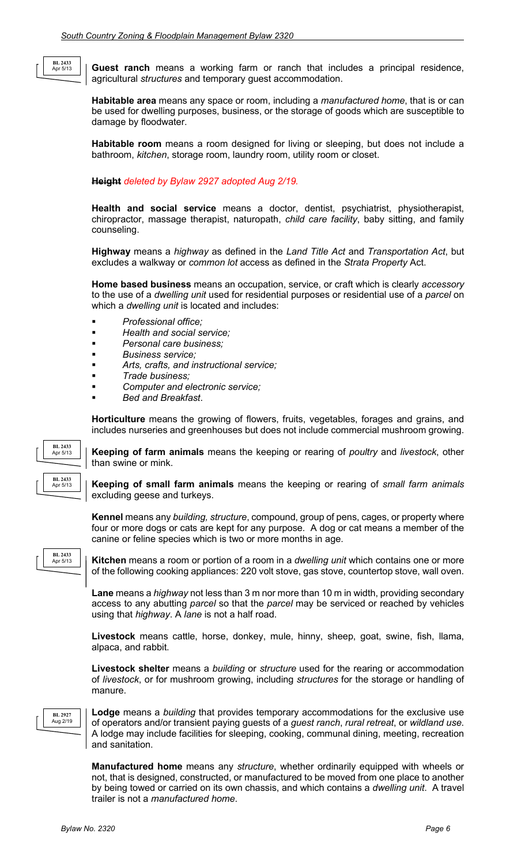**Guest ranch** means a working farm or ranch that includes a principal residence, agricultural *structures* and temporary guest accommodation.

**Habitable area** means any space or room, including a *manufactured home*, that is or can be used for dwelling purposes, business, or the storage of goods which are susceptible to damage by floodwater.

**Habitable room** means a room designed for living or sleeping, but does not include a bathroom, *kitchen*, storage room, laundry room, utility room or closet.

**Height** *deleted by Bylaw 2927 adopted Aug 2/19.*

**Health and social service** means a doctor, dentist, psychiatrist, physiotherapist, chiropractor, massage therapist, naturopath, *child care facility*, baby sitting, and family counseling.

**Highway** means a *highway* as defined in the *Land Title Act* and *Transportation Act*, but excludes a walkway or *common lot* access as defined in the *Strata Property* Act.

**Home based business** means an occupation, service, or craft which is clearly *accessory*  to the use of a *dwelling unit* used for residential purposes or residential use of a *parcel* on which a *dwelling unit* is located and includes:

- *Professional office;*
- *Health and social service;*
- *Personal care business;*
- *Business service;*
- *Arts, crafts, and instructional service;*
- *Trade business;*
- *Computer and electronic service;*
- *Bed and Breakfast*.

**Horticulture** means the growing of flowers, fruits, vegetables, forages and grains, and includes nurseries and greenhouses but does not include commercial mushroom growing.



**BL 2433** Apr 5/13

**Keeping of farm animals** means the keeping or rearing of *poultry* and *livestock*, other than swine or mink.

**Keeping of small farm animals** means the keeping or rearing of *small farm animals* excluding geese and turkeys.

**Kennel** means any *building, structure*, compound, group of pens, cages, or property where four or more dogs or cats are kept for any purpose. A dog or cat means a member of the canine or feline species which is two or more months in age.

**BL 2433** Apr 5/13

**Kitchen** means a room or portion of a room in a *dwelling unit* which contains one or more of the following cooking appliances: 220 volt stove, gas stove, countertop stove, wall oven.

**Lane** means a *highway* not less than 3 m nor more than 10 m in width, providing secondary access to any abutting *parcel* so that the *parcel* may be serviced or reached by vehicles using that *highway*. A *lane* is not a half road.

**Livestock** means cattle, horse, donkey, mule, hinny, sheep, goat, swine, fish, llama, alpaca, and rabbit.

**Livestock shelter** means a *building* or *structure* used for the rearing or accommodation of *livestock*, or for mushroom growing, including *structures* for the storage or handling of manure.



**Lodge** means a *building* that provides temporary accommodations for the exclusive use of operators and/or transient paying guests of a *guest ranch*, *rural retreat*, or *wildland use*. A lodge may include facilities for sleeping, cooking, communal dining, meeting, recreation and sanitation.

**Manufactured home** means any *structure*, whether ordinarily equipped with wheels or not, that is designed, constructed, or manufactured to be moved from one place to another by being towed or carried on its own chassis, and which contains a *dwelling unit*. A travel trailer is not a *manufactured home*.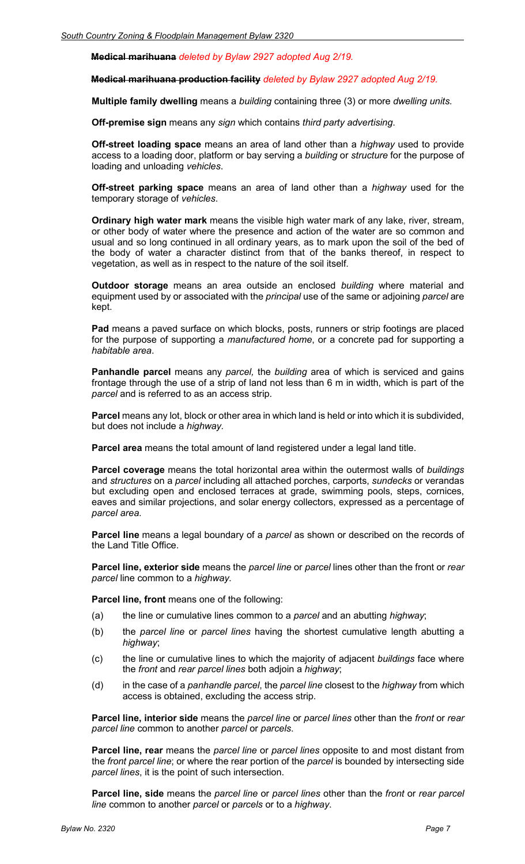**Medical marihuana** *deleted by Bylaw 2927 adopted Aug 2/19.*

**Medical marihuana production facility** *deleted by Bylaw 2927 adopted Aug 2/19.*

**Multiple family dwelling** means a *building* containing three (3) or more *dwelling units.*

**Off-premise sign** means any *sign* which contains *third party advertising*.

**Off-street loading space** means an area of land other than a *highway* used to provide access to a loading door, platform or bay serving a *building* or *structure* for the purpose of loading and unloading *vehicles*.

**Off-street parking space** means an area of land other than a *highway* used for the temporary storage of *vehicles*.

**Ordinary high water mark** means the visible high water mark of any lake, river, stream, or other body of water where the presence and action of the water are so common and usual and so long continued in all ordinary years, as to mark upon the soil of the bed of the body of water a character distinct from that of the banks thereof, in respect to vegetation, as well as in respect to the nature of the soil itself.

**Outdoor storage** means an area outside an enclosed *building* where material and equipment used by or associated with the *principal* use of the same or adjoining *parcel* are kept.

**Pad** means a paved surface on which blocks, posts, runners or strip footings are placed for the purpose of supporting a *manufactured home*, or a concrete pad for supporting a *habitable area*.

**Panhandle parcel** means any *parcel,* the *building* area of which is serviced and gains frontage through the use of a strip of land not less than 6 m in width, which is part of the *parcel* and is referred to as an access strip.

**Parcel** means any lot, block or other area in which land is held or into which it is subdivided, but does not include a *highway.*

**Parcel area** means the total amount of land registered under a legal land title.

**Parcel coverage** means the total horizontal area within the outermost walls of *buildings* and *structures* on a *parcel* including all attached porches, carports, *sundecks* or verandas but excluding open and enclosed terraces at grade, swimming pools, steps, cornices, eaves and similar projections, and solar energy collectors, expressed as a percentage of *parcel area*.

**Parcel line** means a legal boundary of a *parcel* as shown or described on the records of the Land Title Office.

**Parcel line, exterior side** means the *parcel line* or *parcel* lines other than the front or *rear parcel* line common to a *highway.* 

**Parcel line, front** means one of the following:

- (a) the line or cumulative lines common to a *parcel* and an abutting *highway*;
- (b) the *parcel line* or *parcel lines* having the shortest cumulative length abutting a *highway*;
- (c) the line or cumulative lines to which the majority of adjacent *buildings* face where the *front* and *rear parcel lines* both adjoin a *highway*;
- (d) in the case of a *panhandle parcel*, the *parcel line* closest to the *highway* from which access is obtained, excluding the access strip.

**Parcel line, interior side** means the *parcel line* or *parcel lines* other than the *front* or *rear parcel line* common to another *parcel* or *parcels*.

**Parcel line, rear** means the *parcel line* or *parcel lines* opposite to and most distant from the *front parcel line*; or where the rear portion of the *parcel* is bounded by intersecting side *parcel lines*, it is the point of such intersection.

**Parcel line, side** means the *parcel line* or *parcel lines* other than the *front* or *rear parcel line* common to another *parcel* or *parcels* or to a *highway*.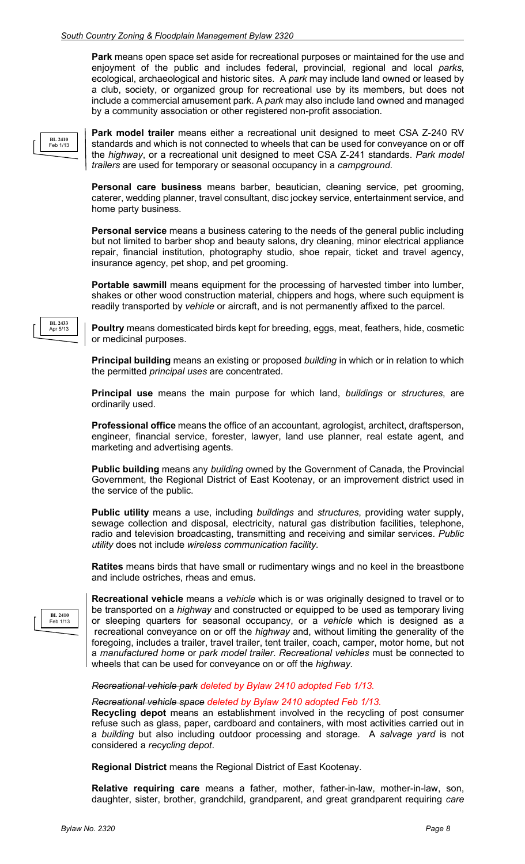**Park** means open space set aside for recreational purposes or maintained for the use and enjoyment of the public and includes federal, provincial, regional and local *parks*, ecological, archaeological and historic sites. A *park* may include land owned or leased by a club, society, or organized group for recreational use by its members, but does not include a commercial amusement park. A *park* may also include land owned and managed by a community association or other registered non-profit association.



**Park model trailer** means either a recreational unit designed to meet CSA Z-240 RV standards and which is not connected to wheels that can be used for conveyance on or off the *highway*, or a recreational unit designed to meet CSA Z-241 standards. *Park model trailers* are used for temporary or seasonal occupancy in a *campground*.

**Personal care business** means barber, beautician, cleaning service, pet grooming, caterer, wedding planner, travel consultant, disc jockey service, entertainment service, and home party business.

**Personal service** means a business catering to the needs of the general public including but not limited to barber shop and beauty salons, dry cleaning, minor electrical appliance repair, financial institution, photography studio, shoe repair, ticket and travel agency, insurance agency, pet shop, and pet grooming.

Portable sawmill means equipment for the processing of harvested timber into lumber, shakes or other wood construction material, chippers and hogs, where such equipment is readily transported by *vehicle* or aircraft, and is not permanently affixed to the parcel.

**Poultry** means domesticated birds kept for breeding, eggs, meat, feathers, hide, cosmetic or medicinal purposes.

**Principal building** means an existing or proposed *building* in which or in relation to which the permitted *principal uses* are concentrated.

**Principal use** means the main purpose for which land, *buildings* or *structures*, are ordinarily used.

**Professional office** means the office of an accountant, agrologist, architect, draftsperson, engineer, financial service, forester, lawyer, land use planner, real estate agent, and marketing and advertising agents.

**Public building** means any *building* owned by the Government of Canada, the Provincial Government, the Regional District of East Kootenay, or an improvement district used in the service of the public.

**Public utility** means a use, including *buildings* and *structures*, providing water supply, sewage collection and disposal, electricity, natural gas distribution facilities, telephone, radio and television broadcasting, transmitting and receiving and similar services. *Public utility* does not include *wireless communication facility.*

**Ratites** means birds that have small or rudimentary wings and no keel in the breastbone and include ostriches, rheas and emus.

**BL 2410** Feb 1/13

**Recreational vehicle** means a *vehicle* which is or was originally designed to travel or to be transported on a *highway* and constructed or equipped to be used as temporary living or sleeping quarters for seasonal occupancy, or a *vehicle* which is designed as a recreational conveyance on or off the *highway* and, without limiting the generality of the foregoing, includes a trailer, travel trailer, tent trailer, coach, camper, motor home, but not a *manufactured home* or *park model trailer*. *Recreational vehicles* must be connected to wheels that can be used for conveyance on or off the *highway.*

#### *Recreational vehicle park deleted by Bylaw 2410 adopted Feb 1/13.*

*Recreational vehicle space deleted by Bylaw 2410 adopted Feb 1/13.* **Recycling depot** means an establishment involved in the recycling of post consumer

refuse such as glass, paper, cardboard and containers, with most activities carried out in a *building* but also including outdoor processing and storage. A *salvage yard* is not considered a *recycling depot*.

**Regional District** means the Regional District of East Kootenay.

**Relative requiring care** means a father, mother, father-in-law, mother-in-law, son, daughter, sister, brother, grandchild, grandparent, and great grandparent requiring *care* 

**BL 2433** Apr 5/13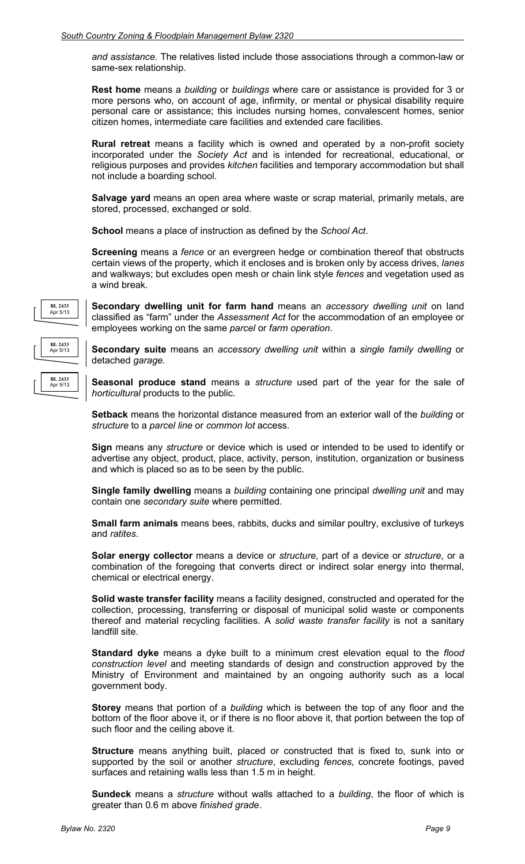*and assistance*. The relatives listed include those associations through a common-law or same-sex relationship.

**Rest home** means a *building* or *buildings* where care or assistance is provided for 3 or more persons who, on account of age, infirmity, or mental or physical disability require personal care or assistance; this includes nursing homes, convalescent homes, senior citizen homes, intermediate care facilities and extended care facilities.

**Rural retreat** means a facility which is owned and operated by a non-profit society incorporated under the *Society Act* and is intended for recreational, educational, or religious purposes and provides *kitchen* facilities and temporary accommodation but shall not include a boarding school.

**Salvage yard** means an open area where waste or scrap material, primarily metals, are stored, processed, exchanged or sold.

**School** means a place of instruction as defined by the *School Act*.

**Screening** means a *fence* or an evergreen hedge or combination thereof that obstructs certain views of the property, which it encloses and is broken only by access drives, *lanes*  and walkways; but excludes open mesh or chain link style *fences* and vegetation used as a wind break.



**Secondary dwelling unit for farm hand** means an *accessory dwelling unit* on land classified as "farm" under the *Assessment Act* for the accommodation of an employee or employees working on the same *parcel* or *farm operation*.

**Secondary suite** means an *accessory dwelling unit* within a *single family dwelling* or detached *garage.*

**Seasonal produce stand** means a *structure* used part of the year for the sale of *horticultural* products to the public.

**Setback** means the horizontal distance measured from an exterior wall of the *building* or *structure* to a *parcel line* or *common lot* access.

**Sign** means any *structure* or device which is used or intended to be used to identify or advertise any object, product, place, activity, person, institution, organization or business and which is placed so as to be seen by the public.

**Single family dwelling** means a *building* containing one principal *dwelling unit* and may contain one *secondary suite* where permitted.

**Small farm animals** means bees, rabbits, ducks and similar poultry, exclusive of turkeys and *ratites*.

**Solar energy collector** means a device or *structure*, part of a device or *structure*, or a combination of the foregoing that converts direct or indirect solar energy into thermal, chemical or electrical energy.

**Solid waste transfer facility** means a facility designed, constructed and operated for the collection, processing, transferring or disposal of municipal solid waste or components thereof and material recycling facilities. A *solid waste transfer facility* is not a sanitary landfill site.

**Standard dyke** means a dyke built to a minimum crest elevation equal to the *flood construction level* and meeting standards of design and construction approved by the Ministry of Environment and maintained by an ongoing authority such as a local government body.

**Storey** means that portion of a *building* which is between the top of any floor and the bottom of the floor above it, or if there is no floor above it, that portion between the top of such floor and the ceiling above it.

**Structure** means anything built, placed or constructed that is fixed to, sunk into or supported by the soil or another *structure*, excluding *fences*, concrete footings, paved surfaces and retaining walls less than 1.5 m in height.

**Sundeck** means a *structure* without walls attached to a *building*, the floor of which is greater than 0.6 m above *finished grade*.

**BL 2433** Apr 5/13

**BL 2433** Apr 5/13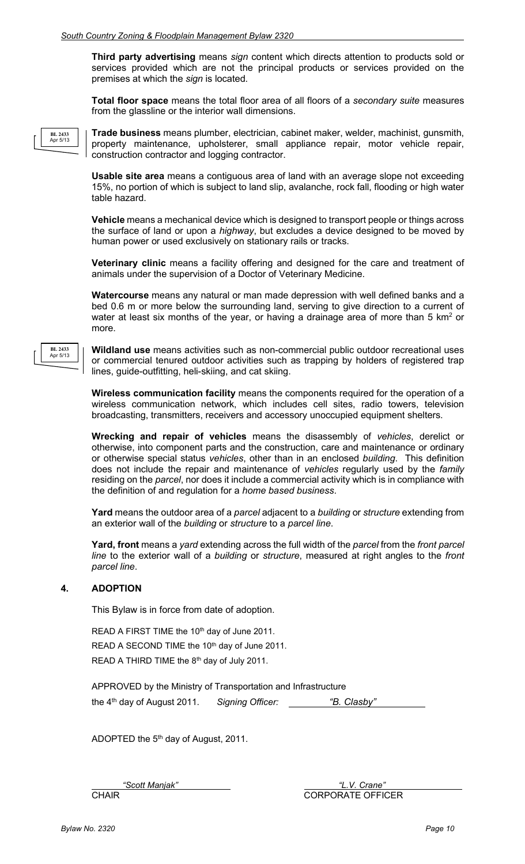**Third party advertising** means *sign* content which directs attention to products sold or services provided which are not the principal products or services provided on the premises at which the *sign* is located.

**Total floor space** means the total floor area of all floors of a *secondary suite* measures from the glassline or the interior wall dimensions.

**BL 2433** Apr 5/13

**BL 2433** Apr 5/13

**Trade business** means plumber, electrician, cabinet maker, welder, machinist, gunsmith, property maintenance, upholsterer, small appliance repair, motor vehicle repair, construction contractor and logging contractor.

**Usable site area** means a contiguous area of land with an average slope not exceeding 15%, no portion of which is subject to land slip, avalanche, rock fall, flooding or high water table hazard.

**Vehicle** means a mechanical device which is designed to transport people or things across the surface of land or upon a *highway*, but excludes a device designed to be moved by human power or used exclusively on stationary rails or tracks.

**Veterinary clinic** means a facility offering and designed for the care and treatment of animals under the supervision of a Doctor of Veterinary Medicine.

**Watercourse** means any natural or man made depression with well defined banks and a bed 0.6 m or more below the surrounding land, serving to give direction to a current of water at least six months of the year, or having a drainage area of more than 5 km<sup>2</sup> or more.

**Wildland use** means activities such as non-commercial public outdoor recreational uses or commercial tenured outdoor activities such as trapping by holders of registered trap lines, guide-outfitting, heli-skiing, and cat skiing.

**Wireless communication facility** means the components required for the operation of a wireless communication network, which includes cell sites, radio towers, television broadcasting, transmitters, receivers and accessory unoccupied equipment shelters.

**Wrecking and repair of vehicles** means the disassembly of *vehicles*, derelict or otherwise, into component parts and the construction, care and maintenance or ordinary or otherwise special status *vehicles*, other than in an enclosed *building*. This definition does not include the repair and maintenance of *vehicles* regularly used by the *family* residing on the *parcel*, nor does it include a commercial activity which is in compliance with the definition of and regulation for a *home based business*.

**Yard** means the outdoor area of a *parcel* adjacent to a *building* or *structure* extending from an exterior wall of the *building* or *structure* to a *parcel line*.

**Yard, front** means a *yard* extending across the full width of the *parcel* from the *front parcel line* to the exterior wall of a *building* or *structure*, measured at right angles to the *front parcel line*.

#### **4. ADOPTION**

This Bylaw is in force from date of adoption.

READ A FIRST TIME the 10<sup>th</sup> day of June 2011. READ A SECOND TIME the 10<sup>th</sup> day of June 2011. READ A THIRD TIME the 8<sup>th</sup> day of July 2011.

| APPROVED by the Ministry of Transportation and Infrastructure |                         |             |
|---------------------------------------------------------------|-------------------------|-------------|
| the $4th$ day of August 2011.                                 | <b>Signing Officer:</b> | "B. Clasby" |

ADOPTED the 5<sup>th</sup> day of August, 2011.

*"Scott Manjak" "L.V. Crane"*  **CHAIR** CHAIR CORPORATE OFFICER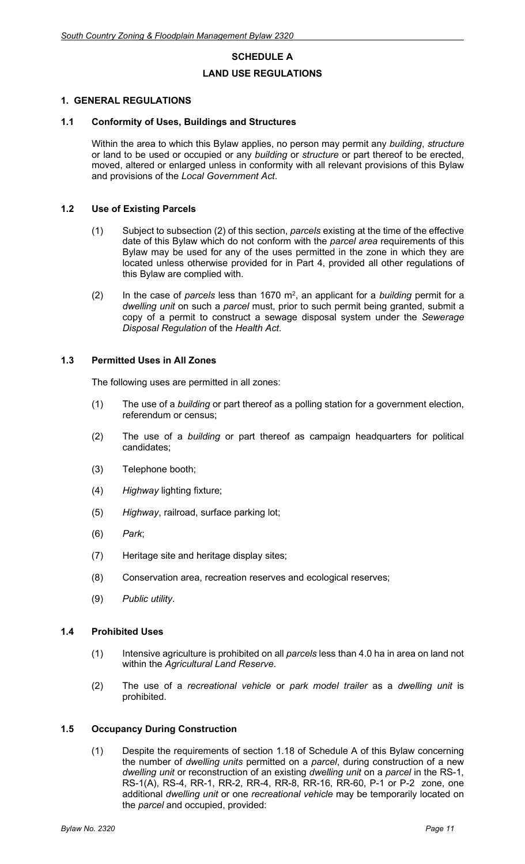# **SCHEDULE A LAND USE REGULATIONS**

#### **1. GENERAL REGULATIONS**

#### **1.1 Conformity of Uses, Buildings and Structures**

Within the area to which this Bylaw applies, no person may permit any *building*, *structure* or land to be used or occupied or any *building* or *structure* or part thereof to be erected, moved, altered or enlarged unless in conformity with all relevant provisions of this Bylaw and provisions of the *Local Government Act*.

#### **1.2 Use of Existing Parcels**

- (1) Subject to subsection (2) of this section, *parcels* existing at the time of the effective date of this Bylaw which do not conform with the *parcel area* requirements of this Bylaw may be used for any of the uses permitted in the zone in which they are located unless otherwise provided for in Part 4, provided all other regulations of this Bylaw are complied with.
- (2) In the case of *parcels* less than 1670 m2 , an applicant for a *building* permit for a *dwelling unit* on such a *parcel* must, prior to such permit being granted, submit a copy of a permit to construct a sewage disposal system under the *Sewerage Disposal Regulation* of the *Health Act*.

#### **1.3 Permitted Uses in All Zones**

The following uses are permitted in all zones:

- (1) The use of a *building* or part thereof as a polling station for a government election, referendum or census;
- (2) The use of a *building* or part thereof as campaign headquarters for political candidates;
- (3) Telephone booth;
- (4) *Highway* lighting fixture;
- (5) *Highway*, railroad, surface parking lot;
- (6) *Park*;
- (7) Heritage site and heritage display sites;
- (8) Conservation area, recreation reserves and ecological reserves;
- (9) *Public utility*.

#### **1.4 Prohibited Uses**

- (1) Intensive agriculture is prohibited on all *parcels* less than 4.0 ha in area on land not within the *Agricultural Land Reserve*.
- (2) The use of a *recreational vehicle* or *park model trailer* as a *dwelling unit* is prohibited.

#### **1.5 Occupancy During Construction**

(1) Despite the requirements of section 1.18 of Schedule A of this Bylaw concerning the number of *dwelling units* permitted on a *parcel*, during construction of a new *dwelling unit* or reconstruction of an existing *dwelling unit* on a *parcel* in the RS-1, RS-1(A), RS-4, RR-1, RR-2, RR-4, RR-8, RR-16, RR-60, P-1 or P-2 zone, one additional *dwelling unit* or one *recreational vehicle* may be temporarily located on the *parcel* and occupied, provided: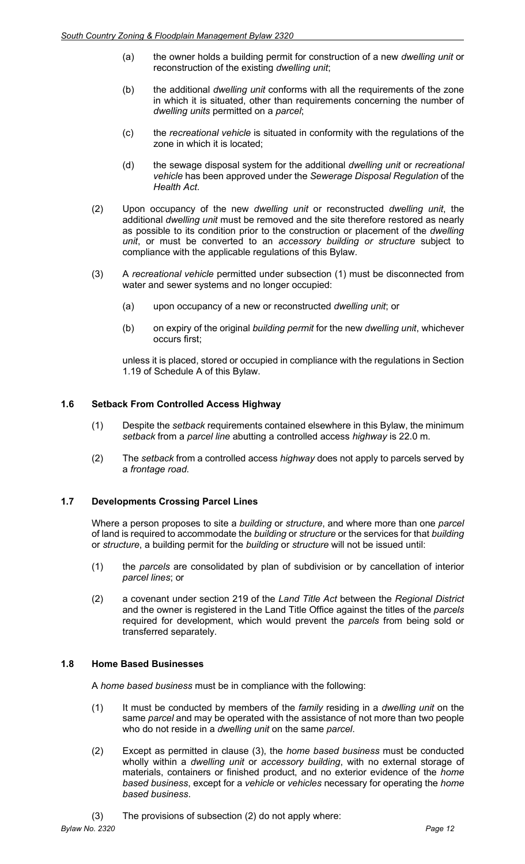- (a) the owner holds a building permit for construction of a new *dwelling unit* or reconstruction of the existing *dwelling unit*;
- (b) the additional *dwelling unit* conforms with all the requirements of the zone in which it is situated, other than requirements concerning the number of *dwelling units* permitted on a *parcel*;
- (c) the *recreational vehicle* is situated in conformity with the regulations of the zone in which it is located;
- (d) the sewage disposal system for the additional *dwelling unit* or *recreational vehicle* has been approved under the *Sewerage Disposal Regulation* of the *Health Act*.
- (2) Upon occupancy of the new *dwelling unit* or reconstructed *dwelling unit*, the additional *dwelling unit* must be removed and the site therefore restored as nearly as possible to its condition prior to the construction or placement of the *dwelling unit*, or must be converted to an *accessory building or structure* subject to compliance with the applicable regulations of this Bylaw.
- (3) A *recreational vehicle* permitted under subsection (1) must be disconnected from water and sewer systems and no longer occupied:
	- (a) upon occupancy of a new or reconstructed *dwelling unit*; or
	- (b) on expiry of the original *building permit* for the new *dwelling unit*, whichever occurs first;

unless it is placed, stored or occupied in compliance with the regulations in Section 1.19 of Schedule A of this Bylaw.

#### **1.6 Setback From Controlled Access Highway**

- (1) Despite the *setback* requirements contained elsewhere in this Bylaw, the minimum *setback* from a *parcel line* abutting a controlled access *highway* is 22.0 m.
- (2) The *setback* from a controlled access *highway* does not apply to parcels served by a *frontage road*.

#### **1.7 Developments Crossing Parcel Lines**

Where a person proposes to site a *building* or *structure*, and where more than one *parcel* of land is required to accommodate the *building* or *structure* or the services for that *building* or *structure*, a building permit for the *building* or *structure* will not be issued until:

- (1) the *parcels* are consolidated by plan of subdivision or by cancellation of interior *parcel lines*; or
- (2) a covenant under section 219 of the *Land Title Act* between the *Regional District* and the owner is registered in the Land Title Office against the titles of the *parcels* required for development, which would prevent the *parcels* from being sold or transferred separately.

#### **1.8 Home Based Businesses**

A *home based business* must be in compliance with the following:

- (1) It must be conducted by members of the *family* residing in a *dwelling unit* on the same *parcel* and may be operated with the assistance of not more than two people who do not reside in a *dwelling unit* on the same *parcel*.
- (2) Except as permitted in clause (3), the *home based business* must be conducted wholly within a *dwelling unit* or *accessory building*, with no external storage of materials, containers or finished product, and no exterior evidence of the *home based business*, except for a *vehicle* or *vehicles* necessary for operating the *home based business*.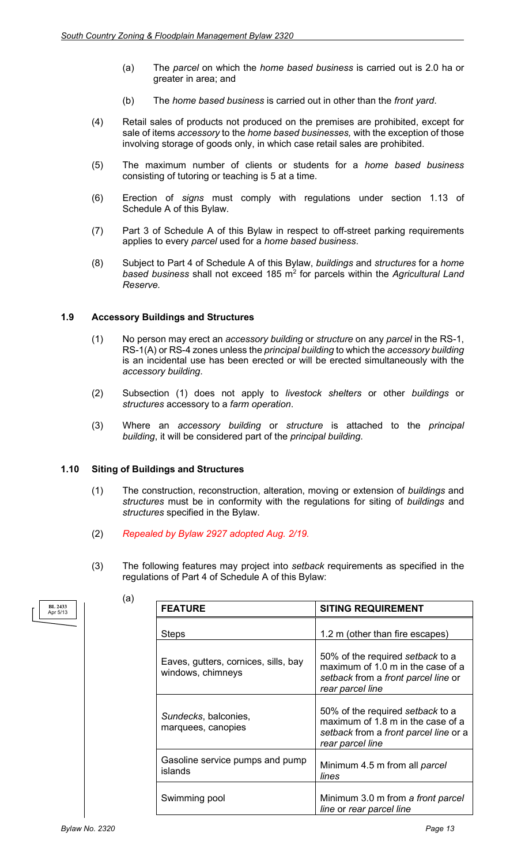- (a) The *parcel* on which the *home based business* is carried out is 2.0 ha or greater in area; and
- (b) The *home based business* is carried out in other than the *front yard*.
- (4) Retail sales of products not produced on the premises are prohibited, except for sale of items *accessory* to the *home based businesses,* with the exception of those involving storage of goods only, in which case retail sales are prohibited.
- (5) The maximum number of clients or students for a *home based business* consisting of tutoring or teaching is 5 at a time.
- (6) Erection of *signs* must comply with regulations under section 1.13 of Schedule A of this Bylaw.
- (7) Part 3 of Schedule A of this Bylaw in respect to off-street parking requirements applies to every *parcel* used for a *home based business*.
- (8) Subject to Part 4 of Schedule A of this Bylaw, *buildings* and *structures* for a *home based business* shall not exceed 185 m2 for parcels within the *Agricultural Land Reserve.*

#### **1.9 Accessory Buildings and Structures**

- (1) No person may erect an *accessory building* or *structure* on any *parcel* in the RS-1, RS-1(A) or RS-4 zones unless the *principal building* to which the *accessory building*  is an incidental use has been erected or will be erected simultaneously with the *accessory building*.
- (2) Subsection (1) does not apply to *livestock shelters* or other *buildings* or *structures* accessory to a *farm operation*.
- (3) Where an *accessory building* or *structure* is attached to the *principal building*, it will be considered part of the *principal building*.

#### **1.10 Siting of Buildings and Structures**

(a)

- (1) The construction, reconstruction, alteration, moving or extension of *buildings* and *structures* must be in conformity with the regulations for siting of *buildings* and *structures* specified in the Bylaw.
- (2) *Repealed by Bylaw 2927 adopted Aug. 2/19.*
- (3) The following features may project into *setback* requirements as specified in the regulations of Part 4 of Schedule A of this Bylaw:

| <b>FEATURE</b>                                            | <b>SITING REQUIREMENT</b>                                                                                                          |  |
|-----------------------------------------------------------|------------------------------------------------------------------------------------------------------------------------------------|--|
| <b>Steps</b>                                              | 1.2 m (other than fire escapes)                                                                                                    |  |
| Eaves, gutters, cornices, sills, bay<br>windows, chimneys | 50% of the required setback to a<br>maximum of 1.0 m in the case of a<br>setback from a front parcel line or<br>rear parcel line   |  |
| Sundecks, balconies,<br>marquees, canopies                | 50% of the required setback to a<br>maximum of 1.8 m in the case of a<br>setback from a front parcel line or a<br>rear parcel line |  |
| Gasoline service pumps and pump<br>islands                | Minimum 4.5 m from all parcel<br>lines                                                                                             |  |
| Swimming pool                                             | Minimum 3.0 m from a front parcel<br>line or rear parcel line                                                                      |  |

**BL 2433** Apr 5/13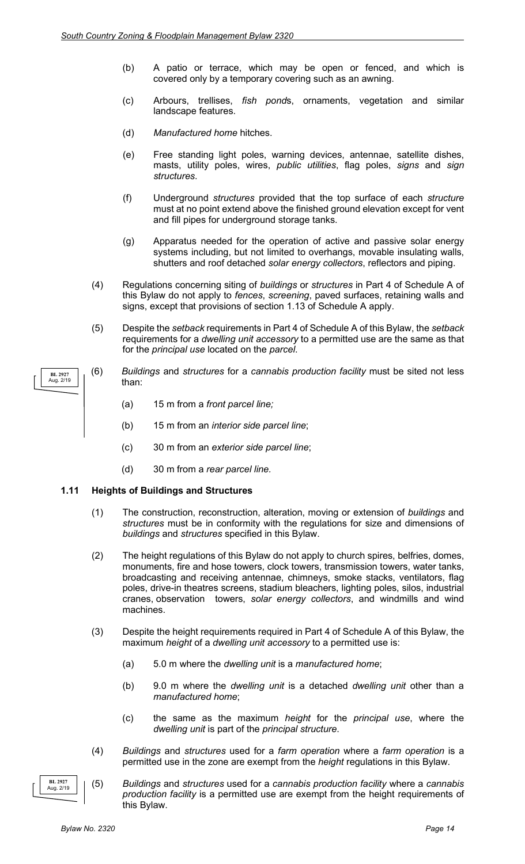- (b) A patio or terrace, which may be open or fenced, and which is covered only by a temporary covering such as an awning.
- (c) Arbours, trellises, *fish pond*s, ornaments, vegetation and similar landscape features.
- (d) *Manufactured home* hitches.
- (e) Free standing light poles, warning devices, antennae, satellite dishes, masts, utility poles, wires, *public utilities*, flag poles, *signs* and *sign structures*.
- (f) Underground *structures* provided that the top surface of each *structure* must at no point extend above the finished ground elevation except for vent and fill pipes for underground storage tanks.
- (g) Apparatus needed for the operation of active and passive solar energy systems including, but not limited to overhangs, movable insulating walls, shutters and roof detached *solar energy collectors*, reflectors and piping.
- (4) Regulations concerning siting of *buildings* or *structures* in Part 4 of Schedule A of this Bylaw do not apply to *fences*, *screening*, paved surfaces, retaining walls and signs, except that provisions of section 1.13 of Schedule A apply.
- (5) Despite the *setback* requirements in Part 4 of Schedule A of this Bylaw, the *setback* requirements for a *dwelling unit accessory* to a permitted use are the same as that for the *principal use* located on the *parcel*.
- (6) *Buildings* and *structures* for a *cannabis production facility* must be sited not less than:
	- (a) 15 m from a *front parcel line;*
	- (b) 15 m from an *interior side parcel line*;
	- (c) 30 m from an *exterior side parcel line*;
	- (d) 30 m from a *rear parcel line.*

#### **1.11 Heights of Buildings and Structures**

- (1) The construction, reconstruction, alteration, moving or extension of *buildings* and *structures* must be in conformity with the regulations for size and dimensions of *buildings* and *structures* specified in this Bylaw.
- (2) The height regulations of this Bylaw do not apply to church spires, belfries, domes, monuments, fire and hose towers, clock towers, transmission towers, water tanks, broadcasting and receiving antennae, chimneys, smoke stacks, ventilators, flag poles, drive-in theatres screens, stadium bleachers, lighting poles, silos, industrial cranes, observation towers, *solar energy collectors*, and windmills and wind machines.
- (3) Despite the height requirements required in Part 4 of Schedule A of this Bylaw, the maximum *height* of a *dwelling unit accessory* to a permitted use is:
	- (a) 5.0 m where the *dwelling unit* is a *manufactured home*;
	- (b) 9.0 m where the *dwelling unit* is a detached *dwelling unit* other than a *manufactured home*;
	- (c) the same as the maximum *height* for the *principal use*, where the *dwelling unit* is part of the *principal structure*.
- (4) *Buildings* and *structures* used for a *farm operation* where a *farm operation* is a permitted use in the zone are exempt from the *height* regulations in this Bylaw.
- (5) *Buildings* and *structures* used for a *cannabis production facility* where a *cannabis production facility* is a permitted use are exempt from the height requirements of this Bylaw.

**BL 2927** Aug. 2/19

**BL 2927** Aug. 2/19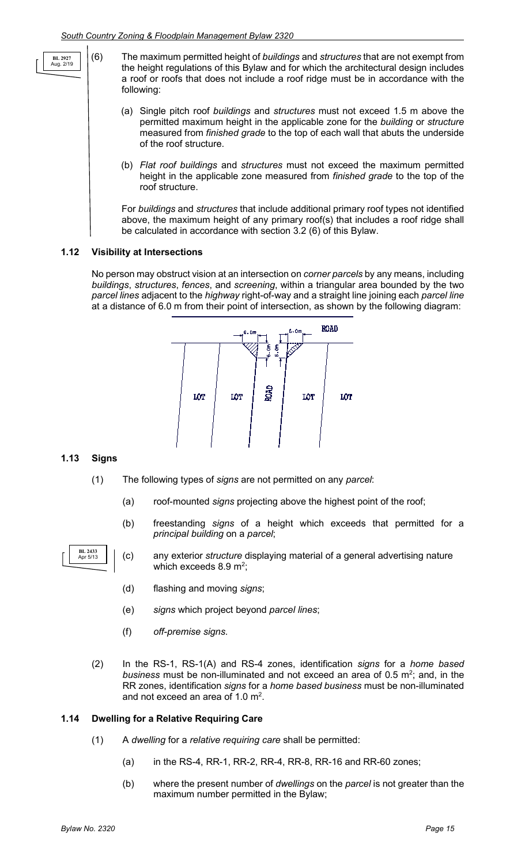- (6) The maximum permitted height of *buildings* and *structures* that are not exempt from the height regulations of this Bylaw and for which the architectural design includes a roof or roofs that does not include a roof ridge must be in accordance with the following:
	- (a) Single pitch roof *buildings* and *structures* must not exceed 1.5 m above the permitted maximum height in the applicable zone for the *building* or *structure* measured from *finished grade* to the top of each wall that abuts the underside of the roof structure.
	- (b) *Flat roof buildings* and *structures* must not exceed the maximum permitted height in the applicable zone measured from *finished grade* to the top of the roof structure.

For *buildings* and *structures* that include additional primary roof types not identified above, the maximum height of any primary roof(s) that includes a roof ridge shall be calculated in accordance with section 3.2 (6) of this Bylaw.

#### **1.12 Visibility at Intersections**

No person may obstruct vision at an intersection on *corner parcels* by any means, including *buildings*, *structures*, *fences*, and *screening*, within a triangular area bounded by the two *parcel lines* adjacent to the *highway* right-of-way and a straight line joining each *parcel line* at a distance of 6.0 m from their point of intersection, as shown by the following diagram:



#### **1.13 Signs**

**BL 2927** Aug. 2/19

- (1) The following types of *signs* are not permitted on any *parcel*:
	- (a) roof-mounted *signs* projecting above the highest point of the roof;
	- (b) freestanding *signs* of a height which exceeds that permitted for a *principal building* on a *parcel*;



- (c) any exterior *structure* displaying material of a general advertising nature which exceeds 8.9 m<sup>2</sup>;
- (d) flashing and moving *signs*;
- (e) *signs* which project beyond *parcel lines*;
- (f) *off-premise signs*.
- (2) In the RS-1, RS-1(A) and RS-4 zones, identification *signs* for a *home based*  business must be non-illuminated and not exceed an area of 0.5 m<sup>2</sup>; and, in the RR zones, identification *signs* for a *home based business* must be non-illuminated and not exceed an area of 1.0  $\mathrm{m}^2$ .

#### **1.14 Dwelling for a Relative Requiring Care**

- (1) A *dwelling* for a *relative requiring care* shall be permitted:
	- (a) in the RS-4, RR-1, RR-2, RR-4, RR-8, RR-16 and RR-60 zones;
	- (b) where the present number of *dwellings* on the *parcel* is not greater than the maximum number permitted in the Bylaw;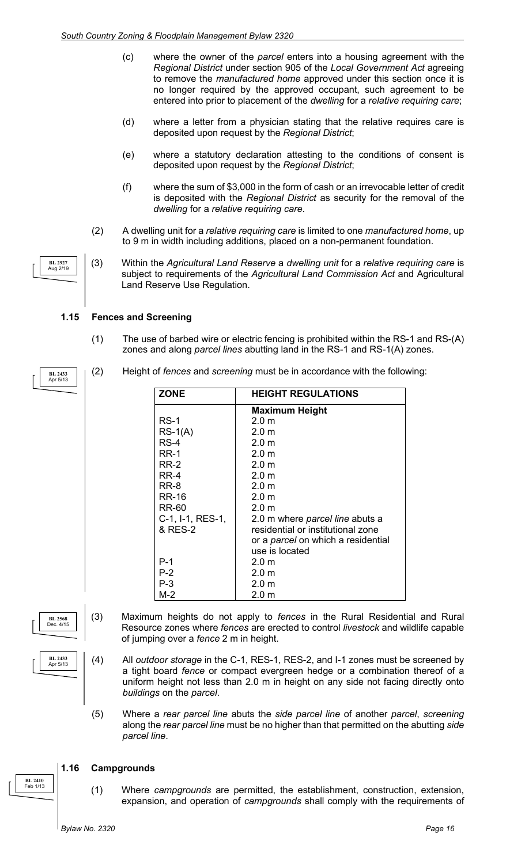- (c) where the owner of the *parcel* enters into a housing agreement with the *Regional District* under section 905 of the *Local Government Act* agreeing to remove the *manufactured home* approved under this section once it is no longer required by the approved occupant, such agreement to be entered into prior to placement of the *dwelling* for a *relative requiring care*;
- (d) where a letter from a physician stating that the relative requires care is deposited upon request by the *Regional District*;
- (e) where a statutory declaration attesting to the conditions of consent is deposited upon request by the *Regional District*;
- (f) where the sum of \$3,000 in the form of cash or an irrevocable letter of credit is deposited with the *Regional District* as security for the removal of the *dwelling* for a *relative requiring care*.
- (2) A dwelling unit for a *relative requiring care* is limited to one *manufactured home*, up to 9 m in width including additions, placed on a non-permanent foundation.
- (3) Within the *Agricultural Land Reserve* a *dwelling unit* for a *relative requiring care* is subject to requirements of the *Agricultural Land Commission Act* and Agricultural Land Reserve Use Regulation.

#### **1.15 Fences and Screening**

- (1) The use of barbed wire or electric fencing is prohibited within the RS-1 and RS-(A) zones and along *parcel lines* abutting land in the RS-1 and RS-1(A) zones.
- (2) Height of *fences* and *screening* must be in accordance with the following:

| <b>ZONE</b>      | <b>HEIGHT REGULATIONS</b>                 |
|------------------|-------------------------------------------|
|                  | <b>Maximum Height</b>                     |
| RS-1             | $2.0 \text{ m}$                           |
| $RS-1(A)$        | 2.0 <sub>m</sub>                          |
| RS-4             | 2.0 <sub>m</sub>                          |
| <b>RR-1</b>      | $2.0 \text{ m}$                           |
| <b>RR-2</b>      | 2.0 <sub>m</sub>                          |
| RR-4             | $2.0 \text{ m}$                           |
| RR-8             | 2.0 <sub>m</sub>                          |
| RR-16            | 2.0 m                                     |
| RR-60            | $2.0 \text{ m}$                           |
| C-1, I-1, RES-1, | 2.0 m where <i>parcel line</i> abuts a    |
| & RES-2          | residential or institutional zone         |
|                  | or a <i>parcel</i> on which a residential |
|                  | use is located                            |
| $P-1$            | $2.0 \text{ m}$                           |
| $P-2$            | $2.0 \text{ m}$                           |
| $P-3$            | 2.0 <sub>m</sub>                          |
| M-2              | $2.0 \text{ m}$                           |

- (3) Maximum heights do not apply to *fences* in the Rural Residential and Rural Resource zones where *fences* are erected to control *livestock* and wildlife capable of jumping over a *fence* 2 m in height.
	- (4) All *outdoor storage* in the C-1, RES-1, RES-2, and I-1 zones must be screened by a tight board *fence* or compact evergreen hedge or a combination thereof of a uniform height not less than 2.0 m in height on any side not facing directly onto *buildings* on the *parcel*.
	- (5) Where a *rear parcel line* abuts the *side parcel line* of another *parcel*, *screening* along the *rear parcel line* must be no higher than that permitted on the abutting *side parcel line*.

#### **1.16 Campgrounds**

(1) Where *campgrounds* are permitted, the establishment, construction, extension, expansion, and operation of *campgrounds* shall comply with the requirements of

**BL 2927** Aug 2/19

**BL 2433** Apr 5/13



**BL 2433** Apr 5/13

**BL 2410** Feb 1/13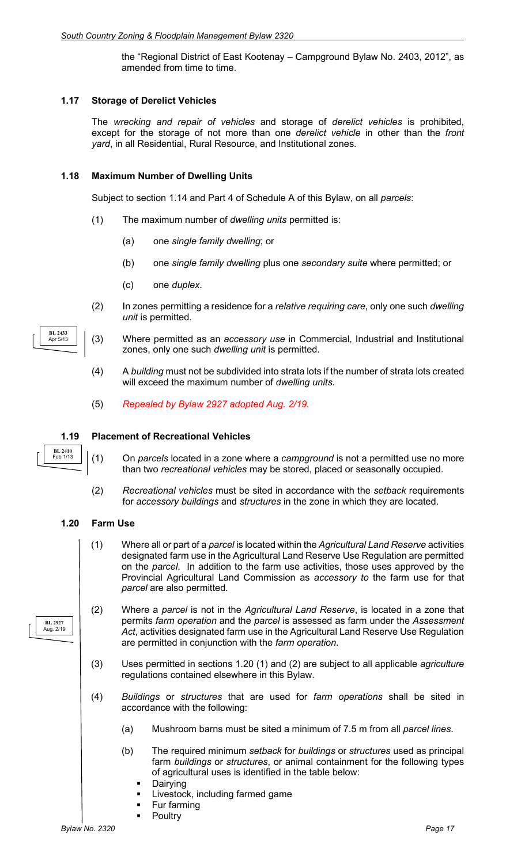the "Regional District of East Kootenay – Campground Bylaw No. 2403, 2012", as amended from time to time.

#### **1.17 Storage of Derelict Vehicles**

The *wrecking and repair of vehicles* and storage of *derelict vehicles* is prohibited, except for the storage of not more than one *derelict vehicle* in other than the *front yard*, in all Residential, Rural Resource, and Institutional zones.

#### **1.18 Maximum Number of Dwelling Units**

Subject to section 1.14 and Part 4 of Schedule A of this Bylaw, on all *parcels*:

- (1) The maximum number of *dwelling units* permitted is:
	- (a) one *single family dwelling*; or
	- (b) one *single family dwelling* plus one *secondary suite* where permitted; or
	- (c) one *duplex*.
- (2) In zones permitting a residence for a *relative requiring care*, only one such *dwelling unit* is permitted.
- (3) Where permitted as an *accessory use* in Commercial, Industrial and Institutional zones, only one such *dwelling unit* is permitted.
	- (4) A *building* must not be subdivided into strata lots if the number of strata lots created will exceed the maximum number of *dwelling units*.
	- (5) *Repealed by Bylaw 2927 adopted Aug. 2/19.*

#### **1.19 Placement of Recreational Vehicles**

- (1) On *parcels* located in a zone where a *campground* is not a permitted use no more than two *recreational vehicles* may be stored, placed or seasonally occupied.
- (2) *Recreational vehicles* must be sited in accordance with the *setback* requirements for *accessory buildings* and *structures* in the zone in which they are located.

#### **1.20 Farm Use**

**BL 2410** Feb 1/13

**BL 2927** Aug. 2/19

**BL 2433** Apr 5/13

- (1) Where all or part of a *parcel* is located within the *Agricultural Land Reserve* activities designated farm use in the Agricultural Land Reserve Use Regulation are permitted on the *parcel*. In addition to the farm use activities, those uses approved by the Provincial Agricultural Land Commission as *accessory to* the farm use for that *parcel* are also permitted.
- (2) Where a *parcel* is not in the *Agricultural Land Reserve*, is located in a zone that permits *farm operation* and the *parcel* is assessed as farm under the *Assessment Act*, activities designated farm use in the Agricultural Land Reserve Use Regulation are permitted in conjunction with the *farm operation*.
- (3) Uses permitted in sections 1.20 (1) and (2) are subject to all applicable *agriculture* regulations contained elsewhere in this Bylaw.
- (4) *Buildings* or *structures* that are used for *farm operations* shall be sited in accordance with the following:
	- (a) Mushroom barns must be sited a minimum of 7.5 m from all *parcel lines*.
	- (b) The required minimum *setback* for *buildings* or *structures* used as principal farm *buildings* or *structures*, or animal containment for the following types of agricultural uses is identified in the table below:
		- Dairying
		- Livestock, including farmed game
		- Fur farming
		- **Poultry**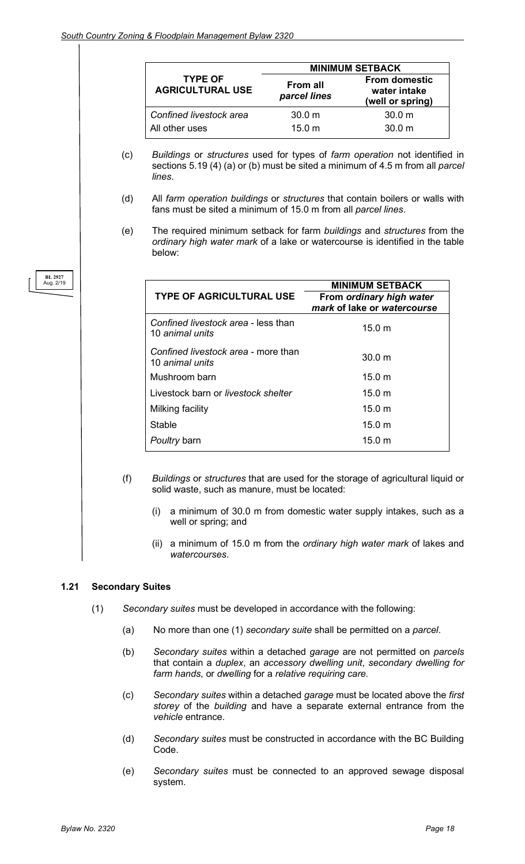|                                           | <b>MINIMUM SETBACK</b>   |                                                          |  |
|-------------------------------------------|--------------------------|----------------------------------------------------------|--|
| <b>TYPE OF</b><br><b>AGRICULTURAL USE</b> | From all<br>parcel lines | <b>From domestic</b><br>water intake<br>(well or spring) |  |
| Confined livestock area                   | 30.0 <sub>m</sub>        | 30.0 <sub>m</sub>                                        |  |
| All other uses                            | 15.0 m                   | 30.0 m                                                   |  |

- (c) *Buildings* or *structures* used for types of *farm operation* not identified in sections 5.19 (4) (a) or (b) must be sited a minimum of 4.5 m from all *parcel lines*.
- (d) All *farm operation buildings* or *structures* that contain boilers or walls with fans must be sited a minimum of 15.0 m from all *parcel lines*.
- (e) The required minimum setback for farm *buildings* and *structures* from the *ordinary high water mark* of a lake or watercourse is identified in the table below:

|                                                        | <b>MINIMUM SETBACK</b>      |
|--------------------------------------------------------|-----------------------------|
| <b>TYPE OF AGRICULTURAL USE</b>                        | From ordinary high water    |
|                                                        | mark of lake or watercourse |
| Confined livestock area - less than<br>10 animal units | 15.0 <sub>m</sub>           |
| Confined livestock area - more than<br>10 animal units | 30.0 m                      |
| Mushroom barn                                          | 15.0 m                      |
| Livestock barn or livestock shelter                    | 15.0 m                      |
| Milking facility                                       | 15.0 m                      |
| Stable                                                 | 15.0 <sub>m</sub>           |
| Poultry barn                                           | 15.0 <sub>m</sub>           |

- (f) *Buildings* or *structures* that are used for the storage of agricultural liquid or solid waste, such as manure, must be located:
	- (i) a minimum of 30.0 m from domestic water supply intakes, such as a well or spring; and
	- (ii) a minimum of 15.0 m from the *ordinary high water mark* of lakes and *watercourses*.

#### **1.21 Secondary Suites**

- (1) *Secondary suites* must be developed in accordance with the following:
	- (a) No more than one (1) *secondary suite* shall be permitted on a *parcel*.
	- (b) *Secondary suites* within a detached *garage* are not permitted on *parcels* that contain a *duplex*, an *accessory dwelling unit*, *secondary dwelling for farm hands*, or *dwelling* for a *relative requiring care.*
	- (c) *Secondary suites* within a detached *garage* must be located above the *first storey* of the *building* and have a separate external entrance from the *vehicle* entrance.
	- (d) *Secondary suites* must be constructed in accordance with the BC Building Code.
	- (e) *Secondary suites* must be connected to an approved sewage disposal system.

**BL 2927** Aug. 2/19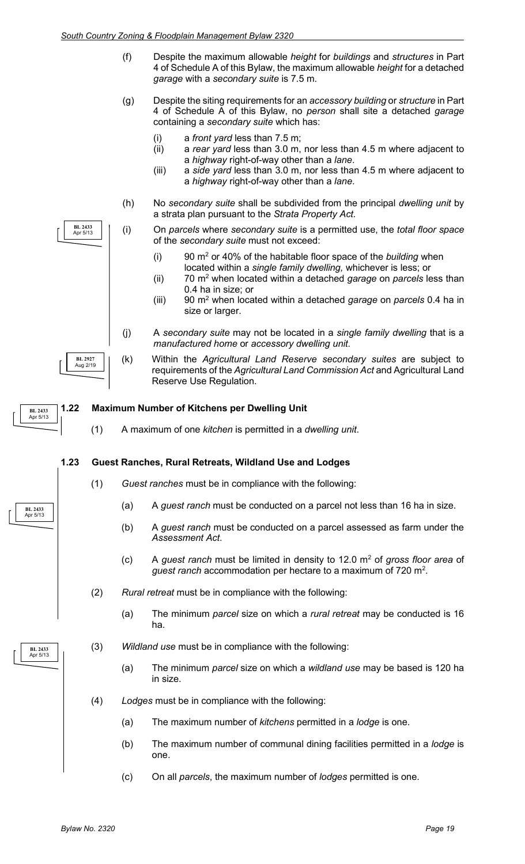- (f) Despite the maximum allowable *height* for *buildings* and *structures* in Part 4 of Schedule A of this Bylaw, the maximum allowable *height* for a detached *garage* with a *secondary suite* is 7.5 m.
- (g) Despite the siting requirements for an *accessory building* or *structure* in Part 4 of Schedule A of this Bylaw, no *person* shall site a detached *garage* containing a *secondary suite* which has:
	- (i) a *front yard* less than 7.5 m;
	- (ii) a *rear yard* less than 3.0 m, nor less than 4.5 m where adjacent to a *highway* right-of-way other than a *lane*.
	- (iii) a *side yard* less than 3.0 m, nor less than 4.5 m where adjacent to a *highway* right-of-way other than a *lane*.
- (h) No *secondary suite* shall be subdivided from the principal *dwelling unit* by a strata plan pursuant to the *Strata Property Act.*
- (i) On *parcels* where *secondary suite* is a permitted use, the *total floor space* of the *secondary suite* must not exceed:
	- (i) 90 m2 or 40% of the habitable floor space of the *building* when located within a *single family dwelling,* whichever is less; or
	- (ii) 70 m2 when located within a detached *garage* on *parcels* less than 0.4 ha in size; or
	- (iii) 90 m2 when located within a detached *garage* on *parcels* 0.4 ha in size or larger.
- (j) A *secondary suite* may not be located in a *single family dwelling* that is a *manufactured home* or *accessory dwelling unit.*
- (k) Within the *Agricultural Land Reserve secondary suites* are subject to requirements of the *Agricultural Land Commission Act* and Agricultural Land Reserve Use Regulation.

#### **1.22 Maximum Number of Kitchens per Dwelling Unit BL 2433** Apr 5/13

(1) A maximum of one *kitchen* is permitted in a *dwelling unit*.

#### **1.23 Guest Ranches, Rural Retreats, Wildland Use and Lodges**

- (1) *Guest ranches* must be in compliance with the following:
	- (a) A *guest ranch* must be conducted on a parcel not less than 16 ha in size.
	- (b) A *guest ranch* must be conducted on a parcel assessed as farm under the *Assessment Act*.
	- (c) A *guest ranch* must be limited in density to 12.0 m2 of *gross floor area* of *guest ranch* accommodation per hectare to a maximum of 720  $m^2$ .
- (2) *Rural retreat* must be in compliance with the following:
	- (a) The minimum *parcel* size on which a *rural retreat* may be conducted is 16 ha.
- (3) *Wildland use* must be in compliance with the following:
	- (a) The minimum *parcel* size on which a *wildland use* may be based is 120 ha in size.
- (4) *Lodges* must be in compliance with the following:
	- (a) The maximum number of *kitchens* permitted in a *lodge* is one.
	- (b) The maximum number of communal dining facilities permitted in a *lodge* is one.
	- (c) On all *parcels*, the maximum number of *lodges* permitted is one.



**BL 2433** Apr 5/13

**BL 2433** Apr 5/13

**BL 2927** Aug 2/19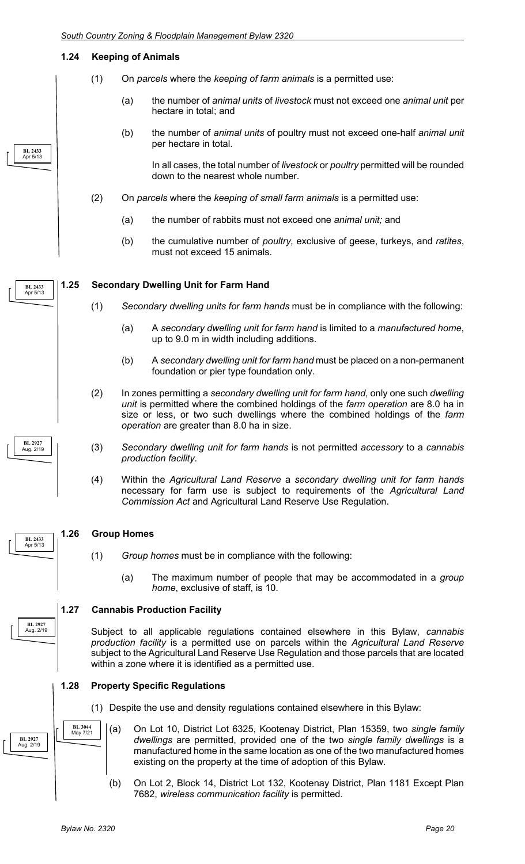#### **1.24 Keeping of Animals**

**BL 2433** Apr 5/13

**BL 2927** Aug. 2/19

Apr 5/13

**BL 2927** Aug. 2/19

**BL 2927** Aug. 2/19

- (1) On *parcels* where the *keeping of farm animals* is a permitted use:
	- (a) the number of *animal units* of *livestock* must not exceed one *animal unit* per hectare in total; and
	- (b) the number of *animal units* of poultry must not exceed one-half *animal unit* per hectare in total.

In all cases, the total number of *livestock* or *poultry* permitted will be rounded down to the nearest whole number.

- (2) On *parcels* where the *keeping of small farm animals* is a permitted use:
	- (a) the number of rabbits must not exceed one *animal unit;* and
	- (b) the cumulative number of *poultry,* exclusive of geese, turkeys, and *ratites*, must not exceed 15 animals.

#### **1.25 Secondary Dwelling Unit for Farm Hand BL 2433** Apr 5/13

- (1) *Secondary dwelling units for farm hands* must be in compliance with the following:
	- (a) A *secondary dwelling unit for farm hand* is limited to a *manufactured home*, up to 9.0 m in width including additions.
	- (b) A *secondary dwelling unit for farm hand* must be placed on a non-permanent foundation or pier type foundation only.
- (2) In zones permitting a *secondary dwelling unit for farm hand*, only one such *dwelling unit* is permitted where the combined holdings of the *farm operation* are 8.0 ha in size or less, or two such dwellings where the combined holdings of the *farm operation* are greater than 8.0 ha in size.
- (3) *Secondary dwelling unit for farm hands* is not permitted *accessory* to a *cannabis production facility*.
- (4) Within the *Agricultural Land Reserve* a *secondary dwelling unit for farm hands* necessary for farm use is subject to requirements of the *Agricultural Land Commission Act* and Agricultural Land Reserve Use Regulation.

#### **1.26 Group Homes BL 2433**

- (1) *Group homes* must be in compliance with the following:
	- (a) The maximum number of people that may be accommodated in a *group home*, exclusive of staff, is 10.

#### **1.27 Cannabis Production Facility**

Subject to all applicable regulations contained elsewhere in this Bylaw, *cannabis production facility* is a permitted use on parcels within the *Agricultural Land Reserve*  subject to the Agricultural Land Reserve Use Regulation and those parcels that are located within a zone where it is identified as a permitted use.

**1.28 Property Specific Regulations**

- (1) Despite the use and density regulations contained elsewhere in this Bylaw:
- (a) On Lot 10, District Lot 6325, Kootenay District, Plan 15359, two *single family dwellings* are permitted, provided one of the two *single family dwellings* is a manufactured home in the same location as one of the two manufactured homes existing on the property at the time of adoption of this Bylaw.
	- (b) On Lot 2, Block 14, District Lot 132, Kootenay District, Plan 1181 Except Plan 7682, *wireless communication facility* is permitted.

**BL 3044** May 7/21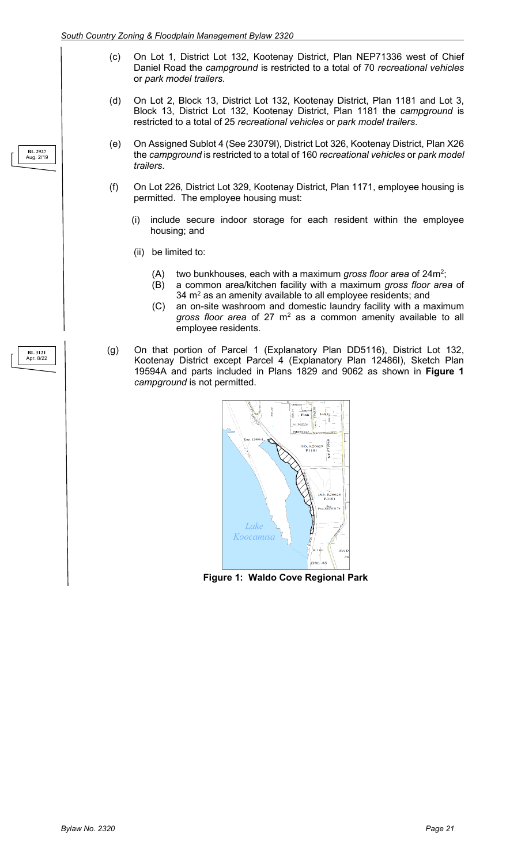- (c) On Lot 1, District Lot 132, Kootenay District, Plan NEP71336 west of Chief Daniel Road the *campground* is restricted to a total of 70 *recreational vehicles* or *park model trailers*.
- (d) On Lot 2, Block 13, District Lot 132, Kootenay District, Plan 1181 and Lot 3, Block 13, District Lot 132, Kootenay District, Plan 1181 the *campground* is restricted to a total of 25 *recreational vehicles* or *park model trailers*.
- (e) On Assigned Sublot 4 (See 23079l), District Lot 326, Kootenay District, Plan X26 the *campground* is restricted to a total of 160 *recreational vehicles* or *park model trailers*.
- (f) On Lot 226, District Lot 329, Kootenay District, Plan 1171, employee housing is permitted. The employee housing must:
	- (i) include secure indoor storage for each resident within the employee housing; and
	- (ii) be limited to:
		- (A) two bunkhouses, each with a maximum *gross floor area* of 24m<sup>2</sup>;
		- (B) a common area/kitchen facility with a maximum *gross floor area* of  $34 \text{ m}^2$  as an amenity available to all employee residents; and
		- (C) an on-site washroom and domestic laundry facility with a maximum gross floor area of 27 m<sup>2</sup> as a common amenity available to all employee residents.
- (g) On that portion of Parcel 1 (Explanatory Plan DD5116), District Lot 132, Kootenay District except Parcel 4 (Explanatory Plan 12486I), Sketch Plan 19594A and parts included in Plans 1829 and 9062 as shown in **Figure 1** *campground* is not permitted.



**Figure 1: Waldo Cove Regional Park**

#### **BL 2927** Aug. 2/19

#### **BL 3121** Apr. 8/22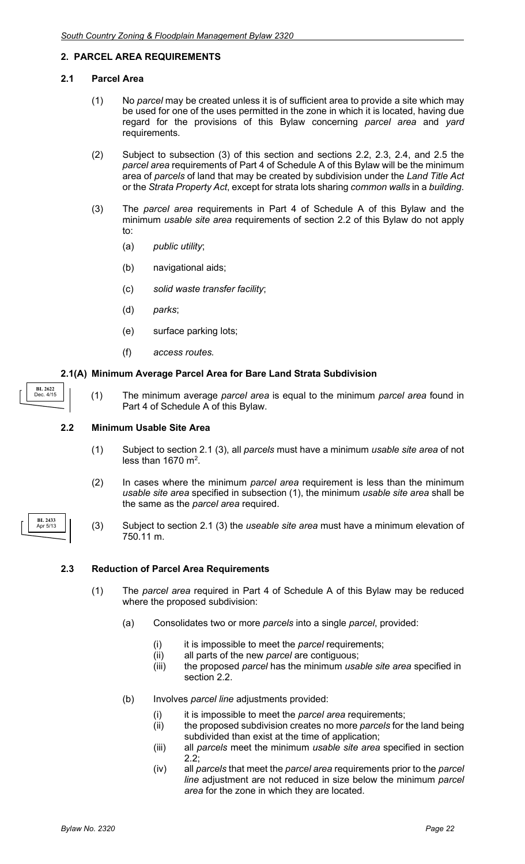#### **2. PARCEL AREA REQUIREMENTS**

#### **2.1 Parcel Area**

- (1) No *parcel* may be created unless it is of sufficient area to provide a site which may be used for one of the uses permitted in the zone in which it is located, having due regard for the provisions of this Bylaw concerning *parcel area* and *yard* requirements.
- (2) Subject to subsection (3) of this section and sections 2.2, 2.3, 2.4, and 2.5 the *parcel area* requirements of Part 4 of Schedule A of this Bylaw will be the minimum area of *parcels* of land that may be created by subdivision under the *Land Title Act* or the *Strata Property Act*, except for strata lots sharing *common walls* in a *building*.
- (3) The *parcel area* requirements in Part 4 of Schedule A of this Bylaw and the minimum *usable site area* requirements of section 2.2 of this Bylaw do not apply to:
	- (a) *public utility*;
	- (b) navigational aids;
	- (c) *solid waste transfer facility*;
	- (d) *parks*;
	- (e) surface parking lots;
	- (f) *access routes.*

#### **2.1(A) Minimum Average Parcel Area for Bare Land Strata Subdivision**

- **BL 2622** Dec. 4/15
- (1) The minimum average *parcel area* is equal to the minimum *parcel area* found in Part 4 of Schedule A of this Bylaw.

#### **2.2 Minimum Usable Site Area**

- (1) Subject to section 2.1 (3), all *parcels* must have a minimum *usable site area* of not less than  $1670 \text{ m}^2$ .
- (2) In cases where the minimum *parcel area* requirement is less than the minimum *usable site area* specified in subsection (1), the minimum *usable site area* shall be the same as the *parcel area* required.
- (3) Subject to section 2.1 (3) the *useable site area* must have a minimum elevation of 750.11 m.

#### **2.3 Reduction of Parcel Area Requirements**

- (1) The *parcel area* required in Part 4 of Schedule A of this Bylaw may be reduced where the proposed subdivision:
	- (a) Consolidates two or more *parcels* into a single *parcel*, provided:
		- (i) it is impossible to meet the *parcel* requirements;
		- (ii) all parts of the new *parcel* are contiguous;
		- (iii) the proposed *parcel* has the minimum *usable site area* specified in section 2.2.
	- (b) Involves *parcel line* adjustments provided:
		- it is impossible to meet the *parcel area* requirements;
		- (ii) the proposed subdivision creates no more *parcels* for the land being subdivided than exist at the time of application;
		- (iii) all *parcels* meet the minimum *usable site area* specified in section 2.2;
		- (iv) all *parcels* that meet the *parcel area* requirements prior to the *parcel line* adjustment are not reduced in size below the minimum *parcel area* for the zone in which they are located.

| BL 2433<br>Apr 5/13 |  |
|---------------------|--|
|---------------------|--|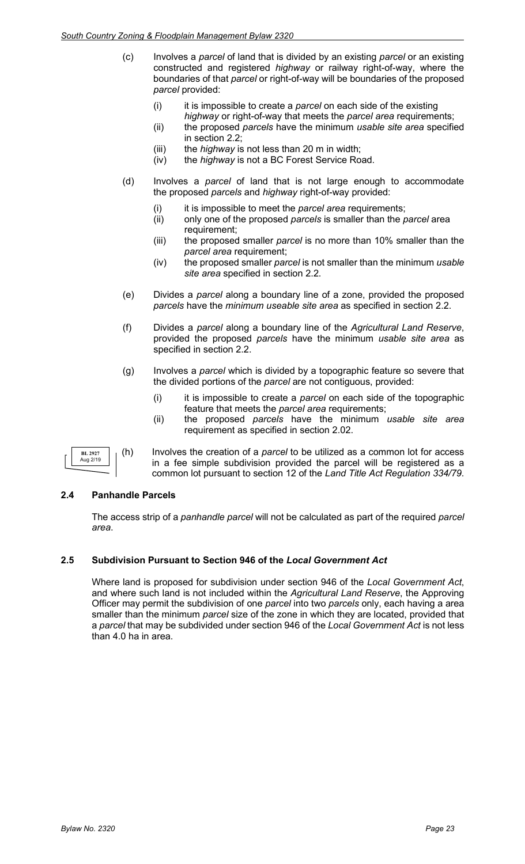- (c) Involves a *parcel* of land that is divided by an existing *parcel* or an existing constructed and registered *highway* or railway right-of-way, where the boundaries of that *parcel* or right-of-way will be boundaries of the proposed *parcel* provided:
	- (i) it is impossible to create a *parcel* on each side of the existing *highway* or right-of-way that meets the *parcel area* requirements;
	- (ii) the proposed *parcels* have the minimum *usable site area* specified in section 2.2;
	- (iii) the *highway* is not less than 20 m in width;
	- (iv) the *highway* is not a BC Forest Service Road.
- (d) Involves a *parcel* of land that is not large enough to accommodate the proposed *parcels* and *highway* right-of-way provided:
	- (i) it is impossible to meet the *parcel area* requirements;<br>(ii) only one of the proposed *parcels* is smaller than the *p*
	- (ii) only one of the proposed *parcels* is smaller than the *parcel* area requirement;
	- (iii) the proposed smaller *parcel* is no more than 10% smaller than the *parcel area* requirement;
	- (iv) the proposed smaller *parcel* is not smaller than the minimum *usable site area* specified in section 2.2.
- (e) Divides a *parcel* along a boundary line of a zone, provided the proposed *parcels* have the *minimum useable site area* as specified in section 2.2.
- (f) Divides a *parcel* along a boundary line of the *Agricultural Land Reserve*, provided the proposed *parcels* have the minimum *usable site area* as specified in section 2.2.
- (g) Involves a *parcel* which is divided by a topographic feature so severe that the divided portions of the *parcel* are not contiguous, provided:
	- (i) it is impossible to create a *parcel* on each side of the topographic feature that meets the *parcel area* requirements;
	- (ii) the proposed *parcels* have the minimum *usable site area* requirement as specified in section 2.02.

**BL 2927** Aug 2/19

(h) Involves the creation of a *parcel* to be utilized as a common lot for access in a fee simple subdivision provided the parcel will be registered as a common lot pursuant to section 12 of the *Land Title Act Regulation 334/79*.

#### **2.4 Panhandle Parcels**

The access strip of a *panhandle parcel* will not be calculated as part of the required *parcel area*.

#### **2.5 Subdivision Pursuant to Section 946 of the** *Local Government Act*

Where land is proposed for subdivision under section 946 of the *Local Government Act*, and where such land is not included within the *Agricultural Land Reserve*, the Approving Officer may permit the subdivision of one *parcel* into two *parcels* only, each having a area smaller than the minimum *parcel* size of the zone in which they are located, provided that a *parcel* that may be subdivided under section 946 of the *Local Government Act* is not less than 4.0 ha in area.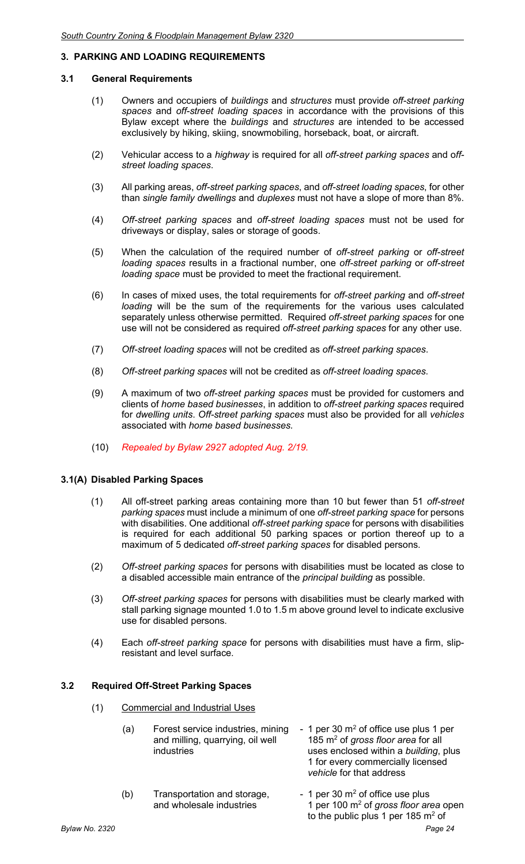#### **3. PARKING AND LOADING REQUIREMENTS**

#### **3.1 General Requirements**

- (1) Owners and occupiers of *buildings* and *structures* must provide *off-street parking spaces* and *off-street loading spaces* in accordance with the provisions of this Bylaw except where the *buildings* and *structures* are intended to be accessed exclusively by hiking, skiing, snowmobiling, horseback, boat, or aircraft.
- (2) Vehicular access to a *highway* is required for all *off-street parking spaces* and o*ffstreet loading spaces*.
- (3) All parking areas, *off-street parking spaces*, and *off-street loading spaces*, for other than *single family dwellings* and *duplexes* must not have a slope of more than 8%.
- (4) *Off-street parking spaces* and *off-street loading spaces* must not be used for driveways or display, sales or storage of goods.
- (5) When the calculation of the required number of *off-street parking* or *off-street loading spaces* results in a fractional number, one *off-street parking* or *off-street loading space* must be provided to meet the fractional requirement.
- (6) In cases of mixed uses, the total requirements for *off-street parking* and *off-street loading* will be the sum of the requirements for the various uses calculated separately unless otherwise permitted. Required *off-street parking spaces* for one use will not be considered as required *off-street parking spaces* for any other use.
- (7) *Off-street loading spaces* will not be credited as *off-street parking spaces*.
- (8) *Off-street parking spaces* will not be credited as *off-street loading spaces*.
- (9) A maximum of two *off-street parking spaces* must be provided for customers and clients of *home based businesses*, in addition to *off-street parking spaces* required for *dwelling units*. *Off-street parking spaces* must also be provided for all *vehicles*  associated with *home based businesses.*
- (10) *Repealed by Bylaw 2927 adopted Aug. 2/19.*

#### **3.1(A) Disabled Parking Spaces**

- (1) All off-street parking areas containing more than 10 but fewer than 51 *off-street parking spaces* must include a minimum of one *off-street parking space* for persons with disabilities. One additional *off-street parking space* for persons with disabilities is required for each additional 50 parking spaces or portion thereof up to a maximum of 5 dedicated *off-street parking spaces* for disabled persons.
- (2) *Off-street parking spaces* for persons with disabilities must be located as close to a disabled accessible main entrance of the *principal building* as possible.
- (3) *Off-street parking spaces* for persons with disabilities must be clearly marked with stall parking signage mounted 1.0 to 1.5 m above ground level to indicate exclusive use for disabled persons.
- (4) Each *off-street parking space* for persons with disabilities must have a firm, slipresistant and level surface.

#### **3.2 Required Off-Street Parking Spaces**

- (1) Commercial and Industrial Uses
	- (a) Forest service industries, mining  $-1$  per 30 m<sup>2</sup> of office use plus 1 per and milling, quarrying, oil well  $-185$  m<sup>2</sup> of gross floor area for all and milling, quarrying, oil well 185 m<sup>2</sup> of *gross floor area* for all<br>industries<br>uses enclosed within a *building* uses enclosed within a *building*, plus 1 for every commercially licensed
	- (b) Transportation and storage,  $\frac{1}{2}$  of office use plus and wholesale industries  $\frac{1}{2}$  per 100 m<sup>2</sup> of gross floor and 1 per 100 m<sup>2</sup> of *gross floor area* open to the public plus 1 per 185  $\mathrm{m}^2$  of

*vehicle* for that address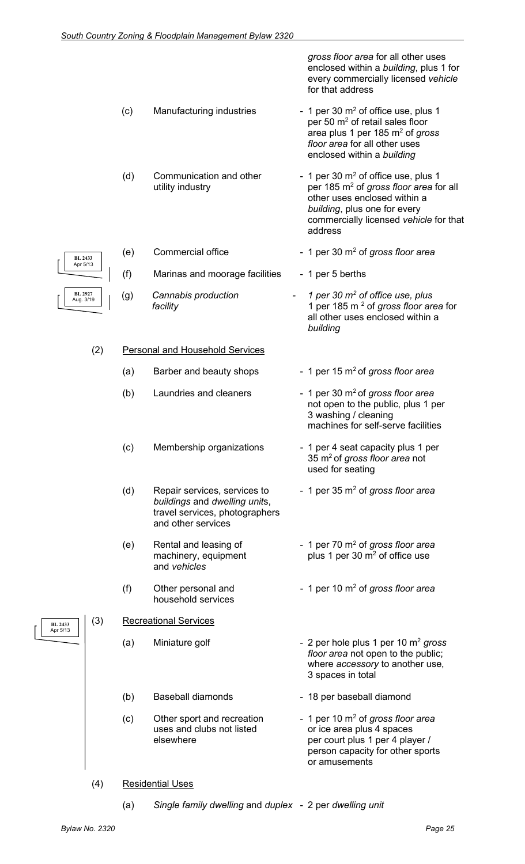*gross floor area* for all other uses enclosed within a *building*, plus 1 for every commercially licensed *vehicle* for that address

commercially licensed *vehicle* for that

- (c) Manufacturing industries  $\sim$  1 per 30 m<sup>2</sup> of office use, plus 1 per 50 m<sup>2</sup> of retail sales floor area plus 1 per 185 m2 of *gross floor area* for all other uses enclosed within a *building*
- (d) Communication and other  $\frac{1}{2}$  of office use, plus 1<br>per 185 m<sup>2</sup> of *gross floor area* four industry per 185 m<sup>2</sup> of *gross floor area* for all other uses enclosed within a *building*, plus one for every

address

*building*

- (e) Commercial office 1 per 30 m2 of *gross floor area* (f) Marinas and moorage facilities - 1 per 5 berths
- (g) *Cannabis production - 1 per 30 m<sup>2</sup> of office use, plus facility* 1 per 185 m 2 of *gross floor area* for

(2) Personal and Household Services

- (a) Barber and beauty shops 1 per 15 m<sup>2</sup> of *gross floor area*
- (b) Laundries and cleaners  $\sim$  1 per 30 m<sup>2</sup> of *gross floor area* not open to the public, plus 1 per
- (c) Membership organizations 1 per 4 seat capacity plus 1 per
- (d) Repair services, services to 1 per 35 m2 of *gross floor area buildings* and *dwelling unit*s, travel services, photographers and other services
- and *vehicles*
- household services

#### (3) Recreational Services

- 
- (b) Baseball diamonds 18 per baseball diamond
- 
- 3 washing / cleaning
	- machines for self-serve facilities

all other uses enclosed within a

- 35 m2 of *gross floor area* not used for seating
- 
- (e) Rental and leasing of  $\qquad \qquad$  1 per 70 m<sup>2</sup> of *gross floor area*<br>machinery, equipment  $\qquad \qquad$  plus 1 per 30 m<sup>2</sup> of office use plus 1 per 30  $m<sup>2</sup>$  of office use
- (f) Other personal and  $\blacksquare$  1 per 10 m<sup>2</sup> of *gross floor area*
- (a) Miniature golf 2 per hole plus 1 per 10 m<sup>2</sup> gross *floor area* not open to the public; where *accessory* to another use, 3 spaces in total
	-
- (c) Other sport and recreation 1 per 10 m<sup>2</sup> of *gross floor area*<br>uses and clubs not listed or ice area plus 4 spaces uses and clubs not listed or ice area plus 4 spaces<br>elsewhere ourt blus 1 per 4 play per court plus 1 per 4 player / person capacity for other sports or amusements
- (4) Residential Uses
	- (a) *Single family dwelling* and *duplex* 2 per *dwelling unit*

**BL 2433** Apr 5/13

**BL 2433** Apr 5/13

**BL 2927** Aug. 3/19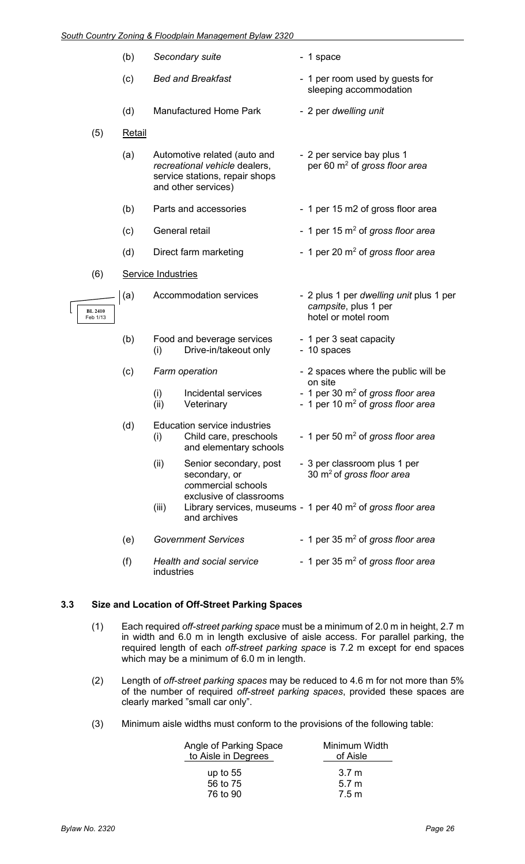|                            | (b)           | Secondary suite                                                                                                        | - 1 space                                                                              |
|----------------------------|---------------|------------------------------------------------------------------------------------------------------------------------|----------------------------------------------------------------------------------------|
|                            | (c)           | <b>Bed and Breakfast</b>                                                                                               | - 1 per room used by guests for<br>sleeping accommodation                              |
|                            | (d)           | <b>Manufactured Home Park</b>                                                                                          | - 2 per dwelling unit                                                                  |
| (5)                        | <b>Retail</b> |                                                                                                                        |                                                                                        |
|                            | (a)           | Automotive related (auto and<br>recreational vehicle dealers,<br>service stations, repair shops<br>and other services) | - 2 per service bay plus 1<br>per 60 m <sup>2</sup> of gross floor area                |
|                            | (b)           | Parts and accessories                                                                                                  | - 1 per 15 m2 of gross floor area                                                      |
|                            | (c)           | General retail                                                                                                         | - 1 per 15 $m2$ of gross floor area                                                    |
|                            | (d)           | Direct farm marketing                                                                                                  | - 1 per 20 m <sup>2</sup> of gross floor area                                          |
| (6)                        |               | <b>Service Industries</b>                                                                                              |                                                                                        |
| <b>BL 2410</b><br>Feb 1/13 | (a)           | Accommodation services                                                                                                 | - 2 plus 1 per dwelling unit plus 1 per<br>campsite, plus 1 per<br>hotel or motel room |
|                            | (b)           | Food and beverage services<br>Drive-in/takeout only<br>(i)                                                             | - 1 per 3 seat capacity<br>- 10 spaces                                                 |
|                            | (c)           | Farm operation                                                                                                         | - 2 spaces where the public will be<br>on site                                         |
|                            |               | Incidental services<br>(i)<br>(ii)<br>Veterinary                                                                       | - 1 per 30 $m2$ of gross floor area<br>- 1 per 10 $m2$ of gross floor area             |
|                            | (d)           | Education service industries<br>(i)<br>Child care, preschools<br>and elementary schools                                | - 1 per 50 $\mathrm{m}^2$ of gross floor area                                          |
|                            |               | (ii)<br>Senior secondary, post<br>secondary, or<br>commercial schools                                                  | - 3 per classroom plus 1 per<br>30 $\mathrm{m}^2$ of gross floor area                  |
|                            |               | exclusive of classrooms<br>(iii)<br>and archives                                                                       | Library services, museums - 1 per 40 $\mathrm{m}^2$ of gross floor area                |
|                            | (e)           | <b>Government Services</b>                                                                                             | - 1 per 35 $\mathrm{m}^2$ of gross floor area                                          |
|                            | (f)           | Health and social service<br>industries                                                                                | - 1 per 35 $\mathrm{m}^2$ of gross floor area                                          |

#### **3.3 Size and Location of Off-Street Parking Spaces**

- (1) Each required *off-street parking space* must be a minimum of 2.0 m in height, 2.7 m in width and 6.0 m in length exclusive of aisle access. For parallel parking, the required length of each *off-street parking space* is 7.2 m except for end spaces which may be a minimum of 6.0 m in length.
- (2) Length of *off-street parking spaces* may be reduced to 4.6 m for not more than 5% of the number of required *off-street parking spaces*, provided these spaces are clearly marked "small car only".
- (3) Minimum aisle widths must conform to the provisions of the following table:

| Angle of Parking Space<br>to Aisle in Degrees | Minimum Width<br>of Aisle |
|-----------------------------------------------|---------------------------|
| up to $55$                                    | 3.7 m                     |
| 56 to 75                                      | 5.7 <sub>m</sub>          |
| 76 to 90                                      | 7.5 m                     |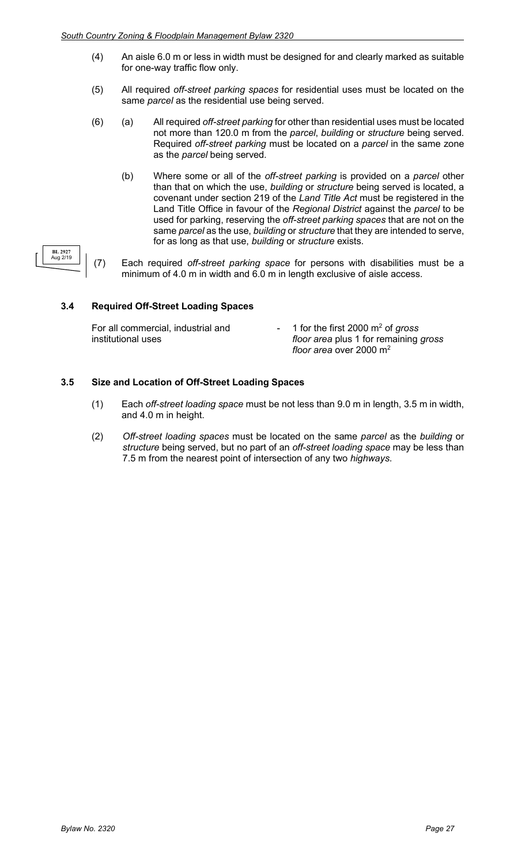- (4) An aisle 6.0 m or less in width must be designed for and clearly marked as suitable for one-way traffic flow only.
- (5) All required *off-street parking spaces* for residential uses must be located on the same *parcel* as the residential use being served.
- (6) (a) All required *off-street parking* for other than residential uses must be located not more than 120.0 m from the *parcel*, *building* or *structure* being served. Required *off-street parking* must be located on a *parcel* in the same zone as the *parcel* being served.
	- (b) Where some or all of the *off-street parking* is provided on a *parcel* other than that on which the use, *building* or *structure* being served is located, a covenant under section 219 of the *Land Title Act* must be registered in the Land Title Office in favour of the *Regional District* against the *parcel* to be used for parking, reserving the *off-street parking spaces* that are not on the same *parcel* as the use, *building* or *structure* that they are intended to serve, for as long as that use, *building* or *structure* exists.
- (7) Each required *off-street parking space* for persons with disabilities must be a minimum of 4.0 m in width and 6.0 m in length exclusive of aisle access.

#### **3.4 Required Off-Street Loading Spaces**

**BL 2927** Aug 2/19

| For all commercial, industrial and | - 1 for the first 2000 $\mathrm{m}^2$ of gross |
|------------------------------------|------------------------------------------------|
| institutional uses                 | floor area plus 1 for remaining gross          |
|                                    | floor area over 2000 $m2$                      |

#### **3.5 Size and Location of Off-Street Loading Spaces**

- (1) Each *off-street loading space* must be not less than 9.0 m in length, 3.5 m in width, and 4.0 m in height.
- (2) *Off-street loading spaces* must be located on the same *parcel* as the *building* or *structure* being served, but no part of an *off-street loading space* may be less than 7.5 m from the nearest point of intersection of any two *highways*.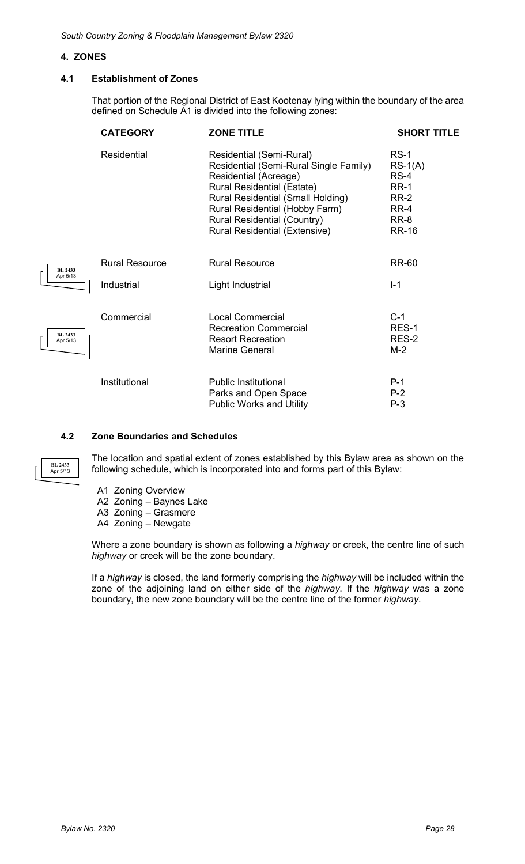#### **4. ZONES**

**BL 2433** Apr 5/13

**BL 2433** Apr 5/13

**BL 2433** Apr 5/13

#### **4.1 Establishment of Zones**

That portion of the Regional District of East Kootenay lying within the boundary of the area defined on Schedule A1 is divided into the following zones:

| <b>CATEGORY</b>       | <b>ZONE TITLE</b>                                                                                                                                                                                                                                                                     | <b>SHORT TITLE</b>                                                                          |
|-----------------------|---------------------------------------------------------------------------------------------------------------------------------------------------------------------------------------------------------------------------------------------------------------------------------------|---------------------------------------------------------------------------------------------|
| <b>Residential</b>    | Residential (Semi-Rural)<br>Residential (Semi-Rural Single Family)<br>Residential (Acreage)<br><b>Rural Residential (Estate)</b><br>Rural Residential (Small Holding)<br>Rural Residential (Hobby Farm)<br><b>Rural Residential (Country)</b><br><b>Rural Residential (Extensive)</b> | $RS-1$<br>$RS-1(A)$<br>$RS-4$<br><b>RR-1</b><br><b>RR-2</b><br>RR-4<br>RR-8<br><b>RR-16</b> |
| <b>Rural Resource</b> | <b>Rural Resource</b>                                                                                                                                                                                                                                                                 | RR-60                                                                                       |
| Industrial            | Light Industrial                                                                                                                                                                                                                                                                      | $I - 1$                                                                                     |
| Commercial            | <b>Local Commercial</b><br><b>Recreation Commercial</b><br><b>Resort Recreation</b><br>Marine General                                                                                                                                                                                 | $C-1$<br>RES-1<br>RES-2<br>M-2                                                              |
| Institutional         | <b>Public Institutional</b><br>Parks and Open Space<br><b>Public Works and Utility</b>                                                                                                                                                                                                | $P-1$<br>$P-2$<br>$P-3$                                                                     |

#### **4.2 Zone Boundaries and Schedules**

The location and spatial extent of zones established by this Bylaw area as shown on the following schedule, which is incorporated into and forms part of this Bylaw:

- A1 Zoning Overview
- A2 Zoning Baynes Lake
- A3 Zoning Grasmere
- A4 Zoning Newgate

Where a zone boundary is shown as following a *highway* or creek, the centre line of such *highway* or creek will be the zone boundary.

If a *highway* is closed, the land formerly comprising the *highway* will be included within the zone of the adjoining land on either side of the *highway*. If the *highway* was a zone boundary, the new zone boundary will be the centre line of the former *highway*.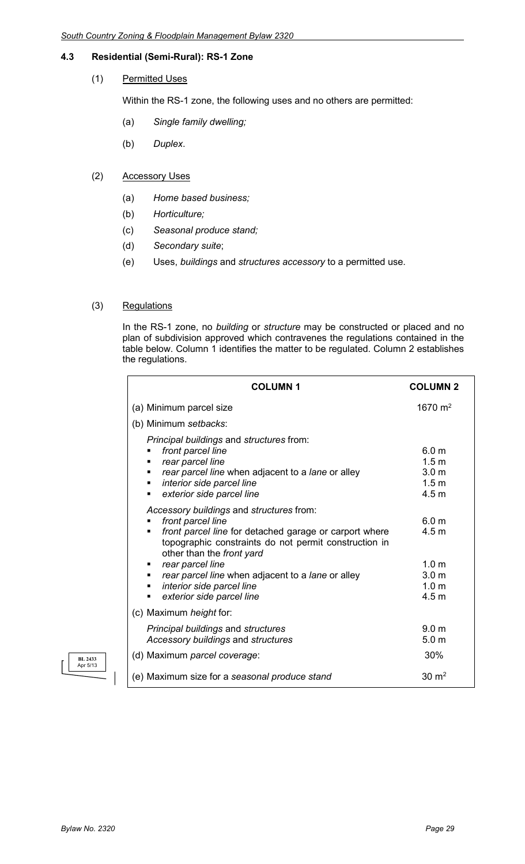#### **4.3 Residential (Semi-Rural): RS-1 Zone**

#### (1) Permitted Uses

Within the RS-1 zone, the following uses and no others are permitted:

- (a) *Single family dwelling;*
- (b) *Duplex*.

#### (2) Accessory Uses

- (a) *Home based business;*
- (b) *Horticulture;*
- (c) *Seasonal produce stand;*
- (d) *Secondary suite*;
- (e) Uses, *buildings* and *structures accessory* to a permitted use.

#### (3) Regulations

In the RS-1 zone, no *building* or *structure* may be constructed or placed and no plan of subdivision approved which contravenes the regulations contained in the table below. Column 1 identifies the matter to be regulated. Column 2 establishes the regulations.

| <b>COLUMN1</b>                                                                                                                                                                                                                                                                                                                          | <b>COLUMN 2</b>                                                                                  |
|-----------------------------------------------------------------------------------------------------------------------------------------------------------------------------------------------------------------------------------------------------------------------------------------------------------------------------------------|--------------------------------------------------------------------------------------------------|
| (a) Minimum parcel size                                                                                                                                                                                                                                                                                                                 | 1670 $m2$                                                                                        |
| (b) Minimum setbacks:                                                                                                                                                                                                                                                                                                                   |                                                                                                  |
| Principal buildings and structures from:<br>front parcel line<br>rear parcel line<br>rear parcel line when adjacent to a lane or alley<br>interior side parcel line<br>п<br>exterior side parcel line<br>п                                                                                                                              | 6.0 <sub>m</sub><br>1.5 <sub>m</sub><br>3.0 <sub>m</sub><br>1.5 <sub>m</sub><br>4.5 <sub>m</sub> |
| Accessory buildings and structures from:<br>front parcel line<br>front parcel line for detached garage or carport where<br>п<br>topographic constraints do not permit construction in<br>other than the front yard<br>rear parcel line<br>п<br>rear parcel line when adjacent to a lane or alley<br>п<br>interior side parcel line<br>٠ | 6.0 <sub>m</sub><br>4.5 <sub>m</sub><br>1.0 <sub>m</sub><br>3.0 <sub>m</sub><br>1.0 <sub>m</sub> |
| exterior side parcel line                                                                                                                                                                                                                                                                                                               | 4.5 <sub>m</sub>                                                                                 |
| (c) Maximum height for:                                                                                                                                                                                                                                                                                                                 |                                                                                                  |
| Principal buildings and structures<br>Accessory buildings and structures                                                                                                                                                                                                                                                                | 9.0 <sub>m</sub><br>5.0 <sub>m</sub>                                                             |
| (d) Maximum parcel coverage:                                                                                                                                                                                                                                                                                                            | 30%                                                                                              |
| (e) Maximum size for a seasonal produce stand                                                                                                                                                                                                                                                                                           | $30 \text{ m}^2$                                                                                 |

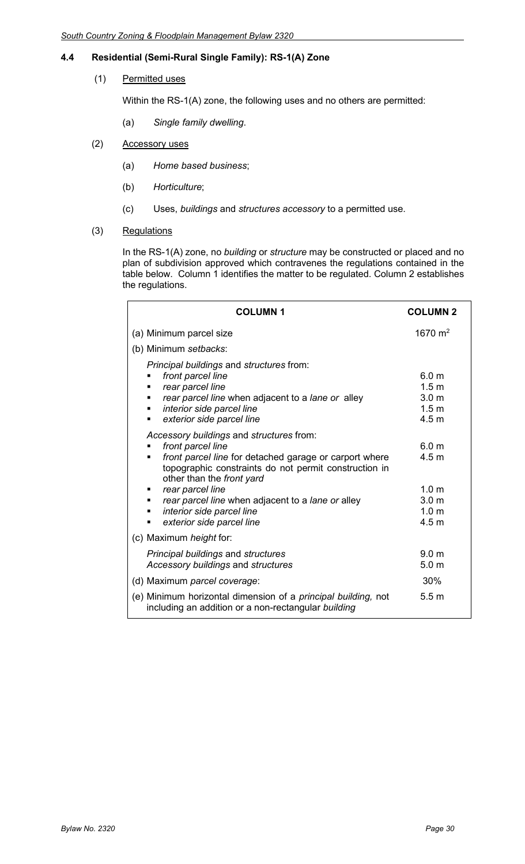#### **4.4 Residential (Semi-Rural Single Family): RS-1(A) Zone**

#### (1) Permitted uses

Within the RS-1(A) zone, the following uses and no others are permitted:

(a) *Single family dwelling*.

#### (2) Accessory uses

- (a) *Home based business*;
- (b) *Horticulture*;
- (c) Uses, *buildings* and *structures accessory* to a permitted use.

#### (3) Regulations

In the RS-1(A) zone, no *building* or *structure* may be constructed or placed and no plan of subdivision approved which contravenes the regulations contained in the table below. Column 1 identifies the matter to be regulated. Column 2 establishes the regulations.

| <b>COLUMN1</b>                                                                                                                                                                                                                                                                                                                                   | <b>COLUMN 2</b>                                                                                                      |
|--------------------------------------------------------------------------------------------------------------------------------------------------------------------------------------------------------------------------------------------------------------------------------------------------------------------------------------------------|----------------------------------------------------------------------------------------------------------------------|
| (a) Minimum parcel size                                                                                                                                                                                                                                                                                                                          | 1670 $m2$                                                                                                            |
| (b) Minimum setbacks:                                                                                                                                                                                                                                                                                                                            |                                                                                                                      |
| Principal buildings and structures from:<br>front parcel line<br>rear parcel line<br>rear parcel line when adjacent to a lane or alley<br>interior side parcel line<br>п<br>exterior side parcel line                                                                                                                                            | 6.0 m<br>1.5 <sub>m</sub><br>3.0 <sub>m</sub><br>1.5 <sub>m</sub><br>4.5 <sub>m</sub>                                |
| Accessory buildings and structures from:<br>front parcel line<br>front parcel line for detached garage or carport where<br>topographic constraints do not permit construction in<br>other than the front yard<br>rear parcel line<br>rear parcel line when adjacent to a lane or alley<br>interior side parcel line<br>exterior side parcel line | 6.0 <sub>m</sub><br>4.5 <sub>m</sub><br>1.0 <sub>m</sub><br>3.0 <sub>m</sub><br>1.0 <sub>m</sub><br>4.5 <sub>m</sub> |
| (c) Maximum height for:                                                                                                                                                                                                                                                                                                                          |                                                                                                                      |
| Principal buildings and structures<br>Accessory buildings and structures                                                                                                                                                                                                                                                                         | 9.0 <sub>m</sub><br>5.0 <sub>m</sub>                                                                                 |
| (d) Maximum parcel coverage:                                                                                                                                                                                                                                                                                                                     | 30%                                                                                                                  |
| (e) Minimum horizontal dimension of a <i>principal building</i> , not<br>including an addition or a non-rectangular building                                                                                                                                                                                                                     | 5.5 <sub>m</sub>                                                                                                     |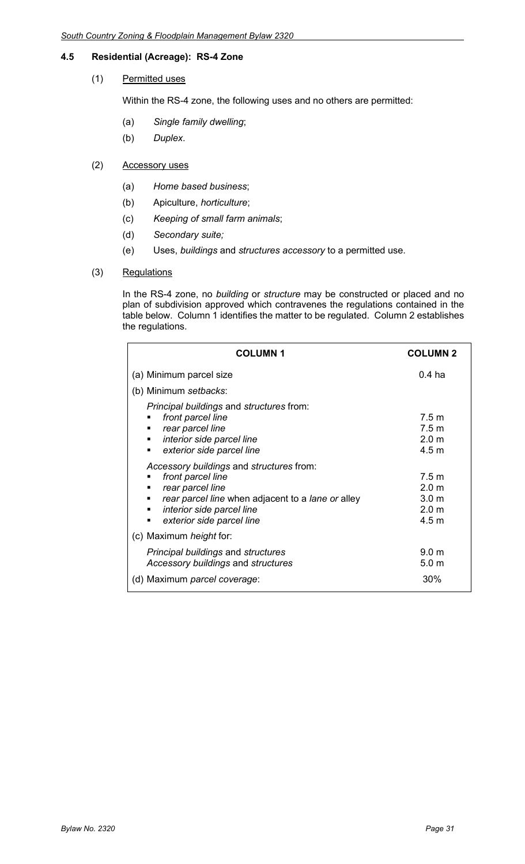#### **4.5 Residential (Acreage): RS-4 Zone**

#### (1) Permitted uses

Within the RS-4 zone, the following uses and no others are permitted:

- (a) *Single family dwelling*;
- (b) *Duplex*.

#### (2) Accessory uses

- (a) *Home based business*;
- (b) Apiculture, *horticulture*;
- (c) *Keeping of small farm animals*;
- (d) *Secondary suite;*
- (e) Uses, *buildings* and *structures accessory* to a permitted use.

#### (3) Regulations

In the RS-4 zone, no *building* or *structure* may be constructed or placed and no plan of subdivision approved which contravenes the regulations contained in the table below. Column 1 identifies the matter to be regulated. Column 2 establishes the regulations.

| <b>COLUMN1</b>                                                                                                                                                                                                                         | <b>COLUMN 2</b>                                                                                  |
|----------------------------------------------------------------------------------------------------------------------------------------------------------------------------------------------------------------------------------------|--------------------------------------------------------------------------------------------------|
| (a) Minimum parcel size                                                                                                                                                                                                                | $0.4$ ha                                                                                         |
| (b) Minimum setbacks:                                                                                                                                                                                                                  |                                                                                                  |
| Principal buildings and structures from:<br>front parcel line<br>rear parcel line<br>п<br>interior side parcel line<br>٠<br>exterior side parcel line<br>٠                                                                             | 7.5 <sub>m</sub><br>7.5 <sub>m</sub><br>2.0 <sub>m</sub><br>4.5 <sub>m</sub>                     |
| Accessory buildings and structures from:<br>front parcel line<br>٠<br>rear parcel line<br>٠<br>rear parcel line when adjacent to a lane or alley<br>٠<br>interior side parcel line<br>$\blacksquare$<br>exterior side parcel line<br>٠ | 7.5 <sub>m</sub><br>2.0 <sub>m</sub><br>3.0 <sub>m</sub><br>2.0 <sub>m</sub><br>4.5 <sub>m</sub> |
| (c) Maximum <i>height</i> for:                                                                                                                                                                                                         |                                                                                                  |
| <b>Principal buildings and structures</b><br>Accessory buildings and structures<br>(d) Maximum parcel coverage:                                                                                                                        | 9.0 <sub>m</sub><br>5.0 <sub>m</sub><br>30%                                                      |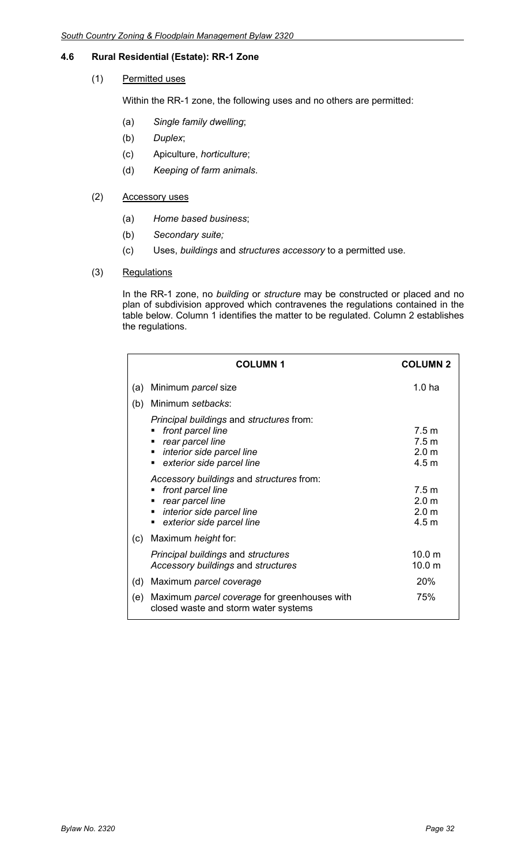#### **4.6 Rural Residential (Estate): RR-1 Zone**

#### (1) Permitted uses

Within the RR-1 zone, the following uses and no others are permitted:

- (a) *Single family dwelling*;
- (b) *Duplex*;
- (c) Apiculture, *horticulture*;
- (d) *Keeping of farm animals*.

#### (2) Accessory uses

- (a) *Home based business*;
- (b) *Secondary suite;*
- (c) Uses, *buildings* and *structures accessory* to a permitted use.

#### (3) Regulations

In the RR-1 zone, no *building* or *structure* may be constructed or placed and no plan of subdivision approved which contravenes the regulations contained in the table below. Column 1 identifies the matter to be regulated. Column 2 establishes the regulations.

|     | <b>COLUMN 1</b>                                                                                                                                            | <b>COLUMN 2</b>                                                              |
|-----|------------------------------------------------------------------------------------------------------------------------------------------------------------|------------------------------------------------------------------------------|
| (a) | Minimum parcel size                                                                                                                                        | 1.0 <sub>ha</sub>                                                            |
| (b) | Minimum setbacks:                                                                                                                                          |                                                                              |
|     | Principal buildings and structures from:<br>front parcel line<br>rear parcel line<br>٠<br>interior side parcel line<br>٠<br>exterior side parcel line<br>٠ | 7.5 <sub>m</sub><br>7.5 <sub>m</sub><br>2.0 <sub>m</sub><br>4.5 <sub>m</sub> |
|     | Accessory buildings and structures from:<br>front parcel line<br>rear parcel line<br>interior side parcel line<br>٠<br>exterior side parcel line           | 7.5 <sub>m</sub><br>2.0 <sub>m</sub><br>2.0 <sub>m</sub><br>4.5 <sub>m</sub> |
| (c) | Maximum height for:                                                                                                                                        |                                                                              |
|     | <b>Principal buildings and structures</b><br>Accessory buildings and structures                                                                            | 10.0 <sub>m</sub><br>10.0 <sub>m</sub>                                       |
| (d) | Maximum parcel coverage                                                                                                                                    | 20%                                                                          |
| (e) | Maximum parcel coverage for greenhouses with<br>closed waste and storm water systems                                                                       | 75%                                                                          |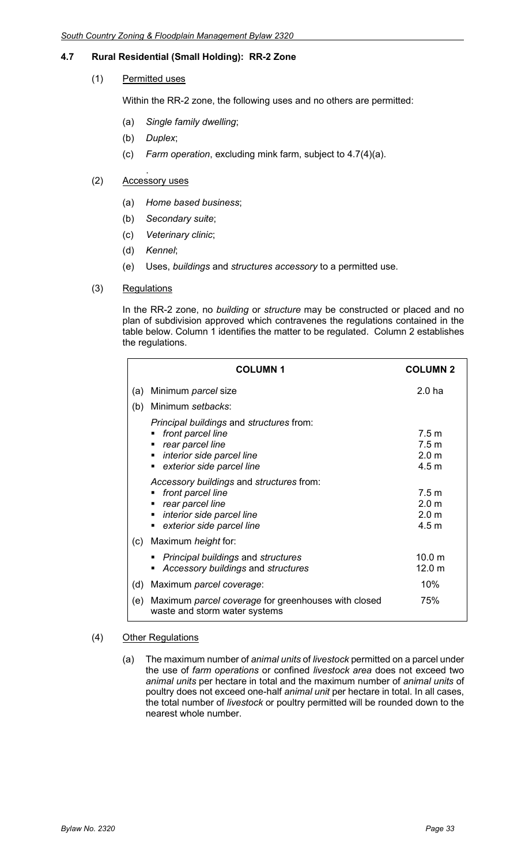### **4.7 Rural Residential (Small Holding): RR-2 Zone**

#### (1) Permitted uses

Within the RR-2 zone, the following uses and no others are permitted:

- (a) *Single family dwelling*;
- (b) *Duplex*;
- (c) *Farm operation*, excluding mink farm, subject to 4.7(4)(a).

#### . (2) Accessory uses

- (a) *Home based business*;
- (b) *Secondary suite*;
- (c) *Veterinary clinic*;
- (d) *Kennel*;
- (e) Uses, *buildings* and *structures accessory* to a permitted use.
- (3) Regulations

In the RR-2 zone, no *building* or *structure* may be constructed or placed and no plan of subdivision approved which contravenes the regulations contained in the table below. Column 1 identifies the matter to be regulated. Column 2 establishes the regulations.

|     | <b>COLUMN1</b>                                                                                                                                                    | <b>COLUMN 2</b>                                                              |
|-----|-------------------------------------------------------------------------------------------------------------------------------------------------------------------|------------------------------------------------------------------------------|
| (a) | Minimum parcel size                                                                                                                                               | 2.0 <sub>ha</sub>                                                            |
| (b) | Minimum setbacks:                                                                                                                                                 |                                                                              |
|     | <i>Principal buildings and structures from:</i><br>front parcel line<br>rear parcel line<br>٠<br>interior side parcel line<br>٠<br>exterior side parcel line<br>٠ | 7.5 m<br>7.5 <sub>m</sub><br>2.0 <sub>m</sub><br>4.5 <sub>m</sub>            |
|     | Accessory buildings and structures from:<br>front parcel line<br>п<br>rear parcel line<br>٠<br>interior side parcel line<br>٠<br>exterior side parcel line<br>٠   | 7.5 <sub>m</sub><br>2.0 <sub>m</sub><br>2.0 <sub>m</sub><br>4.5 <sub>m</sub> |
| (c) | Maximum height for:                                                                                                                                               |                                                                              |
|     | <b>Principal buildings and structures</b><br>Accessory buildings and structures                                                                                   | 10.0 m<br>12.0 <sub>m</sub>                                                  |
| (d) | Maximum parcel coverage:                                                                                                                                          | 10%                                                                          |
| (e) | Maximum parcel coverage for greenhouses with closed<br>waste and storm water systems                                                                              | 75%                                                                          |

#### (4) Other Regulations

(a) The maximum number of *animal units* of *livestock* permitted on a parcel under the use of *farm operations* or confined *livestock area* does not exceed two *animal units* per hectare in total and the maximum number of *animal units* of poultry does not exceed one-half *animal unit* per hectare in total. In all cases, the total number of *livestock* or poultry permitted will be rounded down to the nearest whole number.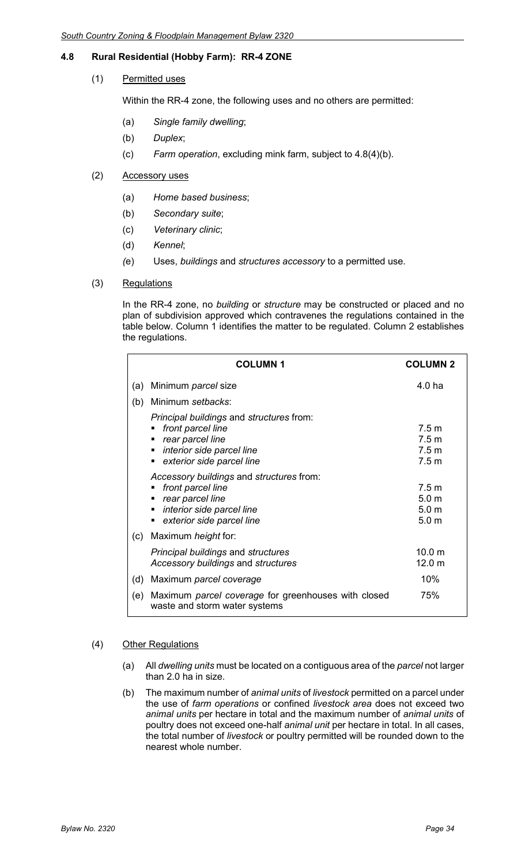### **4.8 Rural Residential (Hobby Farm): RR-4 ZONE**

#### (1) Permitted uses

Within the RR-4 zone, the following uses and no others are permitted:

- (a) *Single family dwelling*;
- (b) *Duplex*;
- (c) *Farm operation*, excluding mink farm, subject to 4.8(4)(b).

#### (2) Accessory uses

- (a) *Home based business*;
- (b) *Secondary suite*;
- (c) *Veterinary clinic*;
- (d) *Kennel*;
- *(*e) Uses, *buildings* and *structures accessory* to a permitted use.

#### (3) Regulations

In the RR-4 zone, no *building* or *structure* may be constructed or placed and no plan of subdivision approved which contravenes the regulations contained in the table below. Column 1 identifies the matter to be regulated. Column 2 establishes the regulations.

|     | <b>COLUMN1</b>                                                                                                                              | <b>COLUMN 2</b>                                                              |
|-----|---------------------------------------------------------------------------------------------------------------------------------------------|------------------------------------------------------------------------------|
| (a) | Minimum <i>parcel</i> size                                                                                                                  | 4.0 ha                                                                       |
| (b) | Minimum setbacks:                                                                                                                           |                                                                              |
|     | Principal buildings and structures from:<br>front parcel line<br>rear parcel line<br>interior side parcel line<br>exterior side parcel line | 7.5 m<br>7.5 <sub>m</sub><br>7.5 <sub>m</sub><br>7.5 <sub>m</sub>            |
|     | Accessory buildings and structures from:<br>front parcel line<br>rear parcel line<br>interior side parcel line<br>exterior side parcel line | 7.5 <sub>m</sub><br>5.0 <sub>m</sub><br>5.0 <sub>m</sub><br>5.0 <sub>m</sub> |
| (c) | Maximum <i>height</i> for:                                                                                                                  |                                                                              |
|     | <b>Principal buildings and structures</b><br>Accessory buildings and structures                                                             | 10.0 m<br>12.0 m                                                             |
| (d) | Maximum parcel coverage                                                                                                                     | 10%                                                                          |
| (e) | Maximum parcel coverage for greenhouses with closed<br>waste and storm water systems                                                        | 75%                                                                          |

#### (4) Other Regulations

- (a) All *dwelling units* must be located on a contiguous area of the *parcel* not larger than 2.0 ha in size.
- (b) The maximum number of *animal units* of *livestock* permitted on a parcel under the use of *farm operations* or confined *livestock area* does not exceed two *animal units* per hectare in total and the maximum number of *animal units* of poultry does not exceed one-half *animal unit* per hectare in total. In all cases, the total number of *livestock* or poultry permitted will be rounded down to the nearest whole number.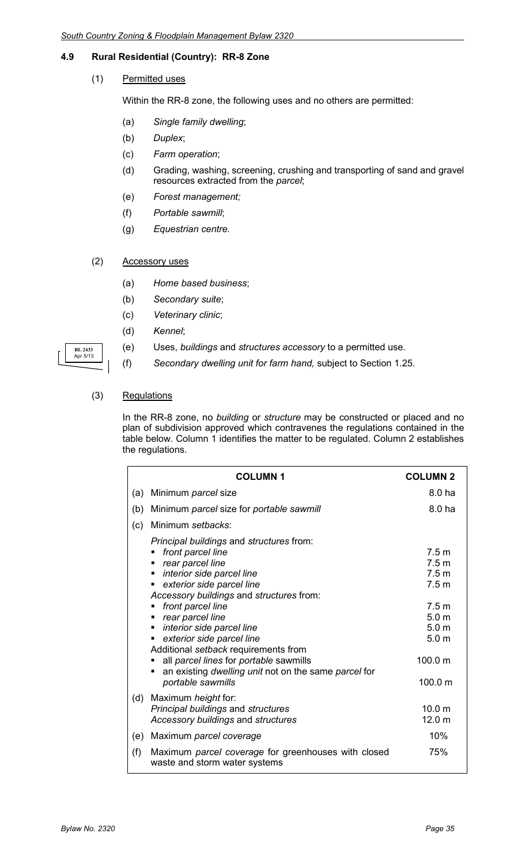#### **4.9 Rural Residential (Country): RR-8 Zone**

(1) Permitted uses

Within the RR-8 zone, the following uses and no others are permitted:

- (a) *Single family dwelling*;
- (b) *Duplex*;
- (c) *Farm operation*;
- (d) Grading, washing, screening, crushing and transporting of sand and gravel resources extracted from the *parcel*;
- (e) *Forest management;*
- (f) *Portable sawmill*;
- (g) *Equestrian centre.*
- (2) Accessory uses
	- (a) *Home based business*;
	- (b) *Secondary suite*;
	- (c) *Veterinary clinic*;
	- (d) *Kennel*;
	- (e) Uses, *buildings* and *structures accessory* to a permitted use.
	- (f) *Secondary dwelling unit for farm hand,* subject to Section 1.25.

#### (3) Regulations

**BL 2433** Apr 5/13

> In the RR-8 zone, no *building* or *structure* may be constructed or placed and no plan of subdivision approved which contravenes the regulations contained in the table below. Column 1 identifies the matter to be regulated. Column 2 establishes the regulations.

|     | <b>COLUMN1</b>                                                                                                                                                                                                                                                                                                                                                                                                                                                                                                                   | <b>COLUMN 2</b>                                                                                                                                                                    |
|-----|----------------------------------------------------------------------------------------------------------------------------------------------------------------------------------------------------------------------------------------------------------------------------------------------------------------------------------------------------------------------------------------------------------------------------------------------------------------------------------------------------------------------------------|------------------------------------------------------------------------------------------------------------------------------------------------------------------------------------|
| (a) | Minimum parcel size                                                                                                                                                                                                                                                                                                                                                                                                                                                                                                              | 8.0 ha                                                                                                                                                                             |
| (b) | Minimum parcel size for portable sawmill                                                                                                                                                                                                                                                                                                                                                                                                                                                                                         | 8.0 ha                                                                                                                                                                             |
| (c) | Minimum setbacks:                                                                                                                                                                                                                                                                                                                                                                                                                                                                                                                |                                                                                                                                                                                    |
|     | Principal buildings and structures from:<br>front parcel line<br>п<br>rear parcel line<br>٠<br>interior side parcel line<br>$\blacksquare$<br>exterior side parcel line<br>п<br>Accessory buildings and structures from:<br>front parcel line<br>$\blacksquare$<br>rear parcel line<br>٠<br>interior side parcel line<br>п<br>exterior side parcel line<br>٠<br>Additional setback requirements from<br>all parcel lines for portable sawmills<br>an existing dwelling unit not on the same parcel for<br>п<br>portable sawmills | 7.5 <sub>m</sub><br>7.5 <sub>m</sub><br>7.5 <sub>m</sub><br>7.5 <sub>m</sub><br>7.5 <sub>m</sub><br>5.0 <sub>m</sub><br>5.0 <sub>m</sub><br>5.0 <sub>m</sub><br>100.0 m<br>100.0 m |
| (d) | Maximum height for:<br>Principal buildings and structures<br>Accessory buildings and structures                                                                                                                                                                                                                                                                                                                                                                                                                                  | 10.0 <sub>m</sub><br>12.0 <sub>m</sub>                                                                                                                                             |
| (e) | Maximum parcel coverage                                                                                                                                                                                                                                                                                                                                                                                                                                                                                                          | 10%                                                                                                                                                                                |
| (f) | Maximum parcel coverage for greenhouses with closed<br>waste and storm water systems                                                                                                                                                                                                                                                                                                                                                                                                                                             | 75%                                                                                                                                                                                |

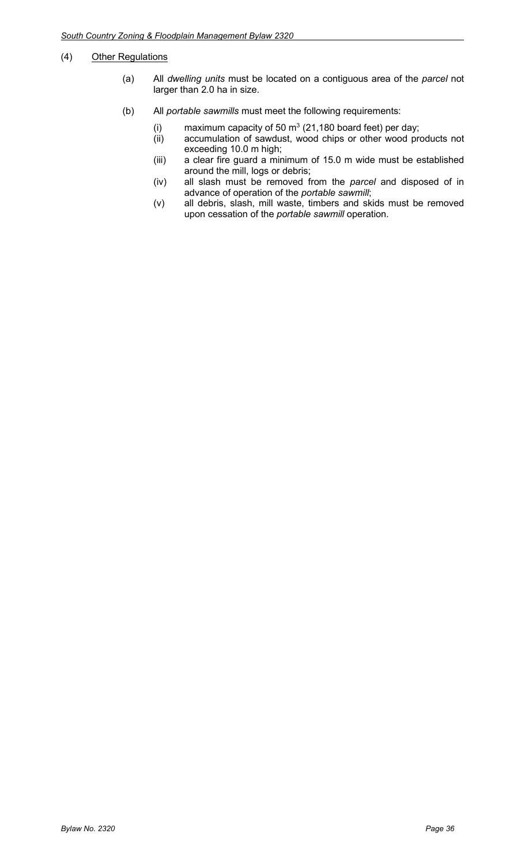#### (4) Other Regulations

- (a) All *dwelling units* must be located on a contiguous area of the *parcel* not larger than 2.0 ha in size.
- (b) All *portable sawmills* must meet the following requirements:
	- (i) maximum capacity of 50  $\text{m}^3$  (21,180 board feet) per day;
	- (ii) accumulation of sawdust, wood chips or other wood products not exceeding 10.0 m high;
	- (iii) a clear fire guard a minimum of 15.0 m wide must be established around the mill, logs or debris;
	- (iv) all slash must be removed from the *parcel* and disposed of in advance of operation of the *portable sawmill*;
	- (v) all debris, slash, mill waste, timbers and skids must be removed upon cessation of the *portable sawmill* operation.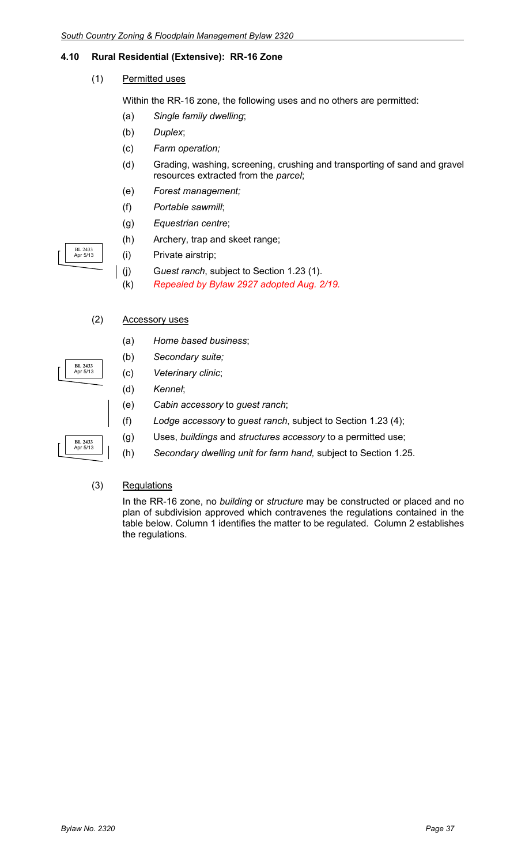### **4.10 Rural Residential (Extensive): RR-16 Zone**

(1) Permitted uses

Within the RR-16 zone, the following uses and no others are permitted:

- (a) *Single family dwelling*;
- (b) *Duplex*;
- (c) *Farm operation;*
- (d) Grading, washing, screening, crushing and transporting of sand and gravel resources extracted from the *parcel*;
- (e) *Forest management;*
- (f) *Portable sawmill*;
- (g) *Equestrian centre*;
- (h) Archery, trap and skeet range;
- (i) Private airstrip;
- (j) G*uest ranch*, subject to Section 1.23 (1).
- (k) *Repealed by Bylaw 2927 adopted Aug. 2/19.*

#### (2) Accessory uses

BL 2433 Apr 5/13

**BL 2433** Apr 5/13

**BL 2433** Apr 5/13

- (a) *Home based business*;
- (b) *Secondary suite;*
- (c) *Veterinary clinic*;
	- (d) *Kennel*;
	- (e) *Cabin accessory* to *guest ranch*;
	- (f) *Lodge accessory* to *guest ranch*, subject to Section 1.23 (4);
	- (g) Uses, *buildings* and *structures accessory* to a permitted use;
	- (h) *Secondary dwelling unit for farm hand,* subject to Section 1.25.

#### (3) Regulations

In the RR-16 zone, no *building* or *structure* may be constructed or placed and no plan of subdivision approved which contravenes the regulations contained in the table below. Column 1 identifies the matter to be regulated. Column 2 establishes the regulations.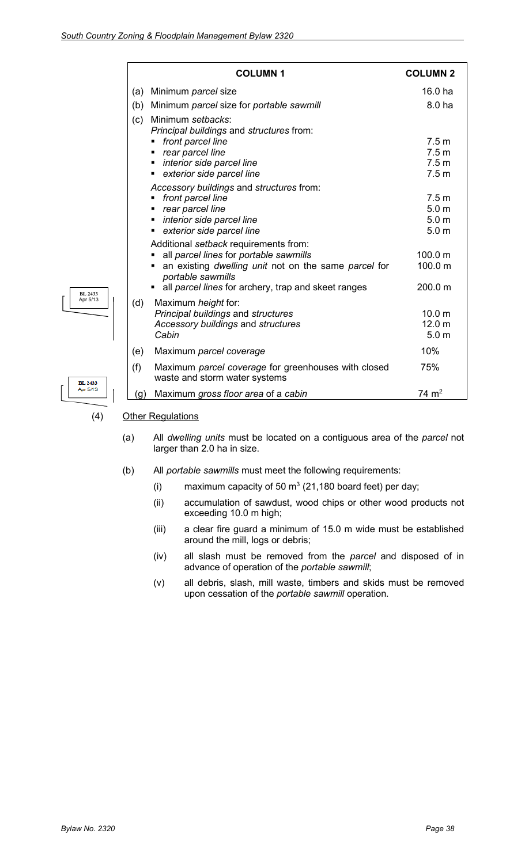|                            |     | <b>COLUMN1</b>                                                                                                                                                                       | <b>COLUMN 2</b>                                                              |
|----------------------------|-----|--------------------------------------------------------------------------------------------------------------------------------------------------------------------------------------|------------------------------------------------------------------------------|
|                            | (a) | Minimum parcel size                                                                                                                                                                  | 16.0 ha                                                                      |
|                            | (b) | Minimum parcel size for portable sawmill                                                                                                                                             | 8.0 ha                                                                       |
|                            | (c) | Minimum setbacks:<br>Principal buildings and structures from:                                                                                                                        |                                                                              |
|                            |     | front parcel line<br>٠<br>rear parcel line                                                                                                                                           | 7.5 <sub>m</sub><br>7.5 <sub>m</sub>                                         |
|                            |     | interior side parcel line<br>exterior side parcel line                                                                                                                               | 7.5 <sub>m</sub><br>7.5 <sub>m</sub>                                         |
|                            |     | Accessory buildings and structures from:<br>front parcel line<br>rear parcel line<br>interior side parcel line<br>exterior side parcel line<br>Additional setback requirements from: | 7.5 <sub>m</sub><br>5.0 <sub>m</sub><br>5.0 <sub>m</sub><br>5.0 <sub>m</sub> |
|                            |     | all parcel lines for portable sawmills<br>an existing dwelling unit not on the same parcel for<br>portable sawmills<br>all parcel lines for archery, trap and skeet ranges           | 100.0 m<br>100.0 m<br>200.0 m                                                |
| <b>BL 2433</b><br>Apr 5/13 | (d) | Maximum height for:<br>Principal buildings and structures<br>Accessory buildings and structures<br>Cabin                                                                             | 10.0 <sub>m</sub><br>12.0 <sub>m</sub><br>5.0 <sub>m</sub>                   |
|                            | (e) | Maximum parcel coverage                                                                                                                                                              | 10%                                                                          |
| <b>BL 2433</b>             | (f) | Maximum parcel coverage for greenhouses with closed<br>waste and storm water systems                                                                                                 | 75%                                                                          |
| Apr 5/13                   | (g) | Maximum gross floor area of a cabin                                                                                                                                                  | $74 \text{ m}^2$                                                             |
|                            |     |                                                                                                                                                                                      |                                                                              |

#### (4) Other Regulations

BL<br>Apr

- (a) All *dwelling units* must be located on a contiguous area of the *parcel* not larger than 2.0 ha in size.
- (b) All *portable sawmills* must meet the following requirements:
	- (i) maximum capacity of 50  $m<sup>3</sup>$  (21,180 board feet) per day;
	- (ii) accumulation of sawdust, wood chips or other wood products not exceeding 10.0 m high;
	- (iii) a clear fire guard a minimum of 15.0 m wide must be established around the mill, logs or debris;
	- (iv) all slash must be removed from the *parcel* and disposed of in advance of operation of the *portable sawmill*;
	- (v) all debris, slash, mill waste, timbers and skids must be removed upon cessation of the *portable sawmill* operation.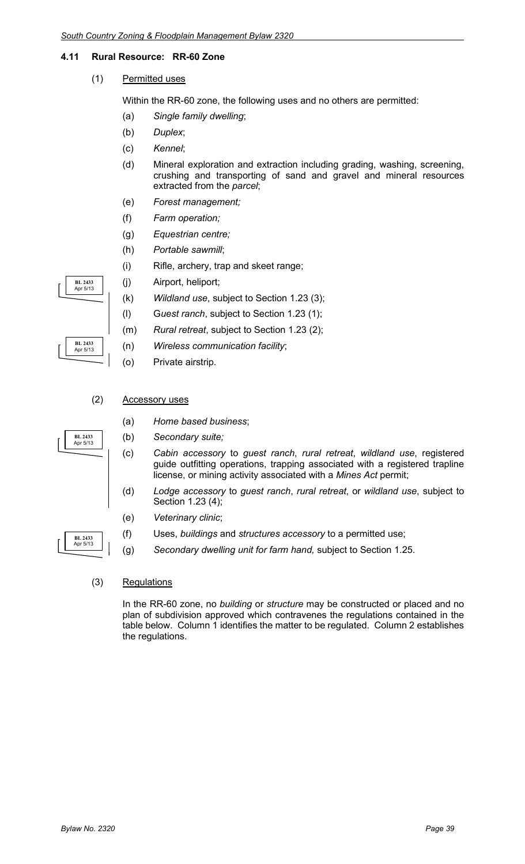#### **4.11 Rural Resource: RR-60 Zone**

(1) Permitted uses

Within the RR-60 zone, the following uses and no others are permitted:

- (a) *Single family dwelling*;
- (b) *Duplex*;
- (c) *Kennel*;
- (d) Mineral exploration and extraction including grading, washing, screening, crushing and transporting of sand and gravel and mineral resources extracted from the *parcel*;
- (e) *Forest management;*
- (f) *Farm operation;*
- (g) *Equestrian centre;*
- (h) *Portable sawmill*;
- (i) Rifle, archery, trap and skeet range;
- (j) Airport, heliport;
- (k) *Wildland use*, subject to Section 1.23 (3);
- (l) G*uest ranch*, subject to Section 1.23 (1);
- (m) *Rural retreat*, subject to Section 1.23 (2);
- (n) *Wireless communication facility*;
- (o) Private airstrip.
- (2) Accessory uses
	- (a) *Home based business*;
	- (b) *Secondary suite;*
	- (c) *Cabin accessory* to *guest ranch*, *rural retreat*, *wildland use*, registered guide outfitting operations, trapping associated with a registered trapline license, or mining activity associated with a *Mines Act* permit;
	- (d) *Lodge accessory* to *guest ranch*, *rural retreat*, or *wildland use*, subject to Section 1.23 (4);
	- (e) *Veterinary clinic*;
	- (f) Uses, *buildings* and *structures accessory* to a permitted use;
	- (g) *Secondary dwelling unit for farm hand,* subject to Section 1.25.
- (3) Regulations

In the RR-60 zone, no *building* or *structure* may be constructed or placed and no plan of subdivision approved which contravenes the regulations contained in the table below. Column 1 identifies the matter to be regulated. Column 2 establishes the regulations.



**BL 2433** Apr 5/13

**BL 2433** Apr 5/13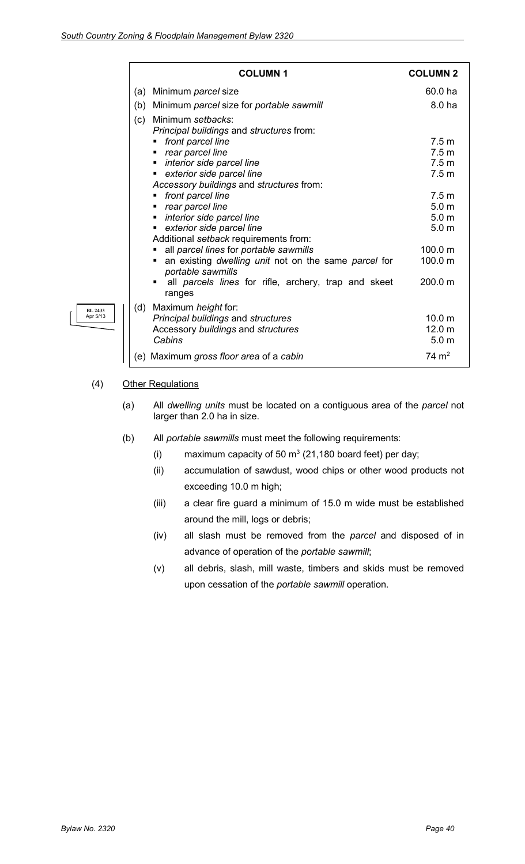|     | <b>COLUMN1</b>                                                                                                                                                                                                                                                                                                                                                                                                                                                                                                                                                                                                 | <b>COLUMN 2</b>                                                                                                                                                                               |
|-----|----------------------------------------------------------------------------------------------------------------------------------------------------------------------------------------------------------------------------------------------------------------------------------------------------------------------------------------------------------------------------------------------------------------------------------------------------------------------------------------------------------------------------------------------------------------------------------------------------------------|-----------------------------------------------------------------------------------------------------------------------------------------------------------------------------------------------|
| (a) | Minimum parcel size                                                                                                                                                                                                                                                                                                                                                                                                                                                                                                                                                                                            | 60.0 ha                                                                                                                                                                                       |
| (b) | Minimum parcel size for portable sawmill                                                                                                                                                                                                                                                                                                                                                                                                                                                                                                                                                                       | 8.0 ha                                                                                                                                                                                        |
| (c) | Minimum setbacks:<br>Principal buildings and structures from:<br>front parcel line<br>٠<br>rear parcel line<br>$\blacksquare$<br>interior side parcel line<br>٠<br>exterior side parcel line<br>$\blacksquare$<br>Accessory buildings and structures from:<br>front parcel line<br>rear parcel line<br>٠<br>interior side parcel line<br>٠<br>exterior side parcel line<br>٠<br>Additional setback requirements from:<br>all parcel lines for portable sawmills<br>an existing dwelling unit not on the same parcel for<br>portable sawmills<br>all parcels lines for rifle, archery, trap and skeet<br>ranges | 7.5 <sub>m</sub><br>7.5 <sub>m</sub><br>7.5 <sub>m</sub><br>7.5 <sub>m</sub><br>7.5 <sub>m</sub><br>5.0 <sub>m</sub><br>5.0 <sub>m</sub><br>5.0 <sub>m</sub><br>100.0 m<br>100.0 m<br>200.0 m |
| (d) | Maximum height for:<br>Principal buildings and structures<br>Accessory buildings and structures<br>Cabins                                                                                                                                                                                                                                                                                                                                                                                                                                                                                                      | 10.0 <sub>m</sub><br>12.0 <sub>m</sub><br>5.0 <sub>m</sub>                                                                                                                                    |
| (e) | Maximum gross floor area of a cabin                                                                                                                                                                                                                                                                                                                                                                                                                                                                                                                                                                            | $74 \; \mathrm{m}^2$                                                                                                                                                                          |
|     |                                                                                                                                                                                                                                                                                                                                                                                                                                                                                                                                                                                                                |                                                                                                                                                                                               |

#### (4) Other Regulations

**BL 2433** Apr 5/13

- (a) All *dwelling units* must be located on a contiguous area of the *parcel* not larger than 2.0 ha in size.
- (b) All *portable sawmills* must meet the following requirements:
	- (i) maximum capacity of 50  $\text{m}^3$  (21,180 board feet) per day;
	- (ii) accumulation of sawdust, wood chips or other wood products not exceeding 10.0 m high;
	- (iii) a clear fire guard a minimum of 15.0 m wide must be established around the mill, logs or debris;
	- (iv) all slash must be removed from the *parcel* and disposed of in advance of operation of the *portable sawmill*;
	- (v) all debris, slash, mill waste, timbers and skids must be removed upon cessation of the *portable sawmill* operation.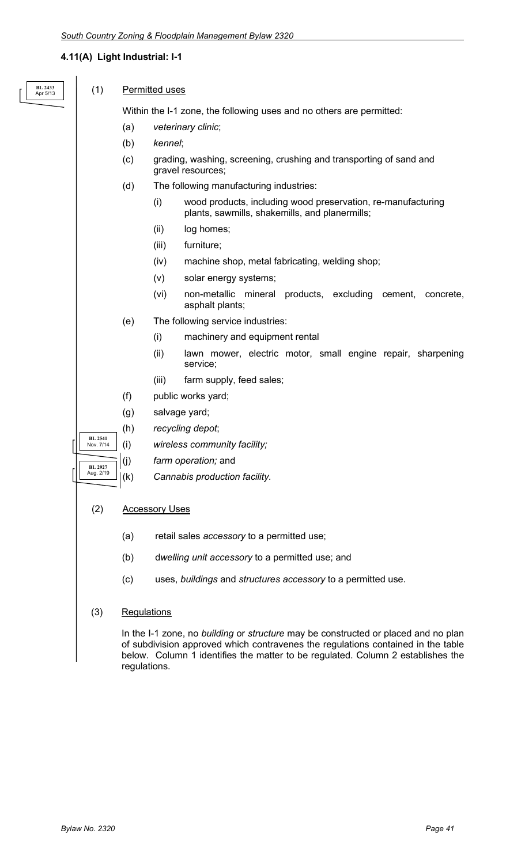#### **4.11(A) Light Industrial: I-1**

| RL 2433 |
|---------|
| nr 5/13 |

#### (1) Permitted uses

Within the I-1 zone, the following uses and no others are permitted:

- (a) *veterinary clinic*;
- (b) *kennel*;
- (c) grading, washing, screening, crushing and transporting of sand and gravel resources;
- (d) The following manufacturing industries:
	- (i) wood products, including wood preservation, re-manufacturing plants, sawmills, shakemills, and planermills;
	- (ii) log homes;
	- (iii) furniture;
	- (iv) machine shop, metal fabricating, welding shop;
	- (v) solar energy systems;
	- (vi) non-metallic mineral products, excluding cement, concrete, asphalt plants;
- (e) The following service industries:
	- (i) machinery and equipment rental
	- (ii) lawn mower, electric motor, small engine repair, sharpening service;
	- (iii) farm supply, feed sales;
- (f) public works yard;
- (g) salvage yard;
- (h) *recycling depot*;
- (i) *wireless community facility;*
- (j) *farm operation;* and
- (k) *Cannabis production facility.*

#### (2) Accessory Uses

**BL 2541** Nov. 7/14

**BL 2927** Aug. 2/19

- (a) retail sales *accessory* to a permitted use;
- (b) d*welling unit accessory* to a permitted use; and
- (c) uses, *buildings* and *structures accessory* to a permitted use.
- (3) Regulations

In the I-1 zone, no *building* or *structure* may be constructed or placed and no plan of subdivision approved which contravenes the regulations contained in the table below. Column 1 identifies the matter to be regulated. Column 2 establishes the regulations.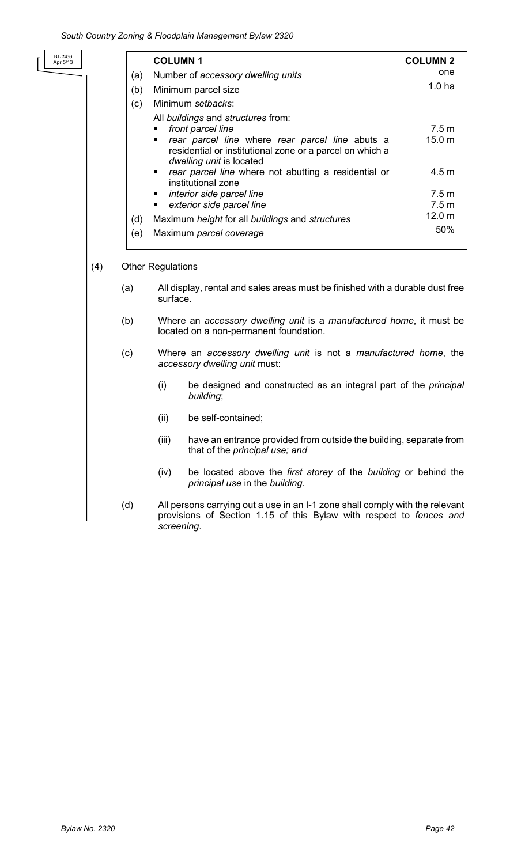**BL 2433** Apr 5/13

|     | <b>COLUMN1</b>                                                                                                                                                                                                                                                                                                                                                              | <b>COLUMN 2</b>                            |
|-----|-----------------------------------------------------------------------------------------------------------------------------------------------------------------------------------------------------------------------------------------------------------------------------------------------------------------------------------------------------------------------------|--------------------------------------------|
| (a) | Number of accessory dwelling units                                                                                                                                                                                                                                                                                                                                          | one                                        |
| (b) | Minimum parcel size                                                                                                                                                                                                                                                                                                                                                         | 1.0 <sub>ha</sub>                          |
| (c) | Minimum setbacks:                                                                                                                                                                                                                                                                                                                                                           |                                            |
|     | All buildings and structures from:<br>front parcel line<br>rear parcel line where rear parcel line abuts a<br>$\blacksquare$<br>residential or institutional zone or a parcel on which a<br>dwelling unit is located<br>rear parcel line where not abutting a residential or<br>٠<br>institutional zone<br>interior side parcel line<br>٠<br>exterior side parcel line<br>٠ | 7.5 m<br>15.0 m<br>4.5 m<br>7.5 m<br>7.5 m |
| (d) | Maximum height for all buildings and structures                                                                                                                                                                                                                                                                                                                             | 12.0 <sub>m</sub>                          |
| (e) | Maximum parcel coverage                                                                                                                                                                                                                                                                                                                                                     | 50%                                        |

#### (4) Other Regulations

- (a) All display, rental and sales areas must be finished with a durable dust free surface.
- (b) Where an *accessory dwelling unit* is a *manufactured home*, it must be located on a non-permanent foundation.
- (c) Where an *accessory dwelling unit* is not a *manufactured home*, the *accessory dwelling unit* must:
	- (i) be designed and constructed as an integral part of the *principal building*;
	- (ii) be self-contained;
	- (iii) have an entrance provided from outside the building, separate from that of the *principal use; and*
	- (iv) be located above the *first storey* of the *building* or behind the *principal use* in the *building*.
- (d) All persons carrying out a use in an I-1 zone shall comply with the relevant provisions of Section 1.15 of this Bylaw with respect to *fences and screening*.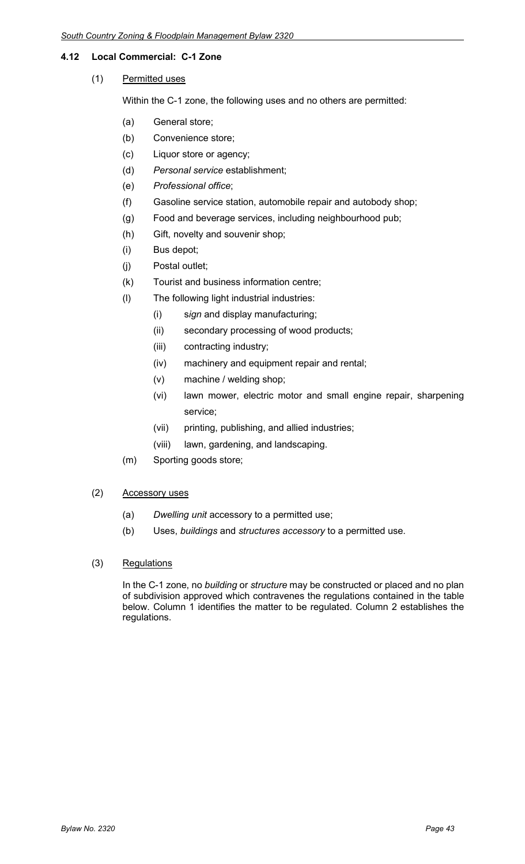#### **4.12 Local Commercial: C-1 Zone**

(1) Permitted uses

Within the C-1 zone, the following uses and no others are permitted:

- (a) General store;
- (b) Convenience store;
- (c) Liquor store or agency;
- (d) *Personal service* establishment;
- (e) *Professional office*;
- (f) Gasoline service station, automobile repair and autobody shop;
- (g) Food and beverage services, including neighbourhood pub;
- (h) Gift, novelty and souvenir shop;
- (i) Bus depot;
- (j) Postal outlet;
- (k) Tourist and business information centre;
- (l) The following light industrial industries:
	- (i) s*ign* and display manufacturing;
	- (ii) secondary processing of wood products;
	- (iii) contracting industry;
	- (iv) machinery and equipment repair and rental;
	- (v) machine / welding shop;
	- (vi) lawn mower, electric motor and small engine repair, sharpening service;
	- (vii) printing, publishing, and allied industries;
	- (viii) lawn, gardening, and landscaping.
- (m) Sporting goods store;

#### (2) Accessory uses

- (a) *Dwelling unit* accessory to a permitted use;
- (b) Uses, *buildings* and *structures accessory* to a permitted use.
- (3) Regulations

In the C-1 zone, no *building* or *structure* may be constructed or placed and no plan of subdivision approved which contravenes the regulations contained in the table below. Column 1 identifies the matter to be regulated. Column 2 establishes the regulations.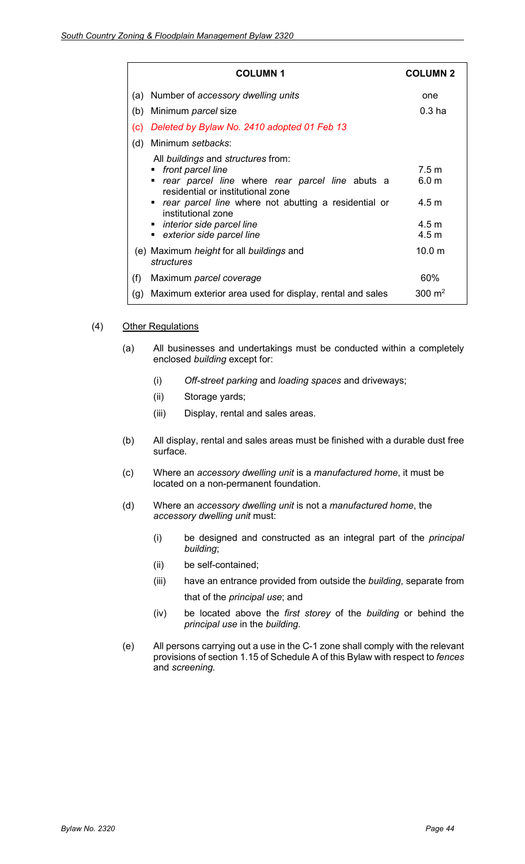| <b>COLUMN 1</b>                                                                                                                                                                                                                                                                                                | <b>COLUMN 2</b>                                                           |
|----------------------------------------------------------------------------------------------------------------------------------------------------------------------------------------------------------------------------------------------------------------------------------------------------------------|---------------------------------------------------------------------------|
| Number of accessory dwelling units<br>(a)                                                                                                                                                                                                                                                                      | one                                                                       |
| Minimum <i>parcel</i> size<br>(b)                                                                                                                                                                                                                                                                              | $0.3$ ha                                                                  |
| Deleted by Bylaw No. 2410 adopted 01 Feb 13<br>$\mathsf{(c)}$                                                                                                                                                                                                                                                  |                                                                           |
| Minimum setbacks:<br>(d)                                                                                                                                                                                                                                                                                       |                                                                           |
| All <i>buildings</i> and <i>structures</i> from:<br>front parcel line<br>rear parcel line where rear parcel line abuts a<br>٠<br>residential or institutional zone<br>• rear parcel line where not abutting a residential or<br>institutional zone<br>• interior side parcel line<br>exterior side parcel line | 7.5 <sub>m</sub><br>6.0 <sub>m</sub><br>$4.5 \text{ m}$<br>4.5 m<br>4.5 m |
| (e) Maximum <i>height</i> for all <i>buildings</i> and<br>structures                                                                                                                                                                                                                                           | 10.0 m                                                                    |
| (f)<br>Maximum parcel coverage                                                                                                                                                                                                                                                                                 | 60%                                                                       |
| Maximum exterior area used for display, rental and sales<br>(g)                                                                                                                                                                                                                                                | 300 $m2$                                                                  |

#### (4) Other Regulations

- (a) All businesses and undertakings must be conducted within a completely enclosed *building* except for:
	- (i) *Off-street parking* and *loading spaces* and driveways;
	- (ii) Storage yards;
	- (iii) Display, rental and sales areas.
- (b) All display, rental and sales areas must be finished with a durable dust free surface.
- (c) Where an *accessory dwelling unit* is a *manufactured home*, it must be located on a non-permanent foundation.
- (d) Where an *accessory dwelling unit* is not a *manufactured home*, the *accessory dwelling unit* must:
	- (i) be designed and constructed as an integral part of the *principal building*;
	- (ii) be self-contained;
	- (iii) have an entrance provided from outside the *building*, separate from that of the *principal use*; and
	- (iv) be located above the *first storey* of the *building* or behind the *principal use* in the *building*.
- (e) All persons carrying out a use in the C-1 zone shall comply with the relevant provisions of section 1.15 of Schedule A of this Bylaw with respect to *fences*  and *screening.*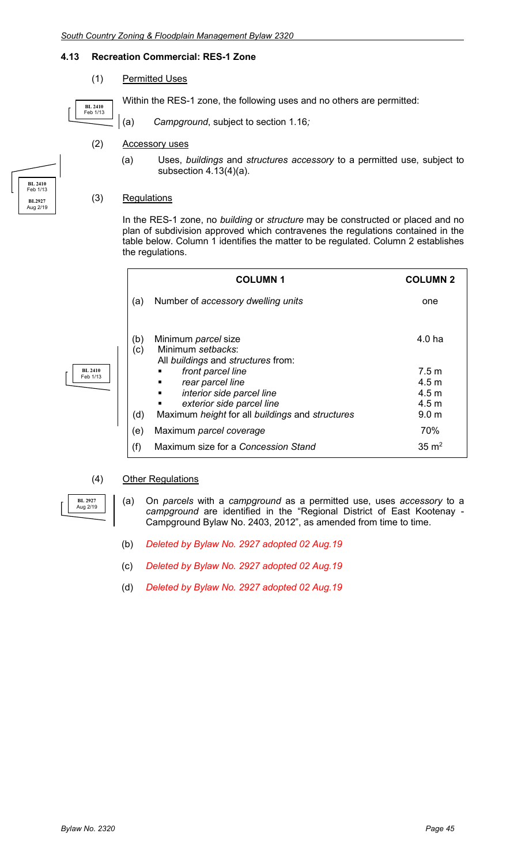#### **4.13 Recreation Commercial: RES-1 Zone**

(1) Permitted Uses

Within the RES-1 zone, the following uses and no others are permitted:

**BL 2410** Feb 1/13

**BL 2410** Feb 1/13

**BL 2927** Aug 2/19

(a) *Campground*, subject to section 1.16*;*

#### (2) Accessory uses

(a) Uses, *buildings* and *structures accessory* to a permitted use, subject to subsection 4.13(4)(a).

#### (3) Regulations

In the RES-1 zone, no *building* or *structure* may be constructed or placed and no plan of subdivision approved which contravenes the regulations contained in the table below. Column 1 identifies the matter to be regulated. Column 2 establishes the regulations.

|            | <b>COLUMN1</b>                                                                                                                           | <b>COLUMN 2</b>                    |
|------------|------------------------------------------------------------------------------------------------------------------------------------------|------------------------------------|
| (a)        | Number of accessory dwelling units                                                                                                       | one                                |
| (b)<br>(c) | Minimum parcel size<br>Minimum setbacks:<br>All buildings and structures from:                                                           | 4.0 ha                             |
|            | front parcel line<br>٠<br>rear parcel line<br>٠                                                                                          | 7.5 m<br>4.5 m                     |
|            | interior side parcel line<br>٠<br>exterior side parcel line<br>٠<br>Maximum <i>height</i> for all <i>buildings</i> and <i>structures</i> | 4.5 m<br>4.5 m<br>9.0 <sub>m</sub> |
| (d)<br>(e) | Maximum parcel coverage                                                                                                                  | 70%                                |
| (f)        | Maximum size for a Concession Stand                                                                                                      | $35 \text{ m}^2$                   |

#### (4) Other Regulations

(a) On *parcels* with a *campground* as a permitted use, uses *accessory* to a *campground* are identified in the "Regional District of East Kootenay - Campground Bylaw No. 2403, 2012", as amended from time to time.

- (b) *Deleted by Bylaw No. 2927 adopted 02 Aug.19*
- (c) *Deleted by Bylaw No. 2927 adopted 02 Aug.19*
- (d) *Deleted by Bylaw No. 2927 adopted 02 Aug.19*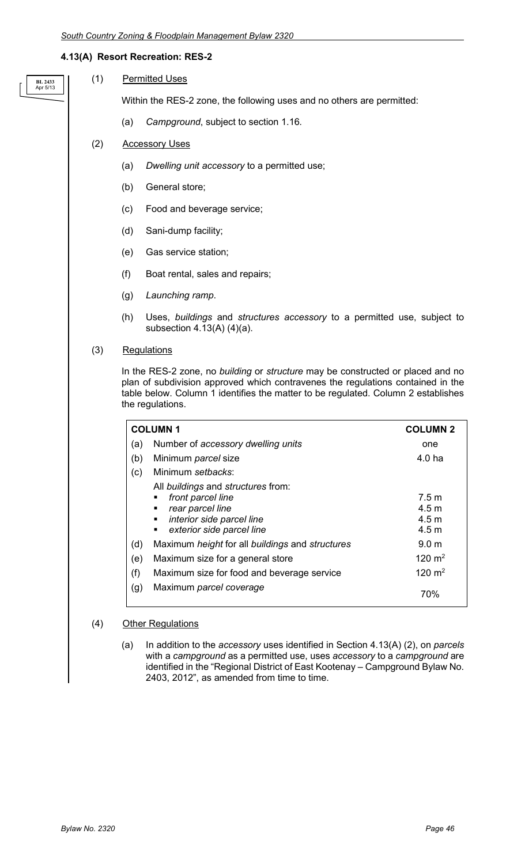#### **4.13(A) Resort Recreation: RES-2**

| BL 2433  |
|----------|
| Apr 5/13 |

(1) Permitted Uses

Within the RES-2 zone, the following uses and no others are permitted:

(a) *Campground*, subject to section 1.16*.*

#### (2) Accessory Uses

- (a) *Dwelling unit accessory* to a permitted use;
- (b) General store;
- (c) Food and beverage service;
- (d) Sani-dump facility;
- (e) Gas service station;
- (f) Boat rental, sales and repairs;
- (g) *Launching ramp*.
- (h) Uses, *buildings* and *structures accessory* to a permitted use, subject to subsection 4.13(A) (4)(a).

#### (3) Regulations

In the RES-2 zone, no *building* or *structure* may be constructed or placed and no plan of subdivision approved which contravenes the regulations contained in the table below. Column 1 identifies the matter to be regulated. Column 2 establishes the regulations.

| <b>COLUMN1</b> |                                                         | <b>COLUMN 2</b>                      |
|----------------|---------------------------------------------------------|--------------------------------------|
| (a)            | Number of accessory dwelling units                      | one                                  |
| (b)            | Minimum parcel size                                     | 4.0 ha                               |
| (c)            | Minimum setbacks:                                       |                                      |
|                | All buildings and structures from:                      |                                      |
|                | front parcel line<br>rear parcel line<br>$\blacksquare$ | 7.5 <sub>m</sub><br>4.5 <sub>m</sub> |
|                | interior side parcel line<br>٠                          | 4.5 <sub>m</sub>                     |
|                | exterior side parcel line<br>٠                          | 4.5 <sub>m</sub>                     |
| (d)            | Maximum height for all buildings and structures         | 9.0 <sub>m</sub>                     |
| (e)            | Maximum size for a general store                        | 120 $m2$                             |
| (f)            | Maximum size for food and beverage service              | 120 $m2$                             |
| (g)            | Maximum parcel coverage                                 | 70%                                  |

#### (4) Other Regulations

(a) In addition to the *accessory* uses identified in Section 4.13(A) (2), on *parcels* with a *campground* as a permitted use, uses *accessory* to a *campground* are identified in the "Regional District of East Kootenay – Campground Bylaw No. 2403, 2012", as amended from time to time.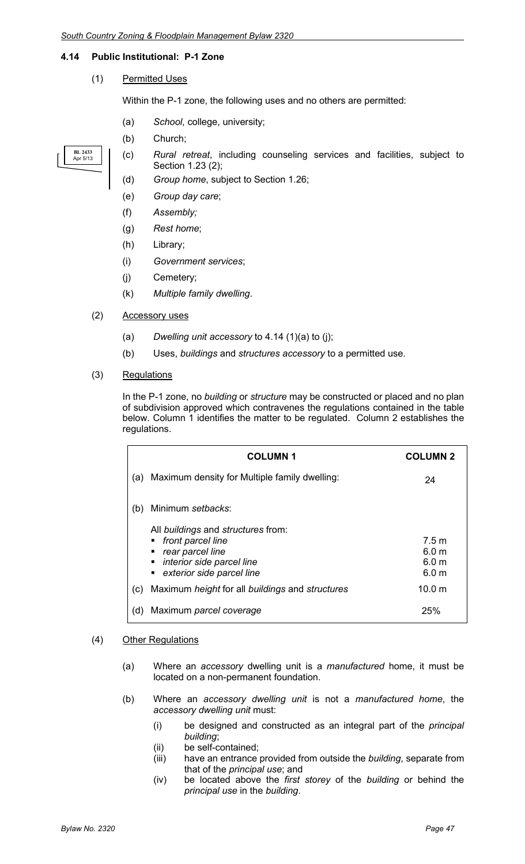#### **4.14 Public Institutional: P-1 Zone**

(1) Permitted Uses

Within the P-1 zone, the following uses and no others are permitted:

- (a) *School*, college, university;
- (b) Church;



- (c) *Rural retreat*, including counseling services and facilities, subject to Section 1.23 (2);
- (d) *Group home*, subject to Section 1.26;
- (e) *Group day care*;
- (f) *Assembly;*
- (g) *Rest home*;
- (h) Library;
- (i) *Government services*;
- (j) Cemetery;
- (k) *Multiple family dwelling*.
- (2) Accessory uses
	- (a) *Dwelling unit accessory* to 4.14 (1)(a) to (j);
	- (b) Uses, *buildings* and *structures accessory* to a permitted use.
- (3) Regulations

In the P-1 zone, no *building* or *structure* may be constructed or placed and no plan of subdivision approved which contravenes the regulations contained in the table below. Column 1 identifies the matter to be regulated. Column 2 establishes the regulations.

|     | <b>COLUMN1</b>                                                                                                                                                     | <b>COLUMN 2</b>                                                              |
|-----|--------------------------------------------------------------------------------------------------------------------------------------------------------------------|------------------------------------------------------------------------------|
| (a) | Maximum density for Multiple family dwelling:                                                                                                                      | 24                                                                           |
| (b) | Minimum setbacks:                                                                                                                                                  |                                                                              |
|     | All <i>buildings</i> and <i>structures</i> from:<br>front parcel line<br>٠<br>rear parcel line<br>п<br>interior side parcel line<br>٠<br>exterior side parcel line | 7.5 <sub>m</sub><br>6.0 <sub>m</sub><br>6.0 <sub>m</sub><br>6.0 <sub>m</sub> |
| (c) | Maximum height for all buildings and structures                                                                                                                    | 10.0 m                                                                       |
| (d) | Maximum parcel coverage                                                                                                                                            | 25%                                                                          |

#### (4) Other Regulations

- (a) Where an *accessory* dwelling unit is a *manufactured* home, it must be located on a non-permanent foundation.
- (b) Where an *accessory dwelling unit* is not a *manufactured home*, the *accessory dwelling unit* must:
	- (i) be designed and constructed as an integral part of the *principal building*;
	- (ii) be self-contained;
	- (iii) have an entrance provided from outside the *building*, separate from that of the *principal use*; and
	- (iv) be located above the *first storey* of the *building* or behind the *principal use* in the *building*.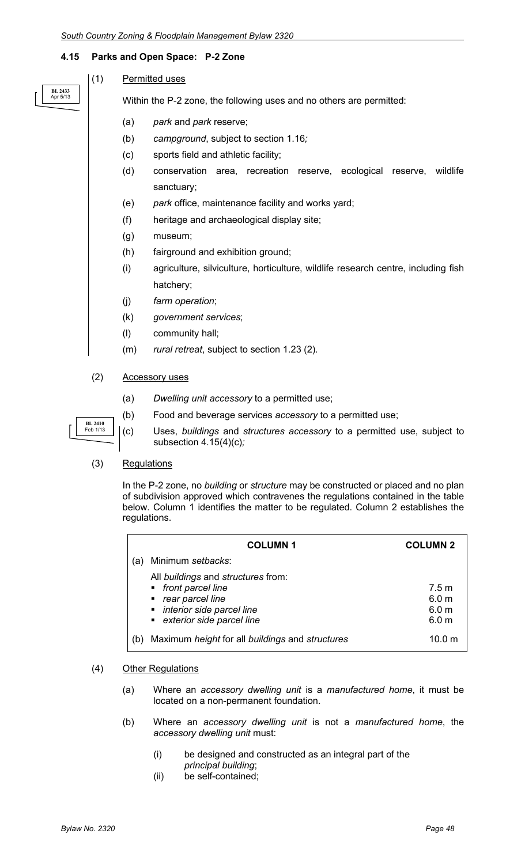#### **4.15 Parks and Open Space: P-2 Zone**

**BL 2433** Apr 5/13

### (1) Permitted uses

Within the P-2 zone, the following uses and no others are permitted:

- (a) *park* and *park* reserve;
- (b) *campground*, subject to section 1.16*;*
- (c) sports field and athletic facility;
- (d) conservation area, recreation reserve, ecological reserve, wildlife sanctuary;
- (e) *park* office, maintenance facility and works yard;
- (f) heritage and archaeological display site;
- (g) museum;
- (h) fairground and exhibition ground;
- (i) agriculture, silviculture, horticulture, wildlife research centre, including fish hatchery;
- (j) *farm operation*;
- (k) *government services*;
- (l) community hall;
- (m) *rural retreat*, subject to section 1.23 (2)*.*

#### (2) Accessory uses

- (a) *Dwelling unit accessory* to a permitted use;
- (b) Food and beverage services *accessory* to a permitted use;
- (c) Uses, *buildings* and *structures accessory* to a permitted use, subject to subsection 4.15(4)(c)*;*

#### (3) Regulations

**BL 2410** Feb 1/13

In the P-2 zone, no *building* or *structure* may be constructed or placed and no plan of subdivision approved which contravenes the regulations contained in the table below. Column 1 identifies the matter to be regulated. Column 2 establishes the regulations.

|     | <b>COLUMN1</b>                                                                                                                                | <b>COLUMN 2</b>                                                   |
|-----|-----------------------------------------------------------------------------------------------------------------------------------------------|-------------------------------------------------------------------|
| (a) | Minimum setbacks:                                                                                                                             |                                                                   |
|     | All buildings and structures from:<br>• front parcel line<br>• rear parcel line<br>• interior side parcel line<br>• exterior side parcel line | 7.5 m<br>6.0 <sub>m</sub><br>6.0 <sub>m</sub><br>6.0 <sub>m</sub> |
|     | Maximum height for all buildings and structures                                                                                               | 10.0 <sub>m</sub>                                                 |

#### (4) Other Regulations

- (a) Where an *accessory dwelling unit* is a *manufactured home*, it must be located on a non-permanent foundation.
- (b) Where an *accessory dwelling unit* is not a *manufactured home*, the *accessory dwelling unit* must:
	- (i) be designed and constructed as an integral part of the *principal building*;
	- (ii) be self-contained;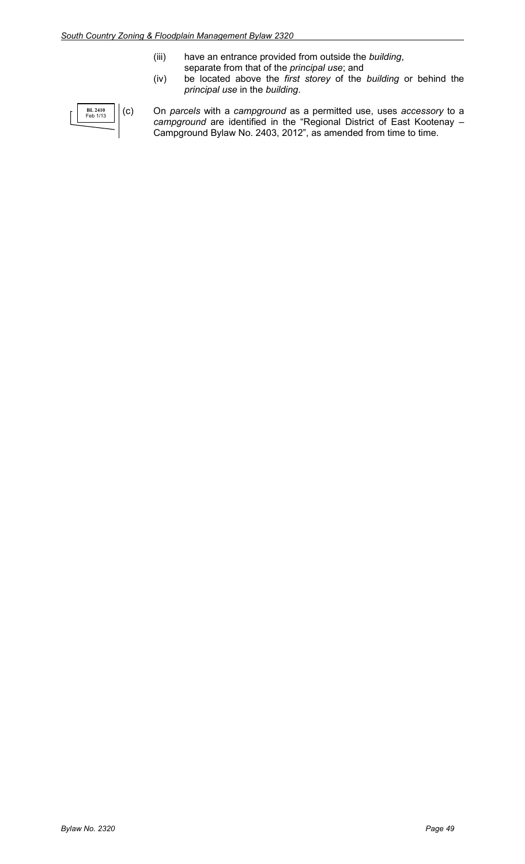- (iii) have an entrance provided from outside the *building*, separate from that of the *principal use*; and
- (iv) be located above the *first storey* of the *building* or behind the *principal use* in the *building*.

| <b>BL 2410</b><br>Feb 1/13 |  |
|----------------------------|--|
|                            |  |

(c) On *parcels* with a *campground* as a permitted use, uses *accessory* to a *campground* are identified in the "Regional District of East Kootenay – Campground Bylaw No. 2403, 2012", as amended from time to time.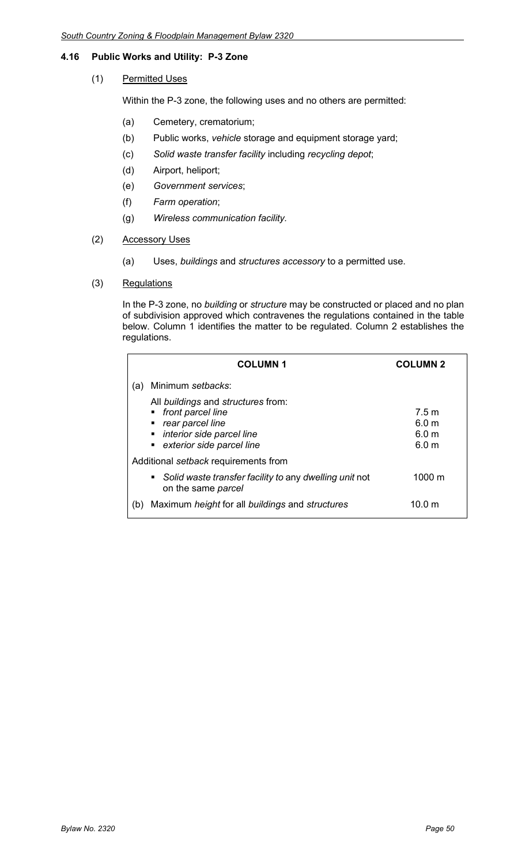## **4.16 Public Works and Utility: P-3 Zone**

(1) Permitted Uses

Within the P-3 zone, the following uses and no others are permitted:

- (a) Cemetery, crematorium;
- (b) Public works, *vehicle* storage and equipment storage yard;
- (c) *Solid waste transfer facility* including *recycling depot*;
- (d) Airport, heliport;
- (e) *Government services*;
- (f) *Farm operation*;
- (g) *Wireless communication facility.*
- (2) Accessory Uses
	- (a) Uses, *buildings* and *structures accessory* to a permitted use.
- (3) Regulations

In the P-3 zone, no *building* or *structure* may be constructed or placed and no plan of subdivision approved which contravenes the regulations contained in the table below. Column 1 identifies the matter to be regulated. Column 2 establishes the regulations.

| <b>COLUMN1</b>                                                                                                                            | <b>COLUMN 2</b>                                                              |
|-------------------------------------------------------------------------------------------------------------------------------------------|------------------------------------------------------------------------------|
| Minimum setbacks:<br>(a)                                                                                                                  |                                                                              |
| All buildings and structures from:<br>• front parcel line<br>rear parcel line<br>• interior side parcel line<br>exterior side parcel line | 7.5 <sub>m</sub><br>6.0 <sub>m</sub><br>6.0 <sub>m</sub><br>6.0 <sub>m</sub> |
| Additional setback requirements from                                                                                                      |                                                                              |
| Solid waste transfer facility to any dwelling unit not<br>н.<br>on the same parcel                                                        | 1000 m                                                                       |
| Maximum height for all buildings and structures<br>(b)                                                                                    | 10.0 <sub>m</sub>                                                            |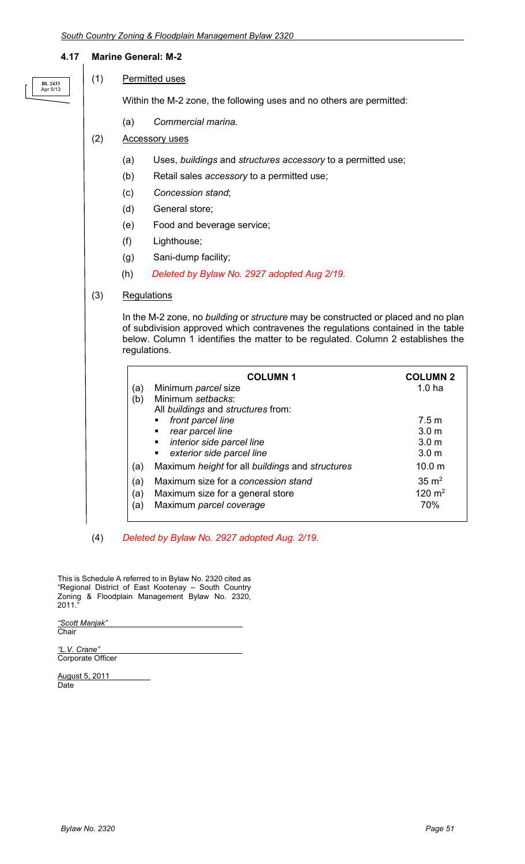#### **4.17 Marine General: M-2**

| <b>BL 2433</b><br>Apr 5/13 |
|----------------------------|
|                            |

(1) Permitted uses

Within the M-2 zone, the following uses and no others are permitted:

- (a) *Commercial marina.*
- (2) Accessory uses
	- (a) Uses, *buildings* and *structures accessory* to a permitted use;
	- (b) Retail sales *accessory* to a permitted use;
	- (c) *Concession stand*;
	- (d) General store;
	- (e) Food and beverage service;
	- (f) Lighthouse;
	- (g) Sani-dump facility;
	- (h) *Deleted by Bylaw No. 2927 adopted Aug 2/19.*
- (3) Regulations

In the M-2 zone, no *building* or *structure* may be constructed or placed and no plan of subdivision approved which contravenes the regulations contained in the table below. Column 1 identifies the matter to be regulated. Column 2 establishes the regulations.

| (a<br>(b)       | <b>COLUMN1</b><br>Minimum parcel size<br>Minimum setbacks:<br>All buildings and structures from:   | <b>COLUMN 2</b><br>1.0 <sub>ha</sub>                              |
|-----------------|----------------------------------------------------------------------------------------------------|-------------------------------------------------------------------|
|                 | front parcel line<br>rear parcel line<br>interior side parcel line<br>exterior side parcel line    | 7.5 m<br>3.0 <sub>m</sub><br>3.0 <sub>m</sub><br>3.0 <sub>m</sub> |
| (a)             | Maximum height for all buildings and structures                                                    | 10.0 <sub>m</sub>                                                 |
| (a)<br>(a<br>(a | Maximum size for a concession stand<br>Maximum size for a general store<br>Maximum parcel coverage | $35 \text{ m}^2$<br>120 $m2$<br>70%                               |

(4) *Deleted by Bylaw No. 2927 adopted Aug. 2/19*.

This is Schedule A referred to in Bylaw No. 2320 cited as "Regional District of East Kootenay – South Country Zoning & Floodplain Management Bylaw No. 2320, 2011."

*"Scott Manjak"* **Chair** 

*"L.V. Crane"* Corporate Officer

August 5, 2011 **Date**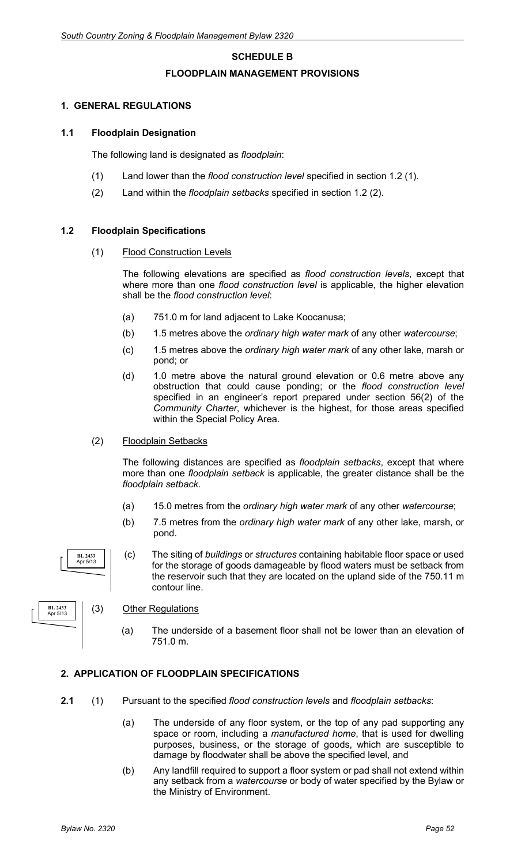# **SCHEDULE B FLOODPLAIN MANAGEMENT PROVISIONS**

#### **1. GENERAL REGULATIONS**

#### **1.1 Floodplain Designation**

The following land is designated as *floodplain*:

- (1) Land lower than the *flood construction level* specified in section 1.2 (1).
- (2) Land within the *floodplain setbacks* specified in section 1.2 (2).

#### **1.2 Floodplain Specifications**

(1) Flood Construction Levels

The following elevations are specified as *flood construction levels*, except that where more than one *flood construction level* is applicable, the higher elevation shall be the *flood construction level*:

- (a) 751.0 m for land adjacent to Lake Koocanusa;
- (b) 1.5 metres above the *ordinary high water mark* of any other *watercourse*;
- (c) 1.5 metres above the *ordinary high water mark* of any other lake, marsh or pond; or
- (d) 1.0 metre above the natural ground elevation or 0.6 metre above any obstruction that could cause ponding; or the *flood construction level* specified in an engineer's report prepared under section 56(2) of the *Community Charter*, whichever is the highest, for those areas specified within the Special Policy Area.

#### (2) Floodplain Setbacks

The following distances are specified as *floodplain setbacks*, except that where more than one *floodplain setback* is applicable, the greater distance shall be the *floodplain setback*.

- (a) 15.0 metres from the *ordinary high water mark* of any other *watercourse*;
- (b) 7.5 metres from the *ordinary high water mark* of any other lake, marsh, or pond.
- (c) The siting of *buildings* or *structures* containing habitable floor space or used for the storage of goods damageable by flood waters must be setback from the reservoir such that they are located on the upland side of the 750.11 m contour line.



**BL 2433** Apr 5/13

#### (3) Other Regulations

(a) The underside of a basement floor shall not be lower than an elevation of 751.0 m.

#### **2. APPLICATION OF FLOODPLAIN SPECIFICATIONS**

- **2.1** (1) Pursuant to the specified *flood construction levels* and *floodplain setbacks*:
	- (a) The underside of any floor system, or the top of any pad supporting any space or room, including a *manufactured home*, that is used for dwelling purposes, business, or the storage of goods, which are susceptible to damage by floodwater shall be above the specified level, and
	- (b) Any landfill required to support a floor system or pad shall not extend within any setback from a *watercourse* or body of water specified by the Bylaw or the Ministry of Environment.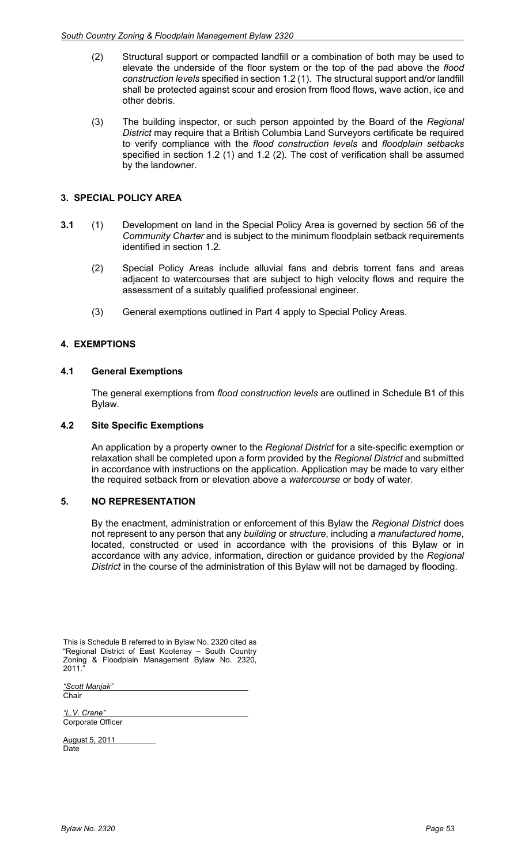- (2) Structural support or compacted landfill or a combination of both may be used to elevate the underside of the floor system or the top of the pad above the *flood construction levels* specified in section 1.2 (1). The structural support and/or landfill shall be protected against scour and erosion from flood flows, wave action, ice and other debris.
- (3) The building inspector, or such person appointed by the Board of the *Regional District* may require that a British Columbia Land Surveyors certificate be required to verify compliance with the *flood construction levels* and *floodplain setbacks* specified in section 1.2 (1) and 1.2 (2). The cost of verification shall be assumed by the landowner.

#### **3. SPECIAL POLICY AREA**

- **3.1** (1) Development on land in the Special Policy Area is governed by section 56 of the *Community Charter* and is subject to the minimum floodplain setback requirements identified in section 1.2.
	- (2) Special Policy Areas include alluvial fans and debris torrent fans and areas adjacent to watercourses that are subject to high velocity flows and require the assessment of a suitably qualified professional engineer.
	- (3) General exemptions outlined in Part 4 apply to Special Policy Areas.

#### **4. EXEMPTIONS**

#### **4.1 General Exemptions**

The general exemptions from *flood construction levels* are outlined in Schedule B1 of this Bylaw.

#### **4.2 Site Specific Exemptions**

An application by a property owner to the *Regional District* for a site-specific exemption or relaxation shall be completed upon a form provided by the *Regional District* and submitted in accordance with instructions on the application. Application may be made to vary either the required setback from or elevation above a *watercourse* or body of water.

#### **5. NO REPRESENTATION**

By the enactment, administration or enforcement of this Bylaw the *Regional District* does not represent to any person that any *building* or *structure*, including a *manufactured home*, located, constructed or used in accordance with the provisions of this Bylaw or in accordance with any advice, information, direction or guidance provided by the *Regional District* in the course of the administration of this Bylaw will not be damaged by flooding.

This is Schedule B referred to in Bylaw No. 2320 cited as "Regional District of East Kootenay – South Country Zoning & Floodplain Management Bylaw No. 2320, 2011.

*"Scott Manjak"* Chair

*"L.V. Crane"* Corporate Officer

August 5, 2011 Date